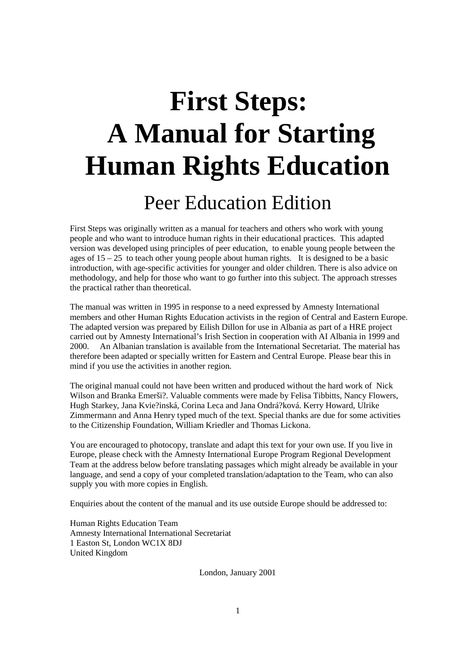# **First Steps: A Manual for Starting Human Rights Education**  Peer Education Edition

First Steps was originally written as a manual for teachers and others who work with young people and who want to introduce human rights in their educational practices. This adapted version was developed using principles of peer education, to enable young people between the ages of  $15 - 25$  to teach other young people about human rights. It is designed to be a basic introduction, with age-specific activities for younger and older children. There is also advice on methodology, and help for those who want to go further into this subject. The approach stresses the practical rather than theoretical.

The manual was written in 1995 in response to a need expressed by Amnesty International members and other Human Rights Education activists in the region of Central and Eastern Europe. The adapted version was prepared by Eilish Dillon for use in Albania as part of a HRE project carried out by Amnesty International's Irish Section in cooperation with AI Albania in 1999 and 2000. An Albanian translation is available from the International Secretariat. The material has therefore been adapted or specially written for Eastern and Central Europe. Please bear this in mind if you use the activities in another region.

The original manual could not have been written and produced without the hard work of Nick Wilson and Branka Emerši?. Valuable comments were made by Felisa Tibbitts, Nancy Flowers, Hugh Starkey, Jana Kvie?inská, Corina Leca and Jana Ondrá?ková. Kerry Howard, Ulrike Zimmermann and Anna Henry typed much of the text. Special thanks are due for some activities to the Citizenship Foundation, William Kriedler and Thomas Lickona.

You are encouraged to photocopy, translate and adapt this text for your own use. If you live in Europe, please check with the Amnesty International Europe Program Regional Development Team at the address below before translating passages which might already be available in your language, and send a copy of your completed translation/adaptation to the Team, who can also supply you with more copies in English.

Enquiries about the content of the manual and its use outside Europe should be addressed to:

Human Rights Education Team Amnesty International International Secretariat 1 Easton St, London WC1X 8DJ United Kingdom

London, January 2001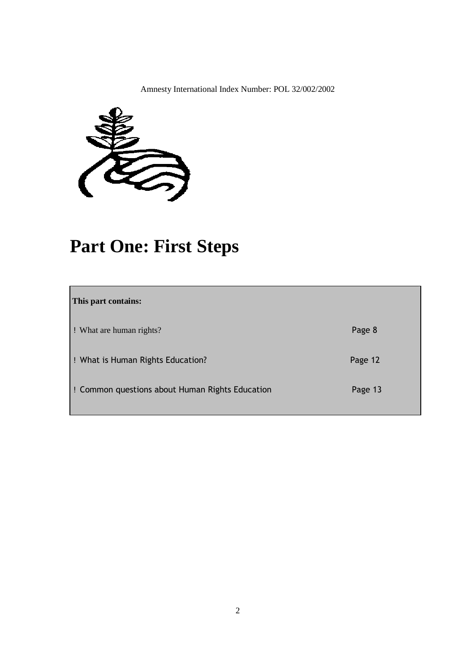Amnesty International Index Number: POL 32/002/2002



### **Part One: First Steps**

| This part contains:                             |         |
|-------------------------------------------------|---------|
| : What are human rights?                        | Page 8  |
| ! What is Human Rights Education?               | Page 12 |
| : Common questions about Human Rights Education | Page 13 |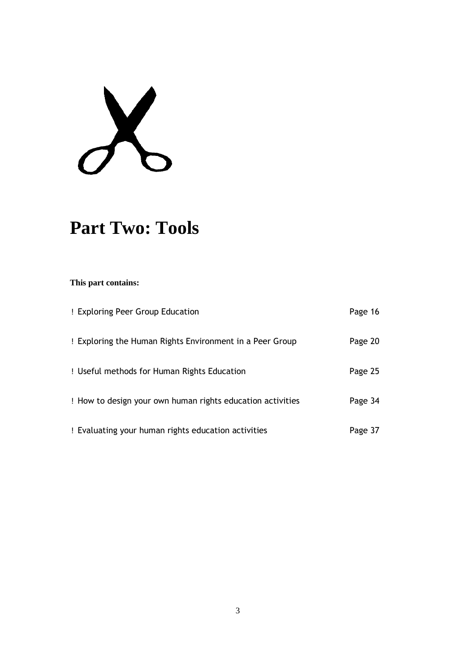$X$ 

### **Part Two: Tools**

| ! Exploring Peer Group Education                           | Page 16 |
|------------------------------------------------------------|---------|
| ! Exploring the Human Rights Environment in a Peer Group   | Page 20 |
| ! Useful methods for Human Rights Education                | Page 25 |
| ! How to design your own human rights education activities | Page 34 |
| ! Evaluating your human rights education activities        | Page 37 |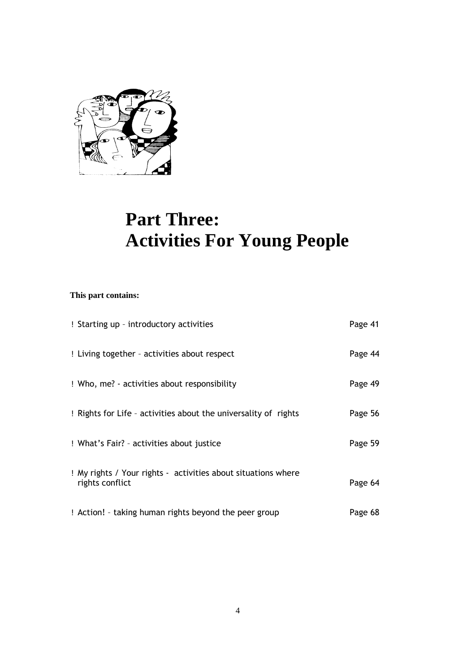

### **Part Three: Activities For Young People**

| ! Starting up - introductory activities                                          | Page 41 |
|----------------------------------------------------------------------------------|---------|
| ! Living together - activities about respect                                     | Page 44 |
| ! Who, me? - activities about responsibility                                     | Page 49 |
| : Rights for Life - activities about the universality of rights                  | Page 56 |
| ! What's Fair? - activities about justice                                        | Page 59 |
| ! My rights / Your rights - activities about situations where<br>rights conflict | Page 64 |
| ! Action! - taking human rights beyond the peer group                            | Page 68 |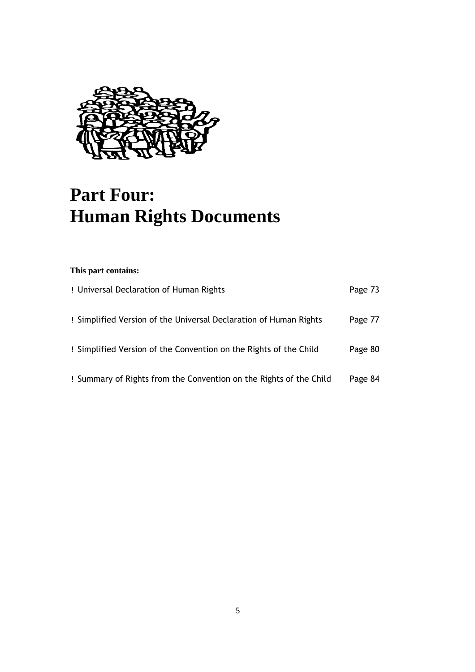

### **Part Four: Human Rights Documents**

| ! Universal Declaration of Human Rights                            | Page 73 |
|--------------------------------------------------------------------|---------|
| ! Simplified Version of the Universal Declaration of Human Rights  | Page 77 |
| ! Simplified Version of the Convention on the Rights of the Child  | Page 80 |
| ! Summary of Rights from the Convention on the Rights of the Child | Page 84 |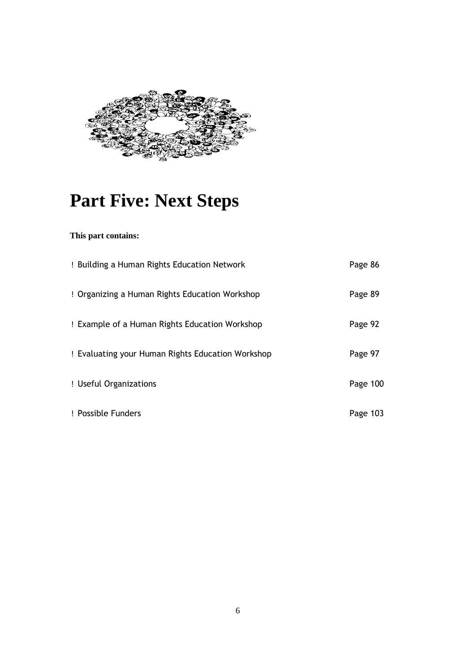

### **Part Five: Next Steps**

| ! Building a Human Rights Education Network       | Page 86  |
|---------------------------------------------------|----------|
| ! Organizing a Human Rights Education Workshop    | Page 89  |
| ! Example of a Human Rights Education Workshop    | Page 92  |
| ! Evaluating your Human Rights Education Workshop | Page 97  |
| ! Useful Organizations                            | Page 100 |
| ! Possible Funders                                | Page 103 |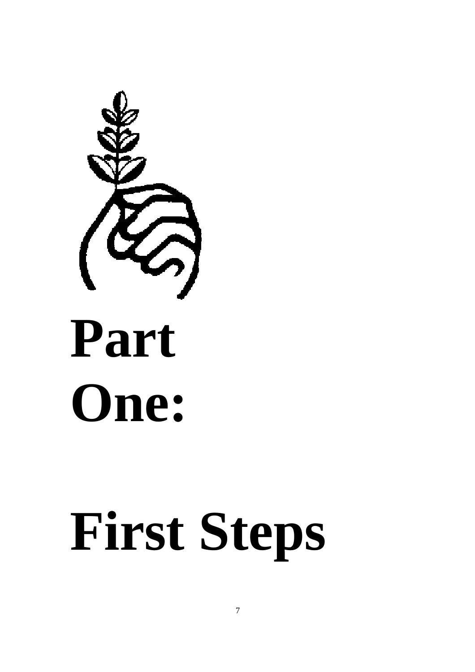

# **First Steps**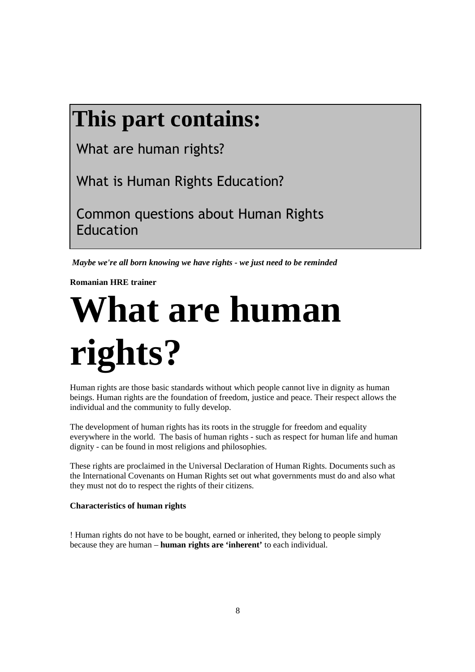## **This part contains:**

What are human rights?

What is Human Rights Education?

 Common questions about Human Rights Education

 *Maybe we're all born knowing we have rights - we just need to be reminded* 

**Romanian HRE trainer** 

# **What are human rights?**

Human rights are those basic standards without which people cannot live in dignity as human beings. Human rights are the foundation of freedom, justice and peace. Their respect allows the individual and the community to fully develop.

The development of human rights has its roots in the struggle for freedom and equality everywhere in the world. The basis of human rights - such as respect for human life and human dignity - can be found in most religions and philosophies.

These rights are proclaimed in the Universal Declaration of Human Rights. Documents such as the International Covenants on Human Rights set out what governments must do and also what they must not do to respect the rights of their citizens.

### **Characteristics of human rights**

! Human rights do not have to be bought, earned or inherited, they belong to people simply because they are human – **human rights are 'inherent'** to each individual.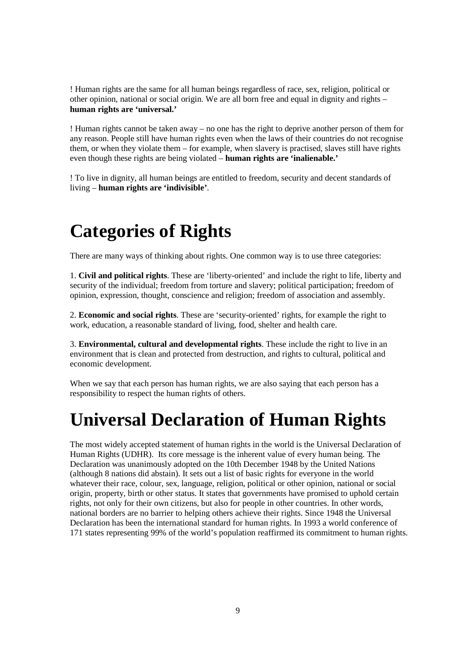! Human rights are the same for all human beings regardless of race, sex, religion, political or other opinion, national or social origin. We are all born free and equal in dignity and rights – **human rights are 'universal.'**

! Human rights cannot be taken away – no one has the right to deprive another person of them for any reason. People still have human rights even when the laws of their countries do not recognise them, or when they violate them – for example, when slavery is practised, slaves still have rights even though these rights are being violated – **human rights are 'inalienable.'**

! To live in dignity, all human beings are entitled to freedom, security and decent standards of living – **human rights are 'indivisible'**.

### **Categories of Rights**

There are many ways of thinking about rights. One common way is to use three categories:

1. **Civil and political rights**. These are 'liberty-oriented' and include the right to life, liberty and security of the individual; freedom from torture and slavery; political participation; freedom of opinion, expression, thought, conscience and religion; freedom of association and assembly.

2. **Economic and social rights**. These are 'security-oriented' rights, for example the right to work, education, a reasonable standard of living, food, shelter and health care.

3. **Environmental, cultural and developmental rights**. These include the right to live in an environment that is clean and protected from destruction, and rights to cultural, political and economic development.

When we say that each person has human rights, we are also saying that each person has a responsibility to respect the human rights of others.

### **Universal Declaration of Human Rights**

The most widely accepted statement of human rights in the world is the Universal Declaration of Human Rights (UDHR). Its core message is the inherent value of every human being. The Declaration was unanimously adopted on the 10th December 1948 by the United Nations (although 8 nations did abstain). It sets out a list of basic rights for everyone in the world whatever their race, colour, sex, language, religion, political or other opinion, national or social origin, property, birth or other status. It states that governments have promised to uphold certain rights, not only for their own citizens, but also for people in other countries. In other words, national borders are no barrier to helping others achieve their rights. Since 1948 the Universal Declaration has been the international standard for human rights. In 1993 a world conference of 171 states representing 99% of the world's population reaffirmed its commitment to human rights.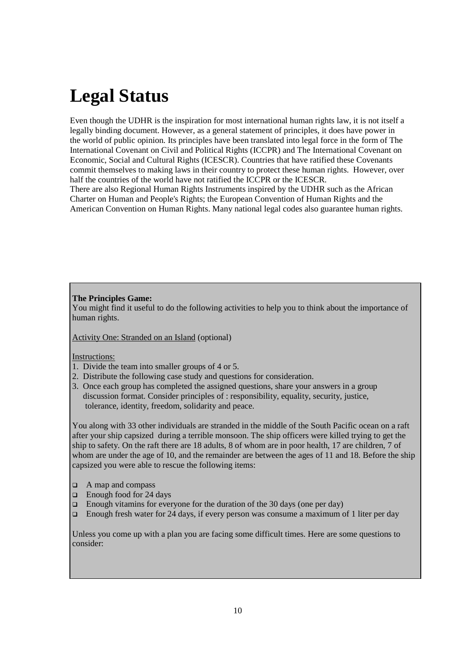### **Legal Status**

Even though the UDHR is the inspiration for most international human rights law, it is not itself a legally binding document. However, as a general statement of principles, it does have power in the world of public opinion. Its principles have been translated into legal force in the form of The International Covenant on Civil and Political Rights (ICCPR) and The International Covenant on Economic, Social and Cultural Rights (ICESCR). Countries that have ratified these Covenants commit themselves to making laws in their country to protect these human rights. However, over half the countries of the world have not ratified the ICCPR or the ICESCR. There are also Regional Human Rights Instruments inspired by the UDHR such as the African

Charter on Human and People's Rights; the European Convention of Human Rights and the American Convention on Human Rights. Many national legal codes also guarantee human rights.

### **The Principles Game:**

You might find it useful to do the following activities to help you to think about the importance of human rights.

Activity One: Stranded on an Island (optional)

### Instructions:

- 1. Divide the team into smaller groups of 4 or 5.
- 2. Distribute the following case study and questions for consideration.
- 3. Once each group has completed the assigned questions, share your answers in a group discussion format. Consider principles of : responsibility, equality, security, justice, tolerance, identity, freedom, solidarity and peace.

You along with 33 other individuals are stranded in the middle of the South Pacific ocean on a raft after your ship capsized during a terrible monsoon. The ship officers were killed trying to get the ship to safety. On the raft there are 18 adults, 8 of whom are in poor health, 17 are children, 7 of whom are under the age of 10, and the remainder are between the ages of 11 and 18. Before the ship capsized you were able to rescue the following items:

- $\Box$  A map and compass
- $\Box$  Enough food for 24 days
- **Enough vitamins for everyone for the duration of the 30 days (one per day)**
- **Enough fresh water for 24 days, if every person was consume a maximum of 1 liter per day**

Unless you come up with a plan you are facing some difficult times. Here are some questions to consider: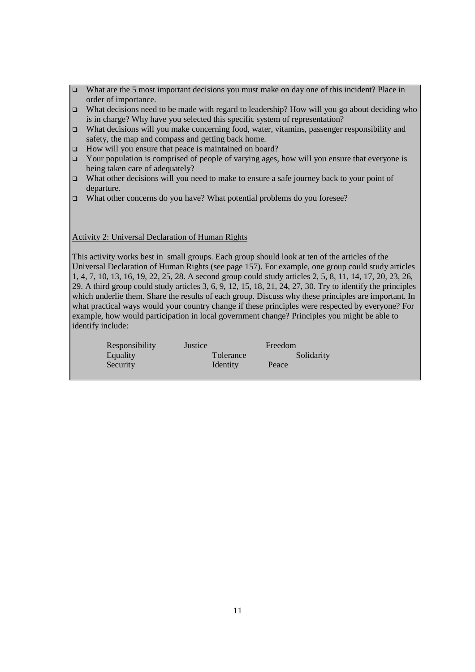- □ What are the 5 most important decisions you must make on day one of this incident? Place in order of importance.
- What decisions need to be made with regard to leadership? How will you go about deciding who is in charge? Why have you selected this specific system of representation?
- $\Box$  What decisions will you make concerning food, water, vitamins, passenger responsibility and safety, the map and compass and getting back home.
- □ How will you ensure that peace is maintained on board?
- $\Box$  Your population is comprised of people of varying ages, how will you ensure that everyone is being taken care of adequately?
- What other decisions will you need to make to ensure a safe journey back to your point of departure.
- □ What other concerns do you have? What potential problems do you foresee?

Activity 2: Universal Declaration of Human Rights

This activity works best in small groups. Each group should look at ten of the articles of the Universal Declaration of Human Rights (see page 157). For example, one group could study articles 1, 4, 7, 10, 13, 16, 19, 22, 25, 28. A second group could study articles 2, 5, 8, 11, 14, 17, 20, 23, 26, 29. A third group could study articles 3, 6, 9, 12, 15, 18, 21, 24, 27, 30. Try to identify the principles which underlie them. Share the results of each group. Discuss why these principles are important. In what practical ways would your country change if these principles were respected by everyone? For example, how would participation in local government change? Principles you might be able to identify include:

| Responsibility | Justice   | Freedom    |
|----------------|-----------|------------|
| Equality       | Tolerance | Solidarity |
| Security       | Identity  | Peace      |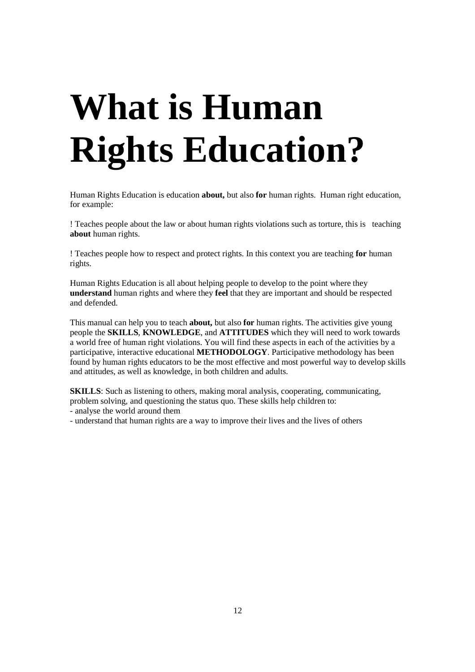# **What is Human Rights Education?**

Human Rights Education is education **about,** but also **for** human rights. Human right education, for example:

! Teaches people about the law or about human rights violations such as torture, this is teaching **about** human rights.

! Teaches people how to respect and protect rights. In this context you are teaching **for** human rights.

Human Rights Education is all about helping people to develop to the point where they **understand** human rights and where they **feel** that they are important and should be respected and defended.

This manual can help you to teach **about,** but also **for** human rights. The activities give young people the **SKILLS**, **KNOWLEDGE**, and **ATTITUDES** which they will need to work towards a world free of human right violations. You will find these aspects in each of the activities by a participative, interactive educational **METHODOLOGY**. Participative methodology has been found by human rights educators to be the most effective and most powerful way to develop skills and attitudes, as well as knowledge, in both children and adults.

**SKILLS**: Such as listening to others, making moral analysis, cooperating, communicating, problem solving, and questioning the status quo. These skills help children to: - analyse the world around them

- understand that human rights are a way to improve their lives and the lives of others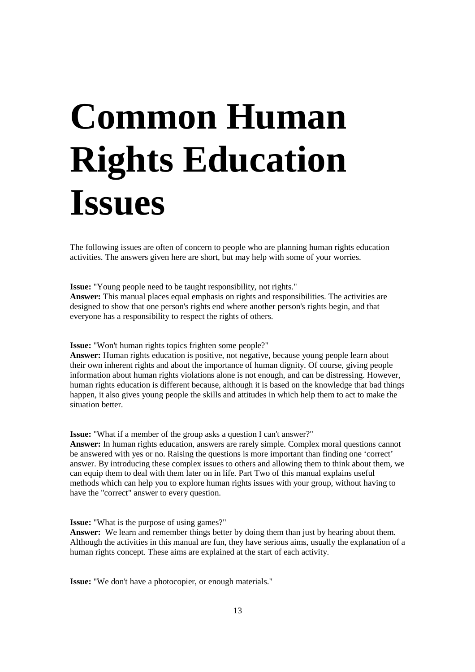# **Common Human Rights Education Issues**

The following issues are often of concern to people who are planning human rights education activities. The answers given here are short, but may help with some of your worries.

**Issue:** "Young people need to be taught responsibility, not rights."

**Answer:** This manual places equal emphasis on rights and responsibilities. The activities are designed to show that one person's rights end where another person's rights begin, and that everyone has a responsibility to respect the rights of others.

**Issue:** "Won't human rights topics frighten some people?"

**Answer:** Human rights education is positive, not negative, because young people learn about their own inherent rights and about the importance of human dignity. Of course, giving people information about human rights violations alone is not enough, and can be distressing. However, human rights education is different because, although it is based on the knowledge that bad things happen, it also gives young people the skills and attitudes in which help them to act to make the situation better.

**Issue:** "What if a member of the group asks a question I can't answer?"

**Answer:** In human rights education, answers are rarely simple. Complex moral questions cannot be answered with yes or no. Raising the questions is more important than finding one 'correct' answer. By introducing these complex issues to others and allowing them to think about them, we can equip them to deal with them later on in life. Part Two of this manual explains useful methods which can help you to explore human rights issues with your group, without having to have the "correct" answer to every question.

**Issue:** "What is the purpose of using games?"

**Answer:** We learn and remember things better by doing them than just by hearing about them. Although the activities in this manual are fun, they have serious aims, usually the explanation of a human rights concept. These aims are explained at the start of each activity.

**Issue:** "We don't have a photocopier, or enough materials."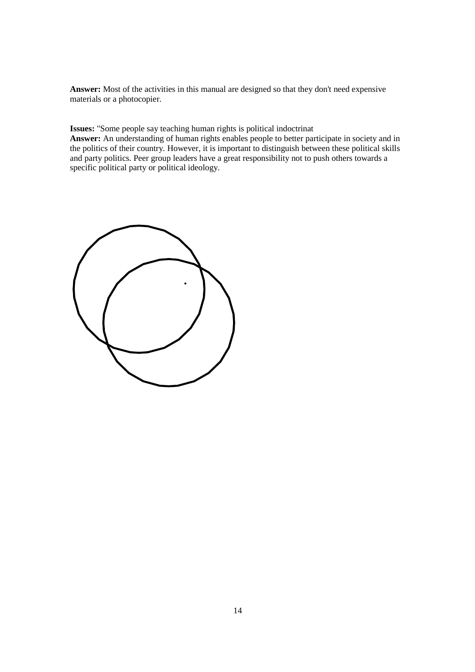**Answer:** Most of the activities in this manual are designed so that they don't need expensive materials or a photocopier.

**Issues:** "Some people say teaching human rights is political indoctrinat

**Answer:** An understanding of human rights enables people to better participate in society and in the politics of their country. However, it is important to distinguish between these political skills and party politics. Peer group leaders have a great responsibility not to push others towards a specific political party or political ideology.

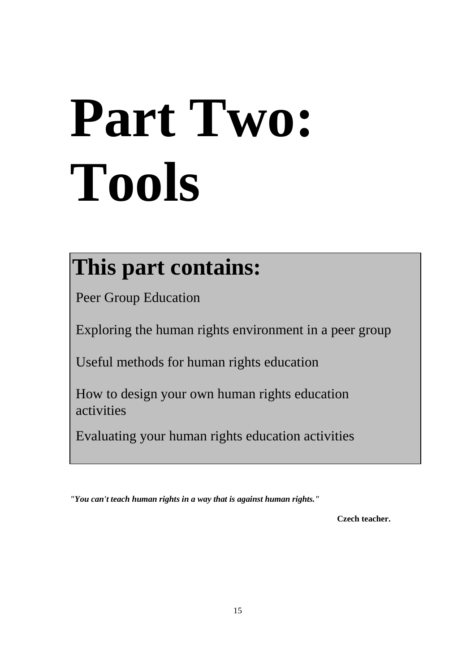# **Part Two: Tools**

# **This part contains:**

Peer Group Education

Exploring the human rights environment in a peer group

Useful methods for human rights education

 How to design your own human rights education activities

Evaluating your human rights education activities

*"You can't teach human rights in a way that is against human rights."*

 **Czech teacher.**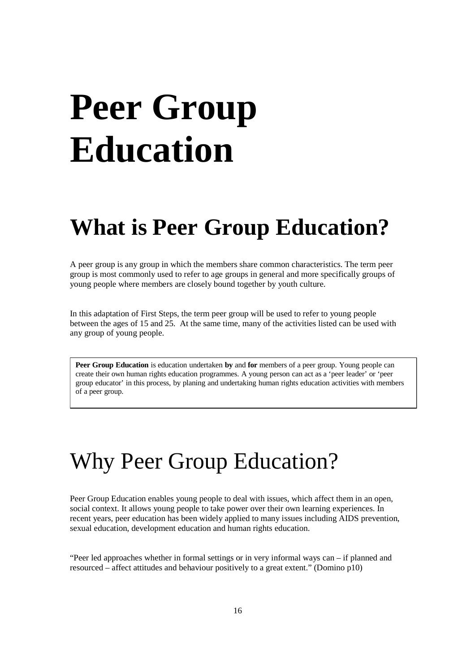# **Peer Group Education**

## **What is Peer Group Education?**

A peer group is any group in which the members share common characteristics. The term peer group is most commonly used to refer to age groups in general and more specifically groups of young people where members are closely bound together by youth culture.

In this adaptation of First Steps, the term peer group will be used to refer to young people between the ages of 15 and 25. At the same time, many of the activities listed can be used with any group of young people.

**Peer Group Education** is education undertaken **by** and **for** members of a peer group. Young people can create their own human rights education programmes. A young person can act as a 'peer leader' or 'peer group educator' in this process, by planing and undertaking human rights education activities with members of a peer group.

## Why Peer Group Education?

Peer Group Education enables young people to deal with issues, which affect them in an open, social context. It allows young people to take power over their own learning experiences. In recent years, peer education has been widely applied to many issues including AIDS prevention, sexual education, development education and human rights education.

"Peer led approaches whether in formal settings or in very informal ways can – if planned and resourced – affect attitudes and behaviour positively to a great extent." (Domino p10)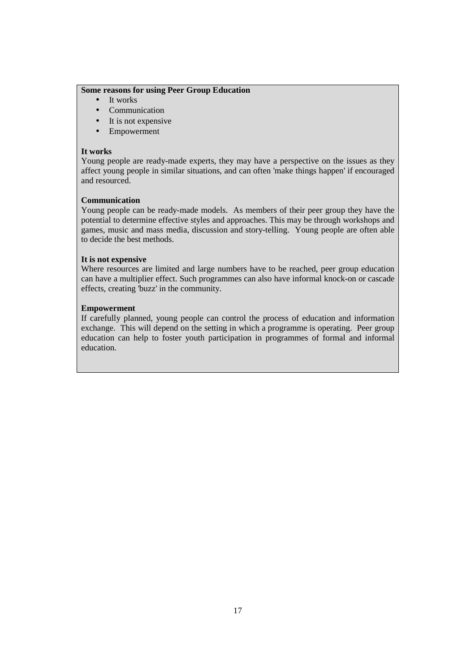### **Some reasons for using Peer Group Education**

- It works
- Communication
- It is not expensive
- Empowerment

### **It works**

Young people are ready-made experts, they may have a perspective on the issues as they affect young people in similar situations, and can often 'make things happen' if encouraged and resourced.

### **Communication**

Young people can be ready-made models. As members of their peer group they have the potential to determine effective styles and approaches. This may be through workshops and games, music and mass media, discussion and story-telling. Young people are often able to decide the best methods.

### **It is not expensive**

Where resources are limited and large numbers have to be reached, peer group education can have a multiplier effect. Such programmes can also have informal knock-on or cascade effects, creating 'buzz' in the community.

### **Empowerment**

If carefully planned, young people can control the process of education and information exchange. This will depend on the setting in which a programme is operating. Peer group education can help to foster youth participation in programmes of formal and informal education.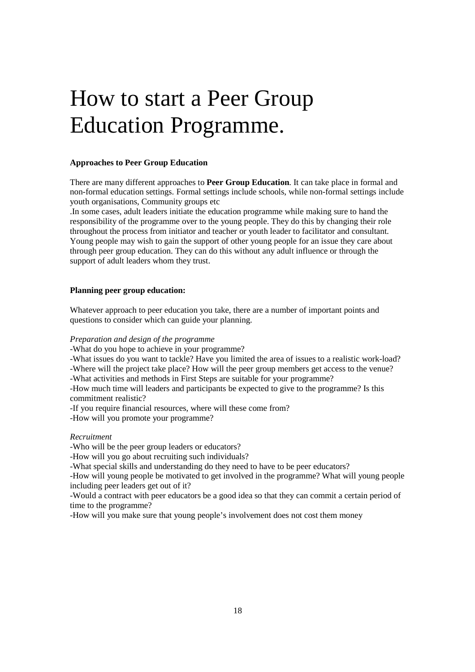# How to start a Peer Group Education Programme.

### **Approaches to Peer Group Education**

There are many different approaches to **Peer Group Education**. It can take place in formal and non-formal education settings. Formal settings include schools, while non-formal settings include youth organisations, Community groups etc

.In some cases, adult leaders initiate the education programme while making sure to hand the responsibility of the programme over to the young people. They do this by changing their role throughout the process from initiator and teacher or youth leader to facilitator and consultant. Young people may wish to gain the support of other young people for an issue they care about through peer group education. They can do this without any adult influence or through the support of adult leaders whom they trust.

#### **Planning peer group education:**

Whatever approach to peer education you take, there are a number of important points and questions to consider which can guide your planning.

#### *Preparation and design of the programme*

-What do you hope to achieve in your programme?

-What issues do you want to tackle? Have you limited the area of issues to a realistic work-load? -Where will the project take place? How will the peer group members get access to the venue?

-What activities and methods in First Steps are suitable for your programme?

-How much time will leaders and participants be expected to give to the programme? Is this commitment realistic?

-If you require financial resources, where will these come from?

-How will you promote your programme?

### *Recruitment*

-Who will be the peer group leaders or educators?

-How will you go about recruiting such individuals?

-What special skills and understanding do they need to have to be peer educators?

-How will young people be motivated to get involved in the programme? What will young people including peer leaders get out of it?

-Would a contract with peer educators be a good idea so that they can commit a certain period of time to the programme?

-How will you make sure that young people's involvement does not cost them money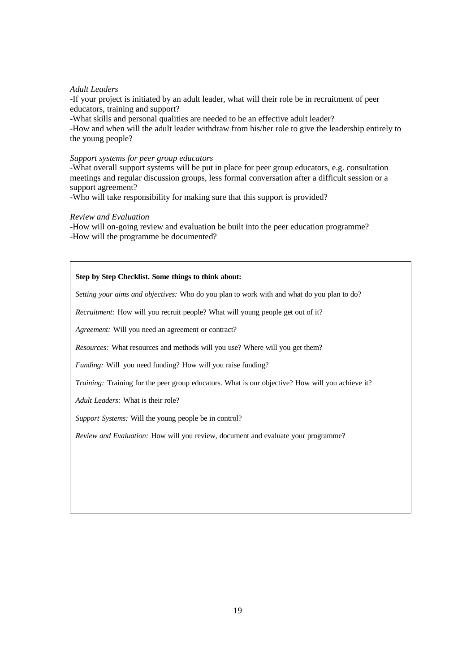### *Adult Leaders*

-If your project is initiated by an adult leader, what will their role be in recruitment of peer educators, training and support?

-What skills and personal qualities are needed to be an effective adult leader?

-How and when will the adult leader withdraw from his/her role to give the leadership entirely to the young people?

#### *Support systems for peer group educators*

-What overall support systems will be put in place for peer group educators, e.g. consultation meetings and regular discussion groups, less formal conversation after a difficult session or a support agreement?

-Who will take responsibility for making sure that this support is provided?

#### *Review and Evaluation*

-How will on-going review and evaluation be built into the peer education programme? -How will the programme be documented?

### **Step by Step Checklist. Some things to think about:**

*Setting your aims and objectives:* Who do you plan to work with and what do you plan to do?

*Recruitment:* How will you recruit people? What will young people get out of it?

*Agreement:* Will you need an agreement or contract?

*Resources:* What resources and methods will you use? Where will you get them?

*Funding:* Will you need funding? How will you raise funding?

*Training:* Training for the peer group educators. What is our objective? How will you achieve it?

*Adult Leaders:* What is their role?

*Support Systems:* Will the young people be in control?

*Review and Evaluation:* How will you review, document and evaluate your programme?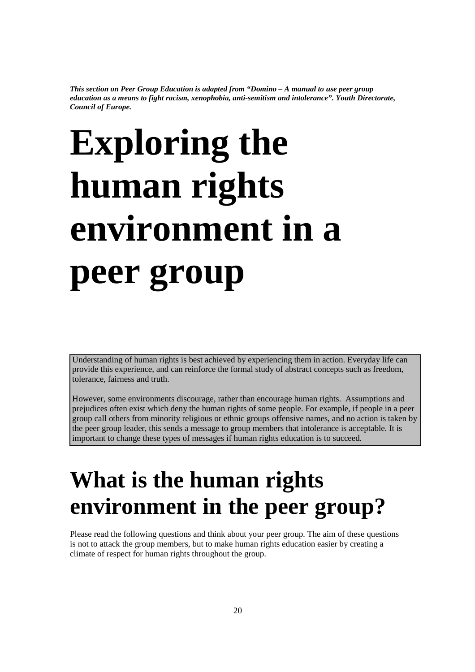*This section on Peer Group Education is adapted from "Domino – A manual to use peer group education as a means to fight racism, xenophobia, anti-semitism and intolerance". Youth Directorate, Council of Europe.* 

# **Exploring the human rights environment in a peer group**

Understanding of human rights is best achieved by experiencing them in action. Everyday life can provide this experience, and can reinforce the formal study of abstract concepts such as freedom, tolerance, fairness and truth.

However, some environments discourage, rather than encourage human rights. Assumptions and prejudices often exist which deny the human rights of some people. For example, if people in a peer group call others from minority religious or ethnic groups offensive names, and no action is taken by the peer group leader, this sends a message to group members that intolerance is acceptable. It is important to change these types of messages if human rights education is to succeed.

# **What is the human rights environment in the peer group?**

Please read the following questions and think about your peer group. The aim of these questions is not to attack the group members, but to make human rights education easier by creating a climate of respect for human rights throughout the group.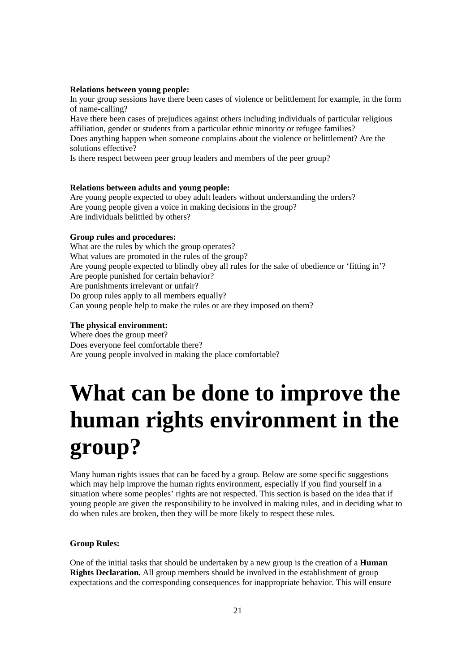#### **Relations between young people:**

In your group sessions have there been cases of violence or belittlement for example, in the form of name-calling?

Have there been cases of prejudices against others including individuals of particular religious affiliation, gender or students from a particular ethnic minority or refugee families? Does anything happen when someone complains about the violence or belittlement? Are the solutions effective?

Is there respect between peer group leaders and members of the peer group?

### **Relations between adults and young people:**

Are young people expected to obey adult leaders without understanding the orders? Are young people given a voice in making decisions in the group? Are individuals belittled by others?

#### **Group rules and procedures:**

What are the rules by which the group operates? What values are promoted in the rules of the group? Are young people expected to blindly obey all rules for the sake of obedience or 'fitting in'? Are people punished for certain behavior? Are punishments irrelevant or unfair? Do group rules apply to all members equally? Can young people help to make the rules or are they imposed on them?

### **The physical environment:**

Where does the group meet? Does everyone feel comfortable there? Are young people involved in making the place comfortable?

# **What can be done to improve the human rights environment in the group?**

Many human rights issues that can be faced by a group. Below are some specific suggestions which may help improve the human rights environment, especially if you find yourself in a situation where some peoples' rights are not respected. This section is based on the idea that if young people are given the responsibility to be involved in making rules, and in deciding what to do when rules are broken, then they will be more likely to respect these rules.

### **Group Rules:**

One of the initial tasks that should be undertaken by a new group is the creation of a **Human Rights Declaration.** All group members should be involved in the establishment of group expectations and the corresponding consequences for inappropriate behavior. This will ensure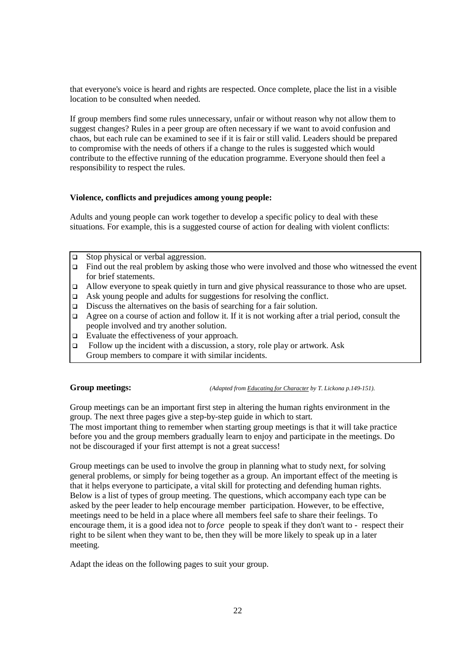that everyone's voice is heard and rights are respected. Once complete, place the list in a visible location to be consulted when needed.

If group members find some rules unnecessary, unfair or without reason why not allow them to suggest changes? Rules in a peer group are often necessary if we want to avoid confusion and chaos, but each rule can be examined to see if it is fair or still valid. Leaders should be prepared to compromise with the needs of others if a change to the rules is suggested which would contribute to the effective running of the education programme. Everyone should then feel a responsibility to respect the rules.

### **Violence, conflicts and prejudices among young people:**

Adults and young people can work together to develop a specific policy to deal with these situations. For example, this is a suggested course of action for dealing with violent conflicts:

- $\Box$  Stop physical or verbal aggression.
- $\Box$  Find out the real problem by asking those who were involved and those who witnessed the event for brief statements.
- □ Allow everyone to speak quietly in turn and give physical reassurance to those who are upset.
- Ask young people and adults for suggestions for resolving the conflict.
- $\Box$  Discuss the alternatives on the basis of searching for a fair solution.
- Agree on a course of action and follow it. If it is not working after a trial period, consult the people involved and try another solution.
- $\Box$  Evaluate the effectiveness of your approach.
- $\Box$  Follow up the incident with a discussion, a story, role play or artwork. Ask Group members to compare it with similar incidents.

**Group meetings:** *(Adapted from Educating for Character by T. Lickona p.149-151).*

Group meetings can be an important first step in altering the human rights environment in the group. The next three pages give a step-by-step guide in which to start.

The most important thing to remember when starting group meetings is that it will take practice before you and the group members gradually learn to enjoy and participate in the meetings. Do not be discouraged if your first attempt is not a great success!

Group meetings can be used to involve the group in planning what to study next, for solving general problems, or simply for being together as a group. An important effect of the meeting is that it helps everyone to participate, a vital skill for protecting and defending human rights. Below is a list of types of group meeting. The questions, which accompany each type can be asked by the peer leader to help encourage member participation. However, to be effective, meetings need to be held in a place where all members feel safe to share their feelings. To encourage them, it is a good idea not to *force* people to speak if they don't want to - respect their right to be silent when they want to be, then they will be more likely to speak up in a later meeting.

Adapt the ideas on the following pages to suit your group.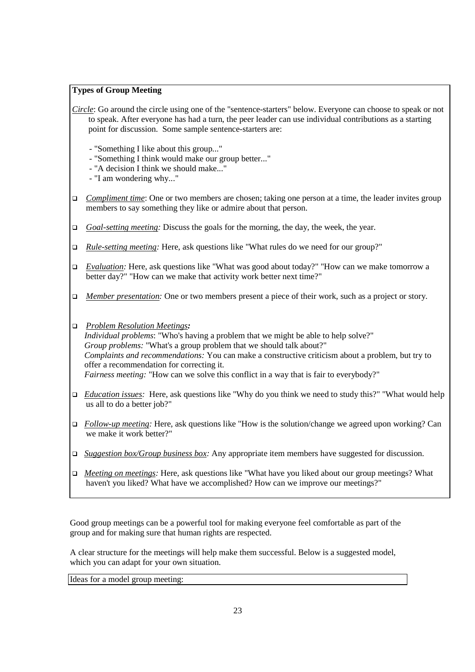### **Types of Group Meeting**

- *Circle*: Go around the circle using one of the "sentence-starters" below. Everyone can choose to speak or not to speak. After everyone has had a turn, the peer leader can use individual contributions as a starting point for discussion. Some sample sentence-starters are:
	- "Something I like about this group..."
	- "Something I think would make our group better..."
	- "A decision I think we should make..."
	- "I am wondering why..."
- *Compliment time*: One or two members are chosen; taking one person at a time, the leader invites group members to say something they like or admire about that person.
- *Goal-setting meeting:* Discuss the goals for the morning, the day, the week, the year.
- *Rule-setting meeting:* Here, ask questions like "What rules do we need for our group?"
- *Evaluation:* Here, ask questions like "What was good about today?" "How can we make tomorrow a better day?" "How can we make that activity work better next time?"
- *Member presentation:* One or two members present a piece of their work, such as a project or story.
- *Problem Resolution Meetings:*

*Individual problems*: "Who's having a problem that we might be able to help solve?" *Group problems:* "What's a group problem that we should talk about?" *Complaints and recommendations:* You can make a constructive criticism about a problem, but try to offer a recommendation for correcting it. *Fairness meeting:* "How can we solve this conflict in a way that is fair to everybody?"

- *Education issues:* Here, ask questions like "Why do you think we need to study this?" "What would help us all to do a better job?"
- *Follow-up meeting:* Here, ask questions like "How is the solution/change we agreed upon working? Can we make it work better?"
- *Suggestion box/Group business box:* Any appropriate item members have suggested for discussion.
- *Meeting on meetings:* Here, ask questions like "What have you liked about our group meetings? What haven't you liked? What have we accomplished? How can we improve our meetings?"

Good group meetings can be a powerful tool for making everyone feel comfortable as part of the group and for making sure that human rights are respected.

A clear structure for the meetings will help make them successful. Below is a suggested model, which you can adapt for your own situation.

Ideas for a model group meeting: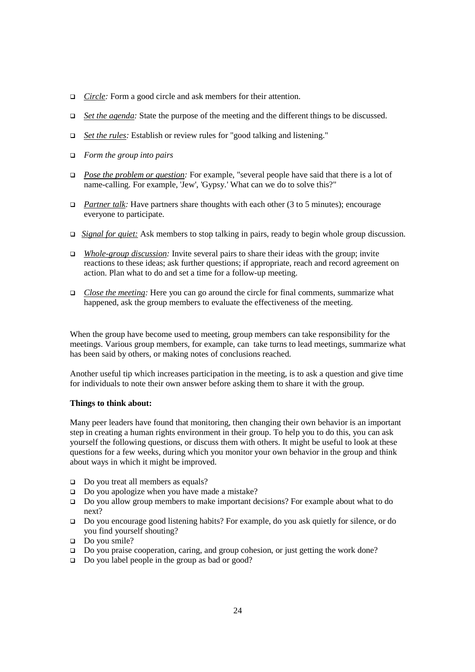- *Circle:* Form a good circle and ask members for their attention.
- *Set the agenda:* State the purpose of the meeting and the different things to be discussed.
- *Set the rules:* Establish or review rules for "good talking and listening."
- *Form the group into pairs*
- *Pose the problem or question:* For example, "several people have said that there is a lot of name-calling. For example, 'Jew', 'Gypsy.' What can we do to solve this?"
- *Partner talk:* Have partners share thoughts with each other (3 to 5 minutes); encourage everyone to participate.
- *Signal for quiet:* Ask members to stop talking in pairs, ready to begin whole group discussion.
- *Whole-group discussion:* Invite several pairs to share their ideas with the group; invite reactions to these ideas; ask further questions; if appropriate, reach and record agreement on action. Plan what to do and set a time for a follow-up meeting.
- *Close the meeting:* Here you can go around the circle for final comments, summarize what happened, ask the group members to evaluate the effectiveness of the meeting.

When the group have become used to meeting, group members can take responsibility for the meetings. Various group members, for example, can take turns to lead meetings, summarize what has been said by others, or making notes of conclusions reached.

Another useful tip which increases participation in the meeting, is to ask a question and give time for individuals to note their own answer before asking them to share it with the group.

### **Things to think about:**

Many peer leaders have found that monitoring, then changing their own behavior is an important step in creating a human rights environment in their group. To help you to do this, you can ask yourself the following questions, or discuss them with others. It might be useful to look at these questions for a few weeks, during which you monitor your own behavior in the group and think about ways in which it might be improved.

- Do you treat all members as equals?
- $\Box$  Do you apologize when you have made a mistake?
- Do you allow group members to make important decisions? For example about what to do next?
- Do you encourage good listening habits? For example, do you ask quietly for silence, or do you find yourself shouting?
- $\Box$  Do you smile?
- □ Do you praise cooperation, caring, and group cohesion, or just getting the work done?
- Do you label people in the group as bad or good?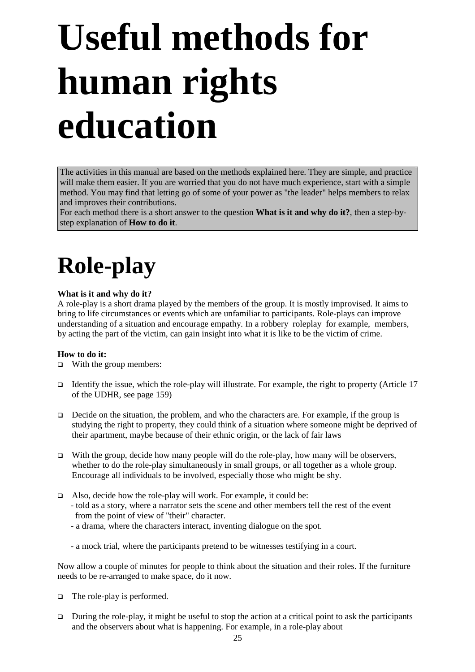# **Useful methods for human rights education**

The activities in this manual are based on the methods explained here. They are simple, and practice will make them easier. If you are worried that you do not have much experience, start with a simple method. You may find that letting go of some of your power as "the leader" helps members to relax and improves their contributions.

For each method there is a short answer to the question **What is it and why do it?**, then a step-bystep explanation of **How to do it**.

# **Role-play**

### **What is it and why do it?**

A role-play is a short drama played by the members of the group. It is mostly improvised. It aims to bring to life circumstances or events which are unfamiliar to participants. Role-plays can improve understanding of a situation and encourage empathy. In a robbery roleplay for example, members, by acting the part of the victim, can gain insight into what it is like to be the victim of crime.

### **How to do it:**

- $\Box$  With the group members:
- Identify the issue, which the role-play will illustrate. For example, the right to property (Article  $17$ of the UDHR, see page 159)
- $\Box$  Decide on the situation, the problem, and who the characters are. For example, if the group is studying the right to property, they could think of a situation where someone might be deprived of their apartment, maybe because of their ethnic origin, or the lack of fair laws
- $\Box$  With the group, decide how many people will do the role-play, how many will be observers, whether to do the role-play simultaneously in small groups, or all together as a whole group. Encourage all individuals to be involved, especially those who might be shy.
- Also, decide how the role-play will work. For example, it could be:
	- told as a story, where a narrator sets the scene and other members tell the rest of the event from the point of view of "their" character.
	- a drama, where the characters interact, inventing dialogue on the spot.
	- a mock trial, where the participants pretend to be witnesses testifying in a court.

Now allow a couple of minutes for people to think about the situation and their roles. If the furniture needs to be re-arranged to make space, do it now.

- $\Box$  The role-play is performed.
- $\Box$  During the role-play, it might be useful to stop the action at a critical point to ask the participants and the observers about what is happening. For example, in a role-play about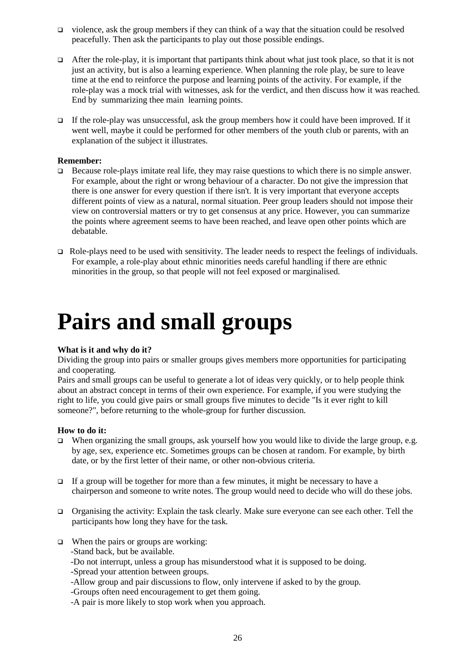- violence, ask the group members if they can think of a way that the situation could be resolved peacefully. Then ask the participants to play out those possible endings.
- After the role-play, it is important that partipants think about what just took place, so that it is not just an activity, but is also a learning experience. When planning the role play, be sure to leave time at the end to reinforce the purpose and learning points of the activity. For example, if the role-play was a mock trial with witnesses, ask for the verdict, and then discuss how it was reached. End by summarizing thee main learning points.
- If the role-play was unsuccessful, ask the group members how it could have been improved. If it went well, maybe it could be performed for other members of the youth club or parents, with an explanation of the subject it illustrates.

### **Remember:**

- Because role-plays imitate real life, they may raise questions to which there is no simple answer. For example, about the right or wrong behaviour of a character. Do not give the impression that there is one answer for every question if there isn't. It is very important that everyone accepts different points of view as a natural, normal situation. Peer group leaders should not impose their view on controversial matters or try to get consensus at any price. However, you can summarize the points where agreement seems to have been reached, and leave open other points which are debatable.
- $\Box$  Role-plays need to be used with sensitivity. The leader needs to respect the feelings of individuals. For example, a role-play about ethnic minorities needs careful handling if there are ethnic minorities in the group, so that people will not feel exposed or marginalised.

## **Pairs and small groups**

### **What is it and why do it?**

Dividing the group into pairs or smaller groups gives members more opportunities for participating and cooperating.

Pairs and small groups can be useful to generate a lot of ideas very quickly, or to help people think about an abstract concept in terms of their own experience. For example, if you were studying the right to life, you could give pairs or small groups five minutes to decide "Is it ever right to kill someone?", before returning to the whole-group for further discussion.

### **How to do it:**

- $\Box$  When organizing the small groups, ask yourself how you would like to divide the large group, e.g. by age, sex, experience etc. Sometimes groups can be chosen at random. For example, by birth date, or by the first letter of their name, or other non-obvious criteria.
- If a group will be together for more than a few minutes, it might be necessary to have a chairperson and someone to write notes. The group would need to decide who will do these jobs.
- Organising the activity: Explain the task clearly. Make sure everyone can see each other. Tell the participants how long they have for the task.
- $\Box$  When the pairs or groups are working: -Stand back, but be available. -Do not interrupt, unless a group has misunderstood what it is supposed to be doing. -Spread your attention between groups. -Allow group and pair discussions to flow, only intervene if asked to by the group. -Groups often need encouragement to get them going.

-A pair is more likely to stop work when you approach.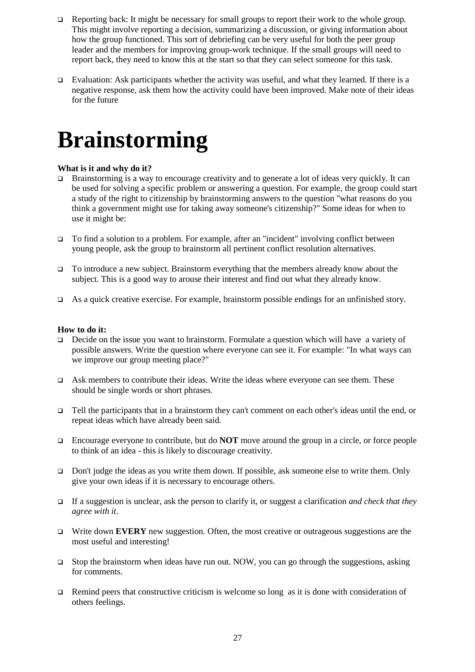- □ Reporting back: It might be necessary for small groups to report their work to the whole group. This might involve reporting a decision, summarizing a discussion, or giving information about how the group functioned. This sort of debriefing can be very useful for both the peer group leader and the members for improving group-work technique. If the small groups will need to report back, they need to know this at the start so that they can select someone for this task.
- Evaluation: Ask participants whether the activity was useful, and what they learned. If there is a negative response, ask them how the activity could have been improved. Make note of their ideas for the future

## **Brainstorming**

### **What is it and why do it?**

- Brainstorming is a way to encourage creativity and to generate a lot of ideas very quickly. It can be used for solving a specific problem or answering a question. For example, the group could start a study of the right to citizenship by brainstorming answers to the question "what reasons do you think a government might use for taking away someone's citizenship?" Some ideas for when to use it might be:
- To find a solution to a problem. For example, after an "incident" involving conflict between young people, ask the group to brainstorm all pertinent conflict resolution alternatives.
- To introduce a new subject. Brainstorm everything that the members already know about the subject. This is a good way to arouse their interest and find out what they already know.
- As a quick creative exercise. For example, brainstorm possible endings for an unfinished story.

### **How to do it:**

- Decide on the issue you want to brainstorm. Formulate a question which will have a variety of possible answers. Write the question where everyone can see it. For example: "In what ways can we improve our group meeting place?"
- Ask members to contribute their ideas. Write the ideas where everyone can see them. These should be single words or short phrases.
- Tell the participants that in a brainstorm they can't comment on each other's ideas until the end, or repeat ideas which have already been said.
- Encourage everyone to contribute, but do **NOT** move around the group in a circle, or force people to think of an idea - this is likely to discourage creativity.
- Don't judge the ideas as you write them down. If possible, ask someone else to write them. Only give your own ideas if it is necessary to encourage others.
- If a suggestion is unclear, ask the person to clarify it, or suggest a clarification *and check that they agree with it*.
- Write down **EVERY** new suggestion. Often, the most creative or outrageous suggestions are the most useful and interesting!
- Stop the brainstorm when ideas have run out. NOW, you can go through the suggestions, asking for comments.
- **Example 1** Remind peers that constructive criticism is welcome so long as it is done with consideration of others feelings.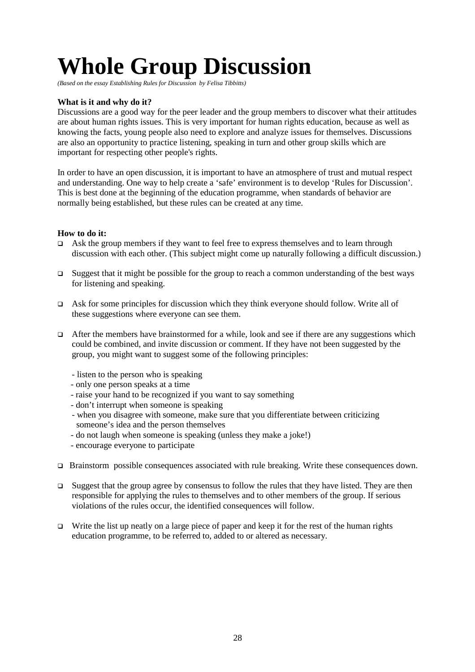# **Whole Group Discussion**

*(Based on the essay Establishing Rules for Discussion by Felisa Tibbitts)*

### **What is it and why do it?**

Discussions are a good way for the peer leader and the group members to discover what their attitudes are about human rights issues. This is very important for human rights education, because as well as knowing the facts, young people also need to explore and analyze issues for themselves. Discussions are also an opportunity to practice listening, speaking in turn and other group skills which are important for respecting other people's rights.

In order to have an open discussion, it is important to have an atmosphere of trust and mutual respect and understanding. One way to help create a 'safe' environment is to develop 'Rules for Discussion'. This is best done at the beginning of the education programme, when standards of behavior are normally being established, but these rules can be created at any time.

### **How to do it:**

- Ask the group members if they want to feel free to express themselves and to learn through discussion with each other. (This subject might come up naturally following a difficult discussion.)
- $\Box$  Suggest that it might be possible for the group to reach a common understanding of the best ways for listening and speaking.
- Ask for some principles for discussion which they think everyone should follow. Write all of these suggestions where everyone can see them.
- $\Box$  After the members have brainstormed for a while, look and see if there are any suggestions which could be combined, and invite discussion or comment. If they have not been suggested by the group, you might want to suggest some of the following principles:
	- listen to the person who is speaking
	- only one person speaks at a time
	- raise your hand to be recognized if you want to say something
	- don't interrupt when someone is speaking
	- when you disagree with someone, make sure that you differentiate between criticizing someone's idea and the person themselves
	- do not laugh when someone is speaking (unless they make a joke!)
	- encourage everyone to participate
- □ Brainstorm possible consequences associated with rule breaking. Write these consequences down.
- Suggest that the group agree by consensus to follow the rules that they have listed. They are then responsible for applying the rules to themselves and to other members of the group. If serious violations of the rules occur, the identified consequences will follow.
- Write the list up neatly on a large piece of paper and keep it for the rest of the human rights education programme, to be referred to, added to or altered as necessary.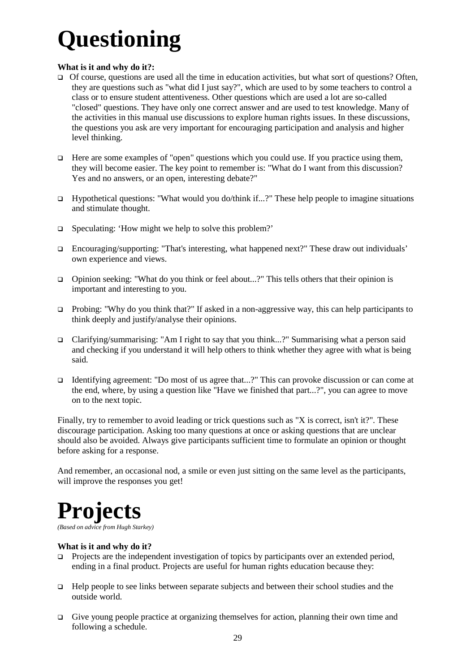# **Questioning**

### **What is it and why do it?:**

- $\Box$  Of course, questions are used all the time in education activities, but what sort of questions? Often, they are questions such as "what did I just say?", which are used to by some teachers to control a class or to ensure student attentiveness. Other questions which are used a lot are so-called "closed" questions. They have only one correct answer and are used to test knowledge. Many of the activities in this manual use discussions to explore human rights issues. In these discussions, the questions you ask are very important for encouraging participation and analysis and higher level thinking.
- $\Box$  Here are some examples of "open" questions which you could use. If you practice using them, they will become easier. The key point to remember is: "What do I want from this discussion? Yes and no answers, or an open, interesting debate?"
- $\Box$  Hypothetical questions: "What would you do/think if...?" These help people to imagine situations and stimulate thought.
- $\Box$  Speculating: 'How might we help to solve this problem?'
- $\Box$  Encouraging/supporting: "That's interesting, what happened next?" These draw out individuals' own experience and views.
- □ Opinion seeking: "What do you think or feel about...?" This tells others that their opinion is important and interesting to you.
- □ Probing: "Why do you think that?" If asked in a non-aggressive way, this can help participants to think deeply and justify/analyse their opinions.
- Clarifying/summarising: "Am I right to say that you think...?" Summarising what a person said and checking if you understand it will help others to think whether they agree with what is being said.
- Identifying agreement: "Do most of us agree that...?" This can provoke discussion or can come at the end, where, by using a question like "Have we finished that part...?", you can agree to move on to the next topic.

Finally, try to remember to avoid leading or trick questions such as "X is correct, isn't it?". These discourage participation. Asking too many questions at once or asking questions that are unclear should also be avoided. Always give participants sufficient time to formulate an opinion or thought before asking for a response.

And remember, an occasional nod, a smile or even just sitting on the same level as the participants, will improve the responses you get!

# **Projects**

*(Based on advice from Hugh Starkey)*

### **What is it and why do it?**

- Projects are the independent investigation of topics by participants over an extended period, ending in a final product. Projects are useful for human rights education because they:
- Help people to see links between separate subjects and between their school studies and the outside world.
- Give young people practice at organizing themselves for action, planning their own time and following a schedule.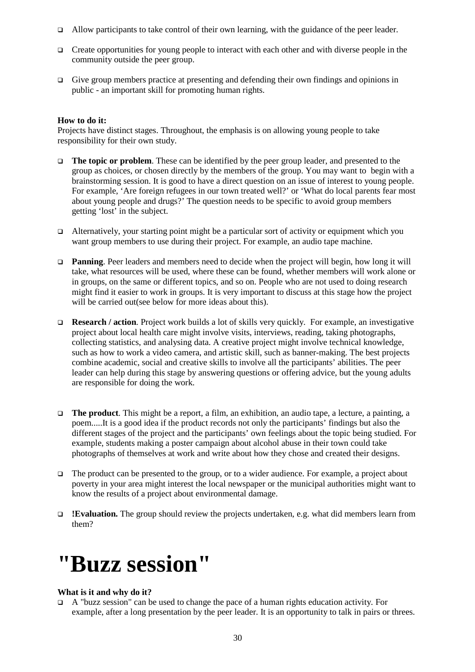- Allow participants to take control of their own learning, with the guidance of the peer leader.
- Create opportunities for young people to interact with each other and with diverse people in the community outside the peer group.
- $\Box$  Give group members practice at presenting and defending their own findings and opinions in public - an important skill for promoting human rights.

### **How to do it:**

Projects have distinct stages. Throughout, the emphasis is on allowing young people to take responsibility for their own study.

- **The topic or problem**. These can be identified by the peer group leader, and presented to the group as choices, or chosen directly by the members of the group. You may want to begin with a brainstorming session. It is good to have a direct question on an issue of interest to young people. For example, 'Are foreign refugees in our town treated well?' or 'What do local parents fear most about young people and drugs?' The question needs to be specific to avoid group members getting 'lost' in the subject.
- $\Box$  Alternatively, your starting point might be a particular sort of activity or equipment which you want group members to use during their project. For example, an audio tape machine.
- **Panning**. Peer leaders and members need to decide when the project will begin, how long it will take, what resources will be used, where these can be found, whether members will work alone or in groups, on the same or different topics, and so on. People who are not used to doing research might find it easier to work in groups. It is very important to discuss at this stage how the project will be carried out(see below for more ideas about this).
- **Research / action**. Project work builds a lot of skills very quickly. For example, an investigative project about local health care might involve visits, interviews, reading, taking photographs, collecting statistics, and analysing data. A creative project might involve technical knowledge, such as how to work a video camera, and artistic skill, such as banner-making. The best projects combine academic, social and creative skills to involve all the participants' abilities. The peer leader can help during this stage by answering questions or offering advice, but the young adults are responsible for doing the work.
- **The product**. This might be a report, a film, an exhibition, an audio tape, a lecture, a painting, a poem.....It is a good idea if the product records not only the participants' findings but also the different stages of the project and the participants' own feelings about the topic being studied. For example, students making a poster campaign about alcohol abuse in their town could take photographs of themselves at work and write about how they chose and created their designs.
- The product can be presented to the group, or to a wider audience. For example, a project about poverty in your area might interest the local newspaper or the municipal authorities might want to know the results of a project about environmental damage.
- **!Evaluation.** The group should review the projects undertaken, e.g. what did members learn from them?

## **"Buzz session"**

### **What is it and why do it?**

 A "buzz session" can be used to change the pace of a human rights education activity. For example, after a long presentation by the peer leader. It is an opportunity to talk in pairs or threes.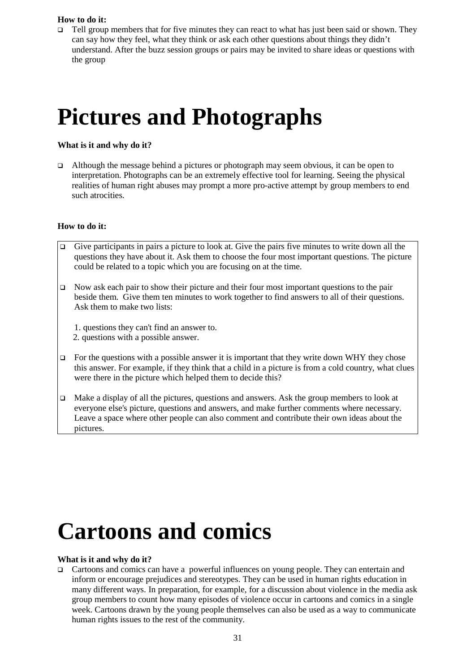### **How to do it:**

 $\Box$  Tell group members that for five minutes they can react to what has just been said or shown. They can say how they feel, what they think or ask each other questions about things they didn't understand. After the buzz session groups or pairs may be invited to share ideas or questions with the group

## **Pictures and Photographs**

### **What is it and why do it?**

Although the message behind a pictures or photograph may seem obvious, it can be open to interpretation. Photographs can be an extremely effective tool for learning. Seeing the physical realities of human right abuses may prompt a more pro-active attempt by group members to end such atrocities.

### **How to do it:**

- Give participants in pairs a picture to look at. Give the pairs five minutes to write down all the questions they have about it. Ask them to choose the four most important questions. The picture could be related to a topic which you are focusing on at the time.
- Now ask each pair to show their picture and their four most important questions to the pair beside them. Give them ten minutes to work together to find answers to all of their questions. Ask them to make two lists:
	- 1. questions they can't find an answer to. 2. questions with a possible answer.
- $\Box$  For the questions with a possible answer it is important that they write down WHY they chose this answer. For example, if they think that a child in a picture is from a cold country, what clues were there in the picture which helped them to decide this?
- $\Box$  Make a display of all the pictures, questions and answers. Ask the group members to look at everyone else's picture, questions and answers, and make further comments where necessary. Leave a space where other people can also comment and contribute their own ideas about the pictures.

## **Cartoons and comics**

### **What is it and why do it?**

 Cartoons and comics can have a powerful influences on young people. They can entertain and inform or encourage prejudices and stereotypes. They can be used in human rights education in many different ways. In preparation, for example, for a discussion about violence in the media ask group members to count how many episodes of violence occur in cartoons and comics in a single week. Cartoons drawn by the young people themselves can also be used as a way to communicate human rights issues to the rest of the community.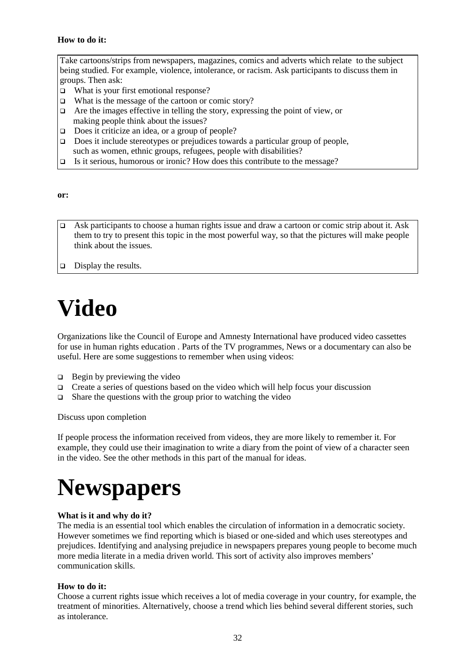### **How to do it:**

Take cartoons/strips from newspapers, magazines, comics and adverts which relate to the subject being studied. For example, violence, intolerance, or racism. Ask participants to discuss them in groups. Then ask:

- □ What is your first emotional response?
- $\Box$  What is the message of the cartoon or comic story?
- $\Box$  Are the images effective in telling the story, expressing the point of view, or making people think about the issues?
- $\Box$  Does it criticize an idea, or a group of people?
- $\Box$  Does it include stereotypes or prejudices towards a particular group of people, such as women, ethnic groups, refugees, people with disabilities?
- $\Box$  Is it serious, humorous or ironic? How does this contribute to the message?

**or:**

Ask participants to choose a human rights issue and draw a cartoon or comic strip about it. Ask them to try to present this topic in the most powerful way, so that the pictures will make people think about the issues.

 $\Box$  Display the results.

# **Video**

Organizations like the Council of Europe and Amnesty International have produced video cassettes for use in human rights education . Parts of the TV programmes, News or a documentary can also be useful. Here are some suggestions to remember when using videos:

- $\Box$  Begin by previewing the video
- $\Box$  Create a series of questions based on the video which will help focus your discussion
- $\Box$  Share the questions with the group prior to watching the video

Discuss upon completion

If people process the information received from videos, they are more likely to remember it. For example, they could use their imagination to write a diary from the point of view of a character seen in the video. See the other methods in this part of the manual for ideas.

# **Newspapers**

### **What is it and why do it?**

The media is an essential tool which enables the circulation of information in a democratic society. However sometimes we find reporting which is biased or one-sided and which uses stereotypes and prejudices. Identifying and analysing prejudice in newspapers prepares young people to become much more media literate in a media driven world. This sort of activity also improves members' communication skills.

### **How to do it:**

Choose a current rights issue which receives a lot of media coverage in your country, for example, the treatment of minorities. Alternatively, choose a trend which lies behind several different stories, such as intolerance.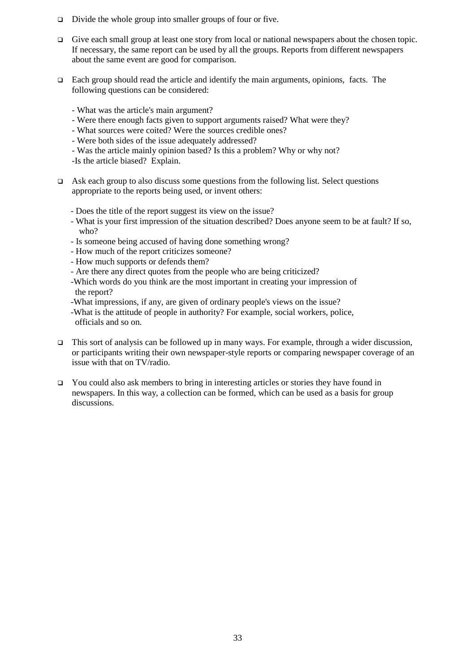- □ Divide the whole group into smaller groups of four or five.
- $\Box$  Give each small group at least one story from local or national newspapers about the chosen topic. If necessary, the same report can be used by all the groups. Reports from different newspapers about the same event are good for comparison.
- $\Box$  Each group should read the article and identify the main arguments, opinions, facts. The following questions can be considered:
	- What was the article's main argument?
	- Were there enough facts given to support arguments raised? What were they?
	- What sources were coited? Were the sources credible ones?
	- Were both sides of the issue adequately addressed?
	- Was the article mainly opinion based? Is this a problem? Why or why not?
	- -Is the article biased? Explain.
- Ask each group to also discuss some questions from the following list. Select questions appropriate to the reports being used, or invent others:
	- Does the title of the report suggest its view on the issue?
	- What is your first impression of the situation described? Does anyone seem to be at fault? If so, who?
	- Is someone being accused of having done something wrong?
	- How much of the report criticizes someone?
	- How much supports or defends them?
	- Are there any direct quotes from the people who are being criticized?
	- -Which words do you think are the most important in creating your impression of the report?
	- -What impressions, if any, are given of ordinary people's views on the issue?
	- -What is the attitude of people in authority? For example, social workers, police, officials and so on.
- $\Box$  This sort of analysis can be followed up in many ways. For example, through a wider discussion, or participants writing their own newspaper-style reports or comparing newspaper coverage of an issue with that on TV/radio.
- $\Box$  You could also ask members to bring in interesting articles or stories they have found in newspapers. In this way, a collection can be formed, which can be used as a basis for group discussions.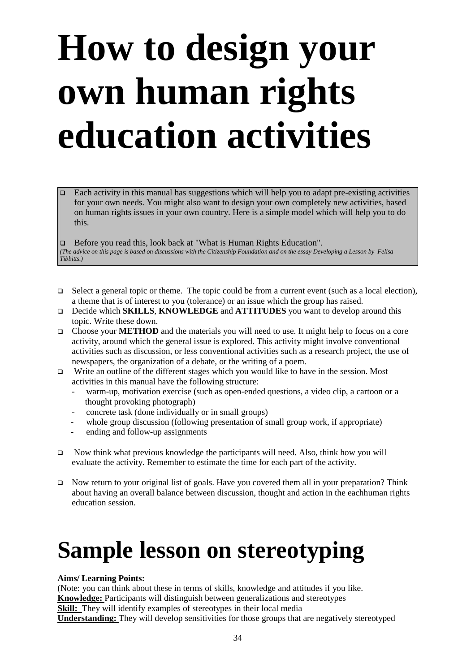# **How to design your own human rights education activities**

 Each activity in this manual has suggestions which will help you to adapt pre-existing activities for your own needs. You might also want to design your own completely new activities, based on human rights issues in your own country. Here is a simple model which will help you to do this.

□ Before you read this, look back at "What is Human Rights Education". *(The advice on this page is based on discussions with the Citizenship Foundation and on the essay Developing a Lesson by Felisa Tibbitts.)*

- $\Box$  Select a general topic or theme. The topic could be from a current event (such as a local election), a theme that is of interest to you (tolerance) or an issue which the group has raised.
- Decide which **SKILLS**, **KNOWLEDGE** and **ATTITUDES** you want to develop around this topic. Write these down.
- Choose your **METHOD** and the materials you will need to use. It might help to focus on a core activity, around which the general issue is explored. This activity might involve conventional activities such as discussion, or less conventional activities such as a research project, the use of newspapers, the organization of a debate, or the writing of a poem.
- $\Box$  Write an outline of the different stages which you would like to have in the session. Most activities in this manual have the following structure:
	- warm-up, motivation exercise (such as open-ended questions, a video clip, a cartoon or a thought provoking photograph)
	- concrete task (done individually or in small groups)
	- whole group discussion (following presentation of small group work, if appropriate)
	- ending and follow-up assignments
- □ Now think what previous knowledge the participants will need. Also, think how you will evaluate the activity. Remember to estimate the time for each part of the activity.
- □ Now return to your original list of goals. Have you covered them all in your preparation? Think about having an overall balance between discussion, thought and action in the eachhuman rights education session.

# **Sample lesson on stereotyping**

### **Aims/ Learning Points:**

(Note: you can think about these in terms of skills, knowledge and attitudes if you like. **Knowledge:** Participants will distinguish between generalizations and stereotypes **Skill:** They will identify examples of stereotypes in their local media **Understanding:** They will develop sensitivities for those groups that are negatively stereotyped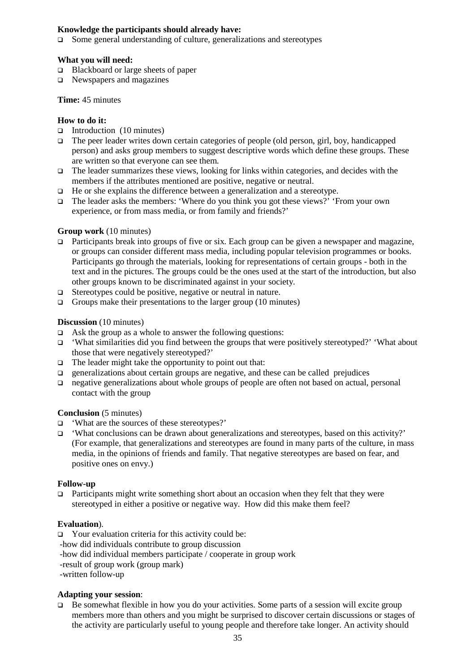### **Knowledge the participants should already have:**

 $\Box$  Some general understanding of culture, generalizations and stereotypes

### **What you will need:**

- □ Blackboard or large sheets of paper
- Newspapers and magazines

### **Time:** 45 minutes

### **How to do it:**

- Introduction  $(10 \text{ minutes})$
- The peer leader writes down certain categories of people (old person, girl, boy, handicapped person) and asks group members to suggest descriptive words which define these groups. These are written so that everyone can see them.
- $\Box$  The leader summarizes these views, looking for links within categories, and decides with the members if the attributes mentioned are positive, negative or neutral.
- $\Box$  He or she explains the difference between a generalization and a stereotype.
- The leader asks the members: 'Where do you think you got these views?' 'From your own experience, or from mass media, or from family and friends?'

### **Group work** (10 minutes)

- Participants break into groups of five or six. Each group can be given a newspaper and magazine. or groups can consider different mass media, including popular television programmes or books. Participants go through the materials, looking for representations of certain groups - both in the text and in the pictures. The groups could be the ones used at the start of the introduction, but also other groups known to be discriminated against in your society.
- □ Stereotypes could be positive, negative or neutral in nature.
- $\Box$  Groups make their presentations to the larger group (10 minutes)

### **Discussion** (10 minutes)

- $\Box$  Ask the group as a whole to answer the following questions:
- 'What similarities did you find between the groups that were positively stereotyped?' 'What about those that were negatively stereotyped?'
- $\Box$  The leader might take the opportunity to point out that:
- $\Box$  generalizations about certain groups are negative, and these can be called prejudices
- negative generalizations about whole groups of people are often not based on actual, personal contact with the group

### **Conclusion** (5 minutes)

- 'What are the sources of these stereotypes?'
- $\Box$  'What conclusions can be drawn about generalizations and stereotypes, based on this activity?' (For example, that generalizations and stereotypes are found in many parts of the culture, in mass media, in the opinions of friends and family. That negative stereotypes are based on fear, and positive ones on envy.)

### **Follow-up**

Participants might write something short about an occasion when they felt that they were stereotyped in either a positive or negative way. How did this make them feel?

### **Evaluation**).

- $\Box$  Your evaluation criteria for this activity could be:
- -how did individuals contribute to group discussion
- -how did individual members participate / cooperate in group work
- -result of group work (group mark)
- -written follow-up

### **Adapting your session**:

 $\Box$  Be somewhat flexible in how you do your activities. Some parts of a session will excite group members more than others and you might be surprised to discover certain discussions or stages of the activity are particularly useful to young people and therefore take longer. An activity should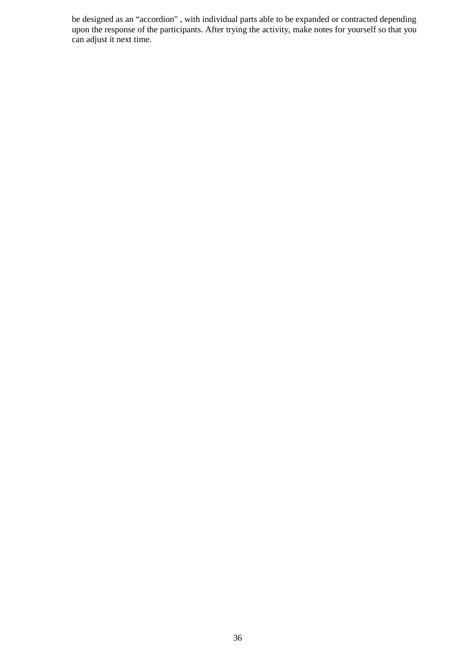be designed as an "accordion" , with individual parts able to be expanded or contracted depending upon the response of the participants. After trying the activity, make notes for yourself so that you can adjust it next time.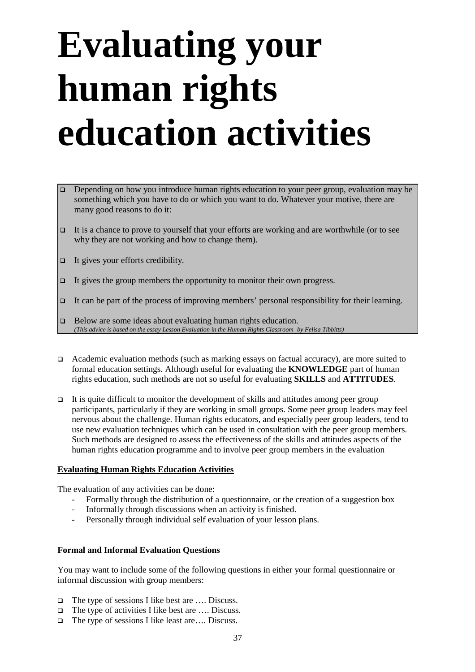## **Evaluating your human rights education activities**

- Depending on how you introduce human rights education to your peer group, evaluation may be something which you have to do or which you want to do. Whatever your motive, there are many good reasons to do it:
- It is a chance to prove to yourself that your efforts are working and are worthwhile (or to see why they are not working and how to change them).
- $\Box$  It gives your efforts credibility.
- $\Box$  It gives the group members the opportunity to monitor their own progress.
- It can be part of the process of improving members' personal responsibility for their learning.
- □ Below are some ideas about evaluating human rights education. *(This advice is based on the essay Lesson Evaluation in the Human Rights Classroom by Felisa Tibbitts)*
- Academic evaluation methods (such as marking essays on factual accuracy), are more suited to formal education settings. Although useful for evaluating the **KNOWLEDGE** part of human rights education, such methods are not so useful for evaluating **SKILLS** and **ATTITUDES**.
- $\Box$  It is quite difficult to monitor the development of skills and attitudes among peer group participants, particularly if they are working in small groups. Some peer group leaders may feel nervous about the challenge. Human rights educators, and especially peer group leaders, tend to use new evaluation techniques which can be used in consultation with the peer group members. Such methods are designed to assess the effectiveness of the skills and attitudes aspects of the human rights education programme and to involve peer group members in the evaluation

#### **Evaluating Human Rights Education Activities**

The evaluation of any activities can be done:

- Formally through the distribution of a questionnaire, or the creation of a suggestion box
- Informally through discussions when an activity is finished.
- Personally through individual self evaluation of your lesson plans.

#### **Formal and Informal Evaluation Questions**

You may want to include some of the following questions in either your formal questionnaire or informal discussion with group members:

- □ The type of sessions I like best are .... Discuss.
- □ The type of activities I like best are .... Discuss.
- The type of sessions I like least are…. Discuss.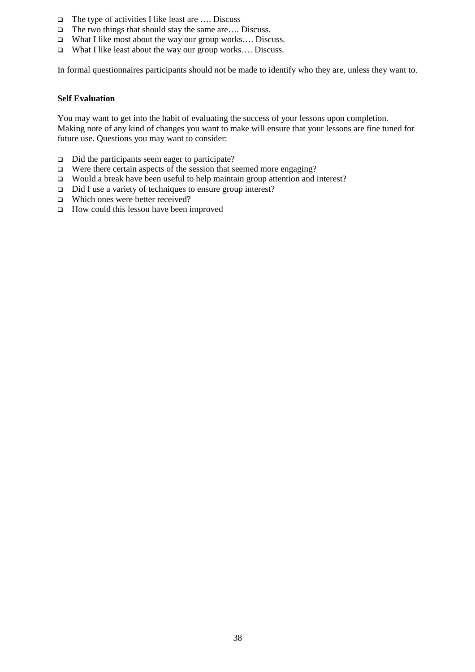- $\Box$  The type of activities I like least are .... Discuss
- □ The two things that should stay the same are.... Discuss.
- What I like most about the way our group works…. Discuss.
- □ What I like least about the way our group works.... Discuss.

In formal questionnaires participants should not be made to identify who they are, unless they want to.

#### **Self Evaluation**

You may want to get into the habit of evaluating the success of your lessons upon completion. Making note of any kind of changes you want to make will ensure that your lessons are fine tuned for future use. Questions you may want to consider:

- $\Box$  Did the participants seem eager to participate?
- $\Box$  Were there certain aspects of the session that seemed more engaging?
- $\Box$  Would a break have been useful to help maintain group attention and interest?
- □ Did I use a variety of techniques to ensure group interest?
- □ Which ones were better received?
- □ How could this lesson have been improved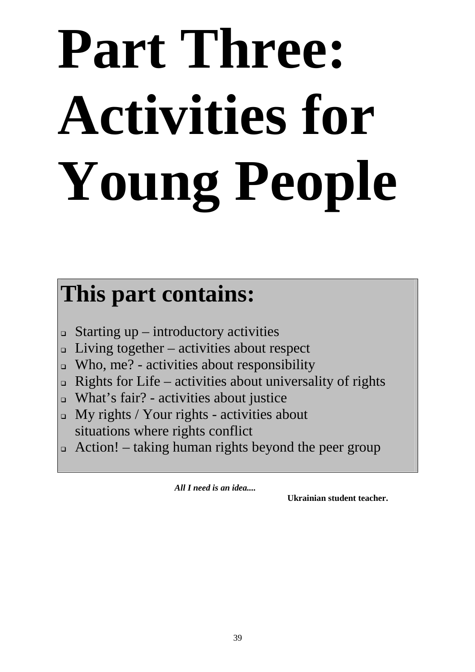# **Part Three: Activities for Young People**

### **This part contains:**

- $\Box$  Starting up introductory activities
- $\Box$  Living together activities about respect
- $\Box$  Who, me? activities about responsibility
- **Rights for Life activities about universality of rights**
- What's fair? activities about justice
- $\Box$  My rights / Your rights activities about situations where rights conflict
- $\Box$  Action! taking human rights beyond the peer group

 *All I need is an idea....*

**Ukrainian student teacher.**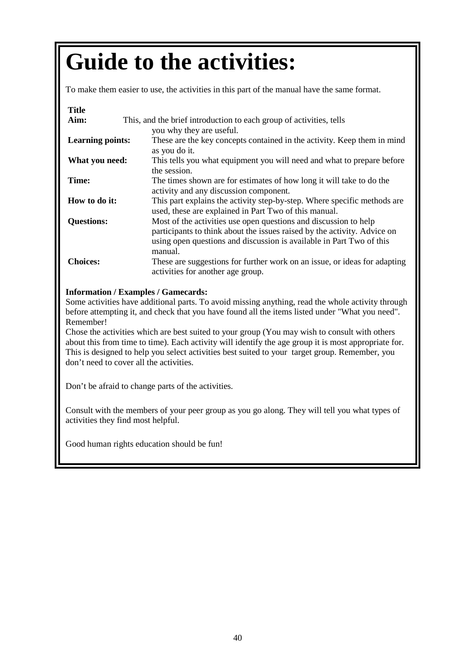### **Guide to the activities:**

To make them easier to use, the activities in this part of the manual have the same format.

#### **Title**

| Aim:                    | This, and the brief introduction to each group of activities, tells                                                                                                                                                             |  |  |  |  |
|-------------------------|---------------------------------------------------------------------------------------------------------------------------------------------------------------------------------------------------------------------------------|--|--|--|--|
|                         | you why they are useful.                                                                                                                                                                                                        |  |  |  |  |
| <b>Learning points:</b> | These are the key concepts contained in the activity. Keep them in mind<br>as you do it.                                                                                                                                        |  |  |  |  |
| What you need:          | This tells you what equipment you will need and what to prepare before<br>the session.                                                                                                                                          |  |  |  |  |
| Time:                   | The times shown are for estimates of how long it will take to do the<br>activity and any discussion component.                                                                                                                  |  |  |  |  |
| How to do it:           | This part explains the activity step-by-step. Where specific methods are<br>used, these are explained in Part Two of this manual.                                                                                               |  |  |  |  |
| <b>Questions:</b>       | Most of the activities use open questions and discussion to help<br>participants to think about the issues raised by the activity. Advice on<br>using open questions and discussion is available in Part Two of this<br>manual. |  |  |  |  |
| <b>Choices:</b>         | These are suggestions for further work on an issue, or ideas for adapting<br>activities for another age group.                                                                                                                  |  |  |  |  |

#### **Information / Examples / Gamecards:**

Some activities have additional parts. To avoid missing anything, read the whole activity through before attempting it, and check that you have found all the items listed under "What you need". Remember!

Chose the activities which are best suited to your group (You may wish to consult with others about this from time to time). Each activity will identify the age group it is most appropriate for. This is designed to help you select activities best suited to your target group. Remember, you don't need to cover all the activities.

Don't be afraid to change parts of the activities.

Consult with the members of your peer group as you go along. They will tell you what types of activities they find most helpful.

Good human rights education should be fun!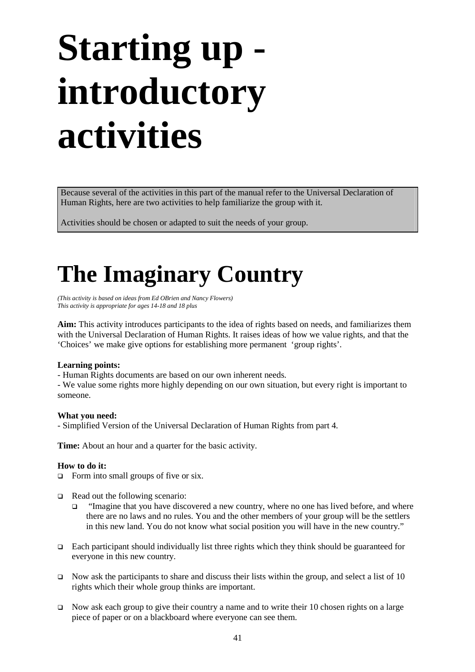## **Starting up introductory activities**

Because several of the activities in this part of the manual refer to the Universal Declaration of Human Rights, here are two activities to help familiarize the group with it.

Activities should be chosen or adapted to suit the needs of your group.

### **The Imaginary Country**

*(This activity is based on ideas from Ed OBrien and Nancy Flowers) This activity is appropriate for ages 14-18 and 18 plus*

**Aim:** This activity introduces participants to the idea of rights based on needs, and familiarizes them with the Universal Declaration of Human Rights. It raises ideas of how we value rights, and that the 'Choices' we make give options for establishing more permanent 'group rights'.

#### **Learning points:**

- Human Rights documents are based on our own inherent needs.

- We value some rights more highly depending on our own situation, but every right is important to someone.

#### **What you need:**

- Simplified Version of the Universal Declaration of Human Rights from part 4.

**Time:** About an hour and a quarter for the basic activity.

#### **How to do it:**

 $\Box$  Form into small groups of five or six.

- $\Box$  Read out the following scenario:
	- "Imagine that you have discovered a new country, where no one has lived before, and where there are no laws and no rules. You and the other members of your group will be the settlers in this new land. You do not know what social position you will have in the new country."
- **Each participant should individually list three rights which they think should be guaranteed for** everyone in this new country.
- Now ask the participants to share and discuss their lists within the group, and select a list of 10 rights which their whole group thinks are important.
- Now ask each group to give their country a name and to write their 10 chosen rights on a large piece of paper or on a blackboard where everyone can see them.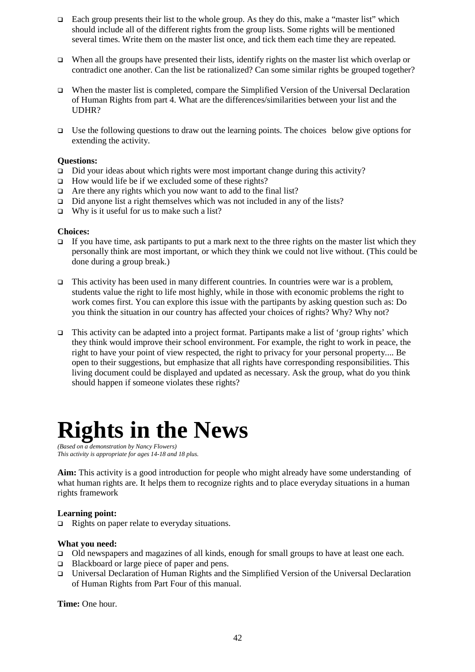- $\Box$  Each group presents their list to the whole group. As they do this, make a "master list" which should include all of the different rights from the group lists. Some rights will be mentioned several times. Write them on the master list once, and tick them each time they are repeated.
- When all the groups have presented their lists, identify rights on the master list which overlap or contradict one another. Can the list be rationalized? Can some similar rights be grouped together?
- When the master list is completed, compare the Simplified Version of the Universal Declaration of Human Rights from part 4. What are the differences/similarities between your list and the UDHR?
- $\Box$  Use the following questions to draw out the learning points. The choices below give options for extending the activity.

#### **Questions:**

- $\Box$  Did your ideas about which rights were most important change during this activity?
- $\Box$  How would life be if we excluded some of these rights?
- $\Box$  Are there any rights which you now want to add to the final list?
- □ Did anyone list a right themselves which was not included in any of the lists?
- $\Box$  Why is it useful for us to make such a list?

#### **Choices:**

- If you have time, ask partipants to put a mark next to the three rights on the master list which they personally think are most important, or which they think we could not live without. (This could be done during a group break.)
- $\Box$  This activity has been used in many different countries. In countries were war is a problem, students value the right to life most highly, while in those with economic problems the right to work comes first. You can explore this issue with the partipants by asking question such as: Do you think the situation in our country has affected your choices of rights? Why? Why not?
- This activity can be adapted into a project format. Partipants make a list of 'group rights' which they think would improve their school environment. For example, the right to work in peace, the right to have your point of view respected, the right to privacy for your personal property.... Be open to their suggestions, but emphasize that all rights have corresponding responsibilities. This living document could be displayed and updated as necessary. Ask the group, what do you think should happen if someone violates these rights?

### **Rights in the News**

*(Based on a demonstration by Nancy Flowers) This activity is appropriate for ages 14-18 and 18 plus.*

**Aim:** This activity is a good introduction for people who might already have some understanding of what human rights are. It helps them to recognize rights and to place everyday situations in a human rights framework

#### **Learning point:**

 $\Box$  Rights on paper relate to everyday situations.

#### **What you need:**

- □ Old newspapers and magazines of all kinds, enough for small groups to have at least one each.
- □ Blackboard or large piece of paper and pens.
- Universal Declaration of Human Rights and the Simplified Version of the Universal Declaration of Human Rights from Part Four of this manual.

**Time:** One hour.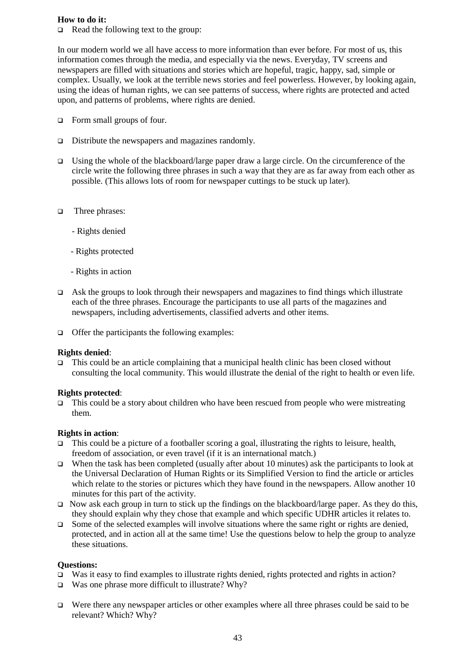#### **How to do it:**

 $\Box$  Read the following text to the group:

In our modern world we all have access to more information than ever before. For most of us, this information comes through the media, and especially via the news. Everyday, TV screens and newspapers are filled with situations and stories which are hopeful, tragic, happy, sad, simple or complex. Usually, we look at the terrible news stories and feel powerless. However, by looking again, using the ideas of human rights, we can see patterns of success, where rights are protected and acted upon, and patterns of problems, where rights are denied.

- Form small groups of four.
- □ Distribute the newspapers and magazines randomly.
- Using the whole of the blackboard/large paper draw a large circle. On the circumference of the circle write the following three phrases in such a way that they are as far away from each other as possible. (This allows lots of room for newspaper cuttings to be stuck up later).
- □ Three phrases:
	- Rights denied
	- Rights protected
	- Rights in action
- $\Box$  Ask the groups to look through their newspapers and magazines to find things which illustrate each of the three phrases. Encourage the participants to use all parts of the magazines and newspapers, including advertisements, classified adverts and other items.
- $\Box$  Offer the participants the following examples:

#### **Rights denied**:

 $\Box$  This could be an article complaining that a municipal health clinic has been closed without consulting the local community. This would illustrate the denial of the right to health or even life.

#### **Rights protected**:

 $\Box$  This could be a story about children who have been rescued from people who were mistreating them.

#### **Rights in action**:

- $\Box$  This could be a picture of a footballer scoring a goal, illustrating the rights to leisure, health, freedom of association, or even travel (if it is an international match.)
- When the task has been completed (usually after about 10 minutes) ask the participants to look at the Universal Declaration of Human Rights or its Simplified Version to find the article or articles which relate to the stories or pictures which they have found in the newspapers. Allow another 10 minutes for this part of the activity.
- Now ask each group in turn to stick up the findings on the blackboard/large paper. As they do this, they should explain why they chose that example and which specific UDHR articles it relates to.
- $\Box$  Some of the selected examples will involve situations where the same right or rights are denied, protected, and in action all at the same time! Use the questions below to help the group to analyze these situations.

#### **Questions:**

- $\Box$  Was it easy to find examples to illustrate rights denied, rights protected and rights in action?
- $\Box$  Was one phrase more difficult to illustrate? Why?
- Were there any newspaper articles or other examples where all three phrases could be said to be relevant? Which? Why?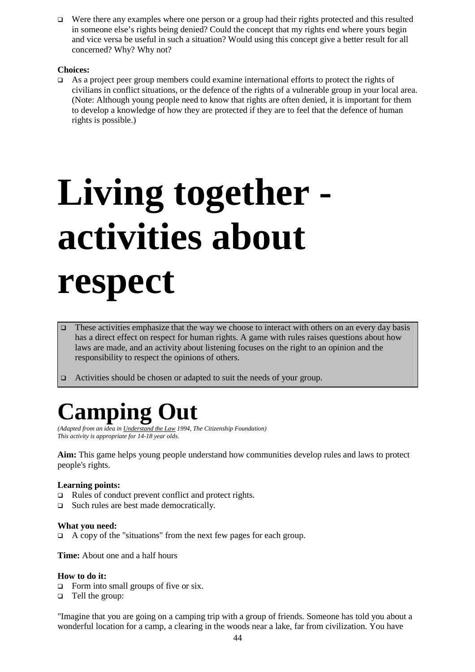Were there any examples where one person or a group had their rights protected and this resulted in someone else's rights being denied? Could the concept that my rights end where yours begin and vice versa be useful in such a situation? Would using this concept give a better result for all concerned? Why? Why not?

#### **Choices:**

As a project peer group members could examine international efforts to protect the rights of civilians in conflict situations, or the defence of the rights of a vulnerable group in your local area. (Note: Although young people need to know that rights are often denied, it is important for them to develop a knowledge of how they are protected if they are to feel that the defence of human rights is possible.)

## **Living together activities about respect**

- These activities emphasize that the way we choose to interact with others on an every day basis has a direct effect on respect for human rights. A game with rules raises questions about how laws are made, and an activity about listening focuses on the right to an opinion and the responsibility to respect the opinions of others.
- □ Activities should be chosen or adapted to suit the needs of your group.

### **Camping Out**

*(Adapted from an idea in Understand the Law 1994, The Citizenship Foundation) This activity is appropriate for 14-18 year olds.*

**Aim:** This game helps young people understand how communities develop rules and laws to protect people's rights.

#### **Learning points:**

- $\Box$  Rules of conduct prevent conflict and protect rights.
- □ Such rules are best made democratically.

#### **What you need:**

A copy of the "situations" from the next few pages for each group.

**Time:** About one and a half hours

#### **How to do it:**

- $\Box$  Form into small groups of five or six.
- □ Tell the group:

"Imagine that you are going on a camping trip with a group of friends. Someone has told you about a wonderful location for a camp, a clearing in the woods near a lake, far from civilization. You have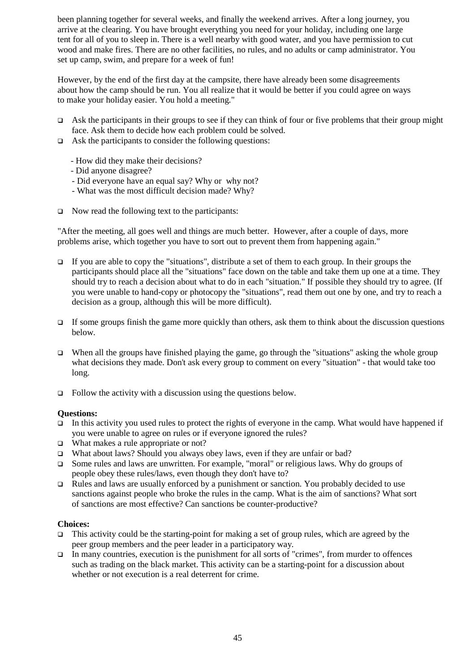been planning together for several weeks, and finally the weekend arrives. After a long journey, you arrive at the clearing. You have brought everything you need for your holiday, including one large tent for all of you to sleep in. There is a well nearby with good water, and you have permission to cut wood and make fires. There are no other facilities, no rules, and no adults or camp administrator. You set up camp, swim, and prepare for a week of fun!

However, by the end of the first day at the campsite, there have already been some disagreements about how the camp should be run. You all realize that it would be better if you could agree on ways to make your holiday easier. You hold a meeting."

- Ask the participants in their groups to see if they can think of four or five problems that their group might face. Ask them to decide how each problem could be solved.
- $\Box$  Ask the participants to consider the following questions:
	- How did they make their decisions?
	- Did anyone disagree?
	- Did everyone have an equal say? Why or why not?
	- What was the most difficult decision made? Why?
- $\Box$  Now read the following text to the participants:

"After the meeting, all goes well and things are much better. However, after a couple of days, more problems arise, which together you have to sort out to prevent them from happening again."

- If you are able to copy the "situations", distribute a set of them to each group. In their groups the participants should place all the "situations" face down on the table and take them up one at a time. They should try to reach a decision about what to do in each "situation." If possible they should try to agree. (If you were unable to hand-copy or photocopy the "situations", read them out one by one, and try to reach a decision as a group, although this will be more difficult).
- If some groups finish the game more quickly than others, ask them to think about the discussion questions below.
- $\Box$  When all the groups have finished playing the game, go through the "situations" asking the whole group what decisions they made. Don't ask every group to comment on every "situation" - that would take too long.
- $\Box$  Follow the activity with a discussion using the questions below.

#### **Questions:**

- $\Box$  In this activity you used rules to protect the rights of everyone in the camp. What would have happened if you were unable to agree on rules or if everyone ignored the rules?
- □ What makes a rule appropriate or not?
- What about laws? Should you always obey laws, even if they are unfair or bad?
- Some rules and laws are unwritten. For example, "moral" or religious laws. Why do groups of people obey these rules/laws, even though they don't have to?
- Fulles and laws are usually enforced by a punishment or sanction. You probably decided to use sanctions against people who broke the rules in the camp. What is the aim of sanctions? What sort of sanctions are most effective? Can sanctions be counter-productive?

#### **Choices:**

- This activity could be the starting-point for making a set of group rules, which are agreed by the peer group members and the peer leader in a participatory way.
- $\Box$  In many countries, execution is the punishment for all sorts of "crimes", from murder to offences such as trading on the black market. This activity can be a starting-point for a discussion about whether or not execution is a real deterrent for crime.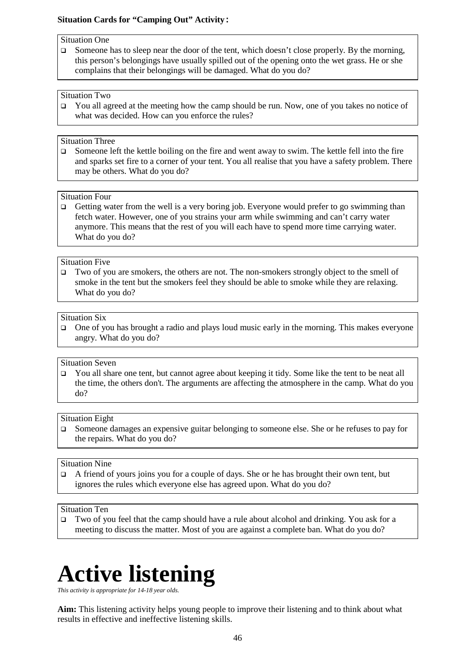#### **Situation Cards for "Camping Out" Activity:**

#### Situation One

 $\Box$  Someone has to sleep near the door of the tent, which doesn't close properly. By the morning, this person's belongings have usually spilled out of the opening onto the wet grass. He or she complains that their belongings will be damaged. What do you do?

#### Situation Two

 $\Box$  You all agreed at the meeting how the camp should be run. Now, one of you takes no notice of what was decided. How can you enforce the rules?

#### Situation Three

 $\Box$  Someone left the kettle boiling on the fire and went away to swim. The kettle fell into the fire and sparks set fire to a corner of your tent. You all realise that you have a safety problem. There may be others. What do you do?

#### Situation Four

 $\Box$  Getting water from the well is a very boring job. Everyone would prefer to go swimming than fetch water. However, one of you strains your arm while swimming and can't carry water anymore. This means that the rest of you will each have to spend more time carrying water. What do you do?

#### Situation Five

 Two of you are smokers, the others are not. The non-smokers strongly object to the smell of smoke in the tent but the smokers feel they should be able to smoke while they are relaxing. What do you do?

#### Situation Six

 $\Box$  One of you has brought a radio and plays loud music early in the morning. This makes everyone angry. What do you do?

#### Situation Seven

You all share one tent, but cannot agree about keeping it tidy. Some like the tent to be neat all the time, the others don't. The arguments are affecting the atmosphere in the camp. What do you do?

#### Situation Eight

 Someone damages an expensive guitar belonging to someone else. She or he refuses to pay for the repairs. What do you do?

#### Situation Nine

 $\Box$  A friend of yours joins you for a couple of days. She or he has brought their own tent, but ignores the rules which everyone else has agreed upon. What do you do?

#### Situation Ten

 Two of you feel that the camp should have a rule about alcohol and drinking. You ask for a meeting to discuss the matter. Most of you are against a complete ban. What do you do?

### **Active listening**

*This activity is appropriate for 14-18 year olds.* 

**Aim:** This listening activity helps young people to improve their listening and to think about what results in effective and ineffective listening skills.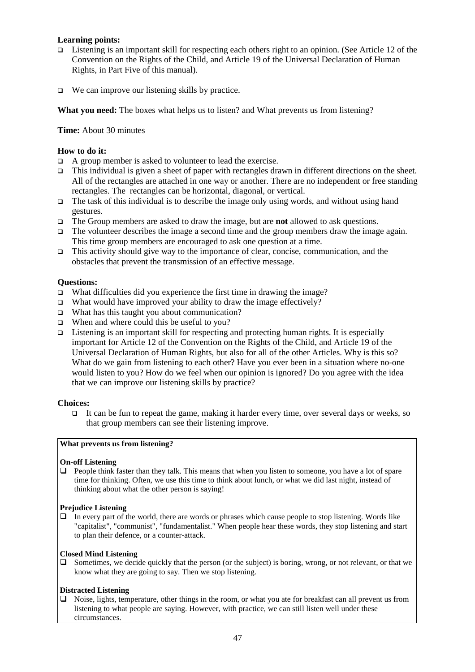#### **Learning points:**

- Listening is an important skill for respecting each others right to an opinion. (See Article 12 of the Convention on the Rights of the Child, and Article 19 of the Universal Declaration of Human Rights, in Part Five of this manual).
- $\Box$  We can improve our listening skills by practice.

**What you need:** The boxes what helps us to listen? and What prevents us from listening?

**Time:** About 30 minutes

#### **How to do it:**

- $\Box$  A group member is asked to volunteer to lead the exercise.
- This individual is given a sheet of paper with rectangles drawn in different directions on the sheet. All of the rectangles are attached in one way or another. There are no independent or free standing rectangles. The rectangles can be horizontal, diagonal, or vertical.
- $\Box$  The task of this individual is to describe the image only using words, and without using hand gestures.
- The Group members are asked to draw the image, but are **not** allowed to ask questions.
- $\Box$  The volunteer describes the image a second time and the group members draw the image again. This time group members are encouraged to ask one question at a time.
- $\Box$  This activity should give way to the importance of clear, concise, communication, and the obstacles that prevent the transmission of an effective message.

#### **Questions:**

- $\Box$  What difficulties did you experience the first time in drawing the image?
- $\Box$  What would have improved your ability to draw the image effectively?
- □ What has this taught you about communication?
- □ When and where could this be useful to you?
- $\Box$  Listening is an important skill for respecting and protecting human rights. It is especially important for Article 12 of the Convention on the Rights of the Child, and Article 19 of the Universal Declaration of Human Rights, but also for all of the other Articles. Why is this so? What do we gain from listening to each other? Have you ever been in a situation where no-one would listen to you? How do we feel when our opinion is ignored? Do you agree with the idea that we can improve our listening skills by practice?

#### **Choices:**

 $\Box$  It can be fun to repeat the game, making it harder every time, over several days or weeks, so that group members can see their listening improve.

#### **What prevents us from listening?**

#### **On-off Listening**

 $\Box$  People think faster than they talk. This means that when you listen to someone, you have a lot of spare time for thinking. Often, we use this time to think about lunch, or what we did last night, instead of thinking about what the other person is saying!

#### **Prejudice Listening**

 $\Box$  In every part of the world, there are words or phrases which cause people to stop listening. Words like "capitalist", "communist", "fundamentalist." When people hear these words, they stop listening and start to plan their defence, or a counter-attack.

#### **Closed Mind Listening**

 $\Box$  Sometimes, we decide quickly that the person (or the subject) is boring, wrong, or not relevant, or that we know what they are going to say. Then we stop listening.

#### **Distracted Listening**

 $\Box$  Noise, lights, temperature, other things in the room, or what you ate for breakfast can all prevent us from listening to what people are saying. However, with practice, we can still listen well under these circumstances.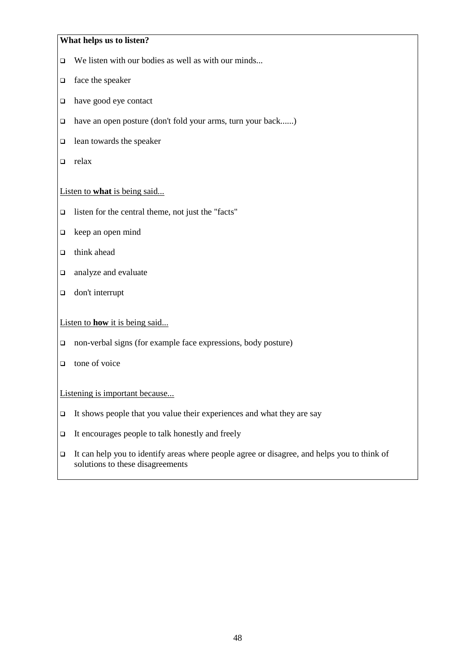#### **What helps us to listen?**

- $\Box$  We listen with our bodies as well as with our minds...
- $\Box$  face the speaker
- $\Box$  have good eye contact
- have an open posture (don't fold your arms, turn your back......)
- $\Box$  lean towards the speaker
- $\Box$  relax

#### Listen to **what** is being said...

- $\Box$  listen for the central theme, not just the "facts"
- $\Box$  keep an open mind
- $\Box$  think ahead
- **a** analyze and evaluate
- **don't interrupt**

#### Listen to **how** it is being said...

- non-verbal signs (for example face expressions, body posture)
- $\Box$  tone of voice

#### Listening is important because...

- $\Box$  It shows people that you value their experiences and what they are say
- $\Box$  It encourages people to talk honestly and freely
- $\Box$  It can help you to identify areas where people agree or disagree, and helps you to think of solutions to these disagreements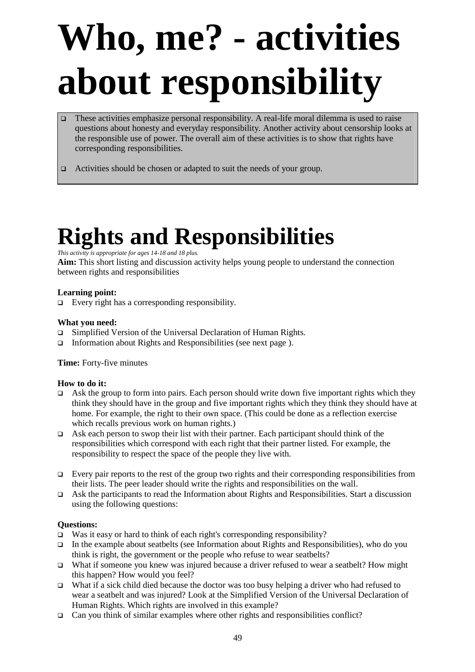## **Who, me? - activities about responsibility**

- $\Box$  These activities emphasize personal responsibility. A real-life moral dilemma is used to raise questions about honesty and everyday responsibility. Another activity about censorship looks at the responsible use of power. The overall aim of these activities is to show that rights have corresponding responsibilities.
- □ Activities should be chosen or adapted to suit the needs of your group.

### **Rights and Responsibilities**

#### *This activity is appropriate for ages 14-18 and 18 plus.*

**Aim:** This short listing and discussion activity helps young people to understand the connection between rights and responsibilities

#### **Learning point:**

 $\Box$  Every right has a corresponding responsibility.

#### **What you need:**

- Simplified Version of the Universal Declaration of Human Rights.
- $\Box$  Information about Rights and Responsibilities (see next page).

#### **Time:** Forty-five minutes

#### **How to do it:**

- Ask the group to form into pairs. Each person should write down five important rights which they think they should have in the group and five important rights which they think they should have at home. For example, the right to their own space. (This could be done as a reflection exercise which recalls previous work on human rights.)
- $\Box$  Ask each person to swop their list with their partner. Each participant should think of the responsibilities which correspond with each right that their partner listed. For example, the responsibility to respect the space of the people they live with.
- Every pair reports to the rest of the group two rights and their corresponding responsibilities from their lists. The peer leader should write the rights and responsibilities on the wall.
- $\Box$  Ask the participants to read the Information about Rights and Responsibilities. Start a discussion using the following questions:

#### **Questions:**

- $\square$  Was it easy or hard to think of each right's corresponding responsibility?
- In the example about seatbelts (see Information about Rights and Responsibilities), who do you think is right, the government or the people who refuse to wear seatbelts?
- What if someone you knew was injured because a driver refused to wear a seatbelt? How might this happen? How would you feel?
- What if a sick child died because the doctor was too busy helping a driver who had refused to wear a seatbelt and was injured? Look at the Simplified Version of the Universal Declaration of Human Rights. Which rights are involved in this example?
- $\Box$  Can you think of similar examples where other rights and responsibilities conflict?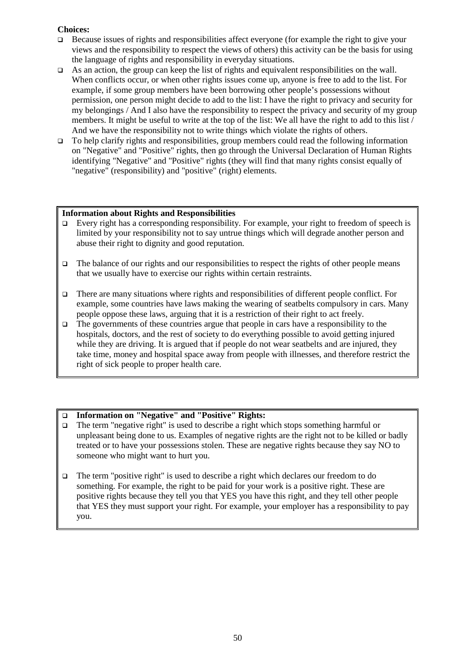#### **Choices:**

- $\Box$  Because issues of rights and responsibilities affect everyone (for example the right to give your views and the responsibility to respect the views of others) this activity can be the basis for using the language of rights and responsibility in everyday situations.
- As an action, the group can keep the list of rights and equivalent responsibilities on the wall. When conflicts occur, or when other rights issues come up, anyone is free to add to the list. For example, if some group members have been borrowing other people's possessions without permission, one person might decide to add to the list: I have the right to privacy and security for my belongings / And I also have the responsibility to respect the privacy and security of my group members. It might be useful to write at the top of the list: We all have the right to add to this list  $\overline{\overline{}}$ And we have the responsibility not to write things which violate the rights of others.
- $\Box$  To help clarify rights and responsibilities, group members could read the following information on "Negative" and "Positive" rights, then go through the Universal Declaration of Human Rights identifying "Negative" and "Positive" rights (they will find that many rights consist equally of "negative" (responsibility) and "positive" (right) elements.

#### **Information about Rights and Responsibilities**

- $\Box$  Every right has a corresponding responsibility. For example, your right to freedom of speech is limited by your responsibility not to say untrue things which will degrade another person and abuse their right to dignity and good reputation.
- $\Box$  The balance of our rights and our responsibilities to respect the rights of other people means that we usually have to exercise our rights within certain restraints.
- There are many situations where rights and responsibilities of different people conflict. For example, some countries have laws making the wearing of seatbelts compulsory in cars. Many people oppose these laws, arguing that it is a restriction of their right to act freely.
- $\Box$  The governments of these countries argue that people in cars have a responsibility to the hospitals, doctors, and the rest of society to do everything possible to avoid getting injured while they are driving. It is argued that if people do not wear seatbelts and are injured, they take time, money and hospital space away from people with illnesses, and therefore restrict the right of sick people to proper health care.

#### **Information on "Negative" and "Positive" Rights:**

- The term "negative right" is used to describe a right which stops something harmful or unpleasant being done to us. Examples of negative rights are the right not to be killed or badly treated or to have your possessions stolen. These are negative rights because they say NO to someone who might want to hurt you.
- The term "positive right" is used to describe a right which declares our freedom to do something. For example, the right to be paid for your work is a positive right. These are positive rights because they tell you that YES you have this right, and they tell other people that YES they must support your right. For example, your employer has a responsibility to pay you.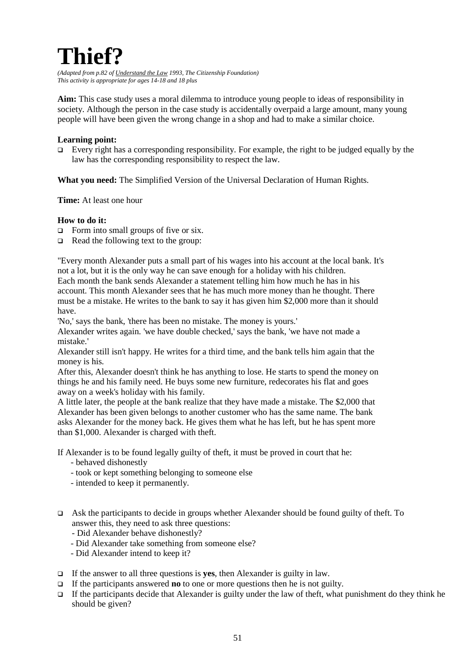### **Thief?**

*(Adapted from p.82 of Understand the Law 1993, The Citizenship Foundation) This activity is appropriate for ages 14-18 and 18 plus*

**Aim:** This case study uses a moral dilemma to introduce young people to ideas of responsibility in society. Although the person in the case study is accidentally overpaid a large amount, many young people will have been given the wrong change in a shop and had to make a similar choice.

#### **Learning point:**

Every right has a corresponding responsibility. For example, the right to be judged equally by the law has the corresponding responsibility to respect the law.

**What you need:** The Simplified Version of the Universal Declaration of Human Rights.

**Time:** At least one hour

#### **How to do it:**

- $\Box$  Form into small groups of five or six.
- $\Box$  Read the following text to the group:

"Every month Alexander puts a small part of his wages into his account at the local bank. It's not a lot, but it is the only way he can save enough for a holiday with his children. Each month the bank sends Alexander a statement telling him how much he has in his account. This month Alexander sees that he has much more money than he thought. There must be a mistake. He writes to the bank to say it has given him \$2,000 more than it should

have.

'No,' says the bank, 'there has been no mistake. The money is yours.' Alexander writes again. 'we have double checked,' says the bank, 'we have not made a mistake.'

Alexander still isn't happy. He writes for a third time, and the bank tells him again that the money is his.

After this, Alexander doesn't think he has anything to lose. He starts to spend the money on things he and his family need. He buys some new furniture, redecorates his flat and goes away on a week's holiday with his family.

A little later, the people at the bank realize that they have made a mistake. The \$2,000 that Alexander has been given belongs to another customer who has the same name. The bank asks Alexander for the money back. He gives them what he has left, but he has spent more than \$1,000. Alexander is charged with theft.

If Alexander is to be found legally guilty of theft, it must be proved in court that he:

- behaved dishonestly
- took or kept something belonging to someone else
- intended to keep it permanently.
- Ask the participants to decide in groups whether Alexander should be found guilty of theft. To answer this, they need to ask three questions:
	- Did Alexander behave dishonestly?
	- Did Alexander take something from someone else?
	- Did Alexander intend to keep it?
- If the answer to all three questions is **yes**, then Alexander is guilty in law.
- If the participants answered **no** to one or more questions then he is not guilty.
- If the participants decide that Alexander is guilty under the law of theft, what punishment do they think he should be given?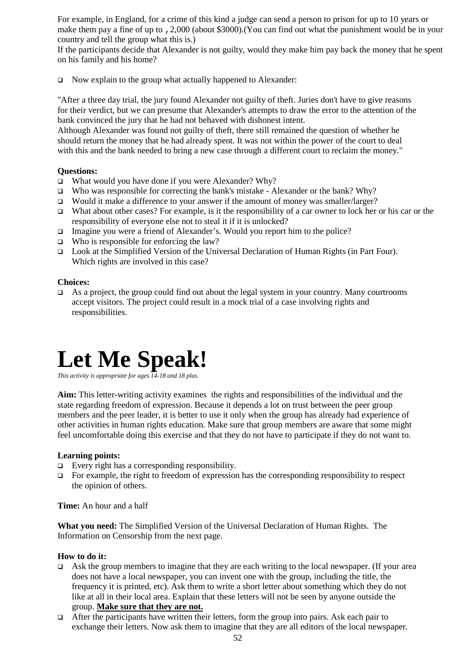For example, in England, for a crime of this kind a judge can send a person to prison for up to 10 years or make them pay a fine of up to ,2,000 (about \$3000).(You can find out what the punishment would be in your country and tell the group what this is.)

If the participants decide that Alexander is not guilty, would they make him pay back the money that he spent on his family and his home?

 $\Box$  Now explain to the group what actually happened to Alexander:

"After a three day trial, the jury found Alexander not guilty of theft. Juries don't have to give reasons for their verdict, but we can presume that Alexander's attempts to draw the error to the attention of the bank convinced the jury that he had not behaved with dishonest intent.

Although Alexander was found not guilty of theft, there still remained the question of whether he should return the money that he had already spent. It was not within the power of the court to deal with this and the bank needed to bring a new case through a different court to reclaim the money."

#### **Questions:**

- $\Box$  What would you have done if you were Alexander? Why?
- Who was responsible for correcting the bank's mistake Alexander or the bank? Why?
- Would it make a difference to your answer if the amount of money was smaller/larger?
- What about other cases? For example, is it the responsibility of a car owner to lock her or his car or the responsibility of everyone else not to steal it if it is unlocked?
- □ Imagine you were a friend of Alexander's. Would you report him to the police?
- $\Box$  Who is responsible for enforcing the law?
- Look at the Simplified Version of the Universal Declaration of Human Rights (in Part Four). Which rights are involved in this case?

#### **Choices:**

 As a project, the group could find out about the legal system in your country. Many courtrooms accept visitors. The project could result in a mock trial of a case involving rights and responsibilities.

### **Let Me Speak!**

*This activity is appropriate for ages 14-18 and 18 plus.* 

**Aim:** This letter-writing activity examines the rights and responsibilities of the individual and the state regarding freedom of expression. Because it depends a lot on trust between the peer group members and the peer leader, it is better to use it only when the group has already had experience of other activities in human rights education. Make sure that group members are aware that some might feel uncomfortable doing this exercise and that they do not have to participate if they do not want to.

#### **Learning points:**

- $\Box$  Every right has a corresponding responsibility.
- $\Box$  For example, the right to freedom of expression has the corresponding responsibility to respect the opinion of others.

**Time:** An hour and a half

**What you need:** The Simplified Version of the Universal Declaration of Human Rights. The Information on Censorship from the next page.

#### **How to do it:**

- Ask the group members to imagine that they are each writing to the local newspaper. (If your area does not have a local newspaper, you can invent one with the group, including the title, the frequency it is printed, etc). Ask them to write a short letter about something which they do not like at all in their local area. Explain that these letters will not be seen by anyone outside the group. **Make sure that they are not.**
- After the participants have written their letters, form the group into pairs. Ask each pair to exchange their letters. Now ask them to imagine that they are all editors of the local newspaper.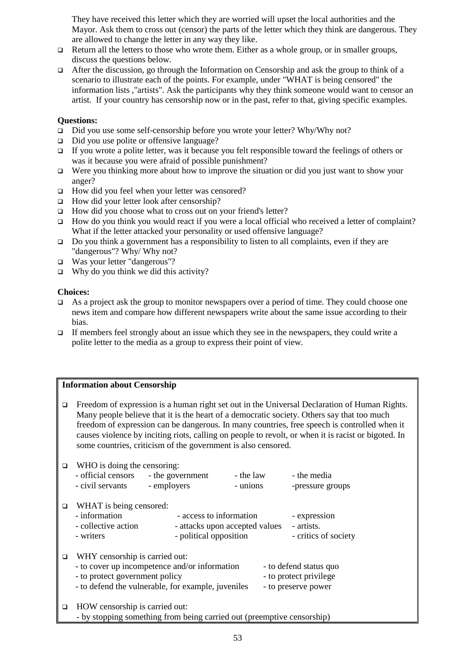They have received this letter which they are worried will upset the local authorities and the Mayor. Ask them to cross out (censor) the parts of the letter which they think are dangerous. They are allowed to change the letter in any way they like.

- $\Box$  Return all the letters to those who wrote them. Either as a whole group, or in smaller groups, discuss the questions below.
- After the discussion, go through the Information on Censorship and ask the group to think of a scenario to illustrate each of the points. For example, under "WHAT is being censored" the information lists ,"artists". Ask the participants why they think someone would want to censor an artist. If your country has censorship now or in the past, refer to that, giving specific examples.

#### **Questions:**

- □ Did you use some self-censorship before you wrote your letter? Why/Why not?
- □ Did you use polite or offensive language?
- If you wrote a polite letter, was it because you felt responsible toward the feelings of others or was it because you were afraid of possible punishment?
- Were you thinking more about how to improve the situation or did you just want to show your anger?
- $\Box$  How did you feel when your letter was censored?
- $\Box$  How did your letter look after censorship?
- How did you choose what to cross out on your friend's letter?
- How do you think you would react if you were a local official who received a letter of complaint? What if the letter attacked your personality or used offensive language?
- Do you think a government has a responsibility to listen to all complaints, even if they are "dangerous"? Why/ Why not?
- Was your letter "dangerous"?
- $\Box$  Why do you think we did this activity?

#### **Choices:**

- As a project ask the group to monitor newspapers over a period of time. They could choose one news item and compare how different newspapers write about the same issue according to their bias.
- $\Box$  If members feel strongly about an issue which they see in the newspapers, they could write a polite letter to the media as a group to express their point of view.

#### **Information about Censorship**

| Freedom of expression is a human right set out in the Universal Declaration of Human Rights.        |  |  |  |  |
|-----------------------------------------------------------------------------------------------------|--|--|--|--|
| Many people believe that it is the heart of a democratic society. Others say that too much          |  |  |  |  |
| freedom of expression can be dangerous. In many countries, free speech is controlled when it        |  |  |  |  |
| causes violence by inciting riots, calling on people to revolt, or when it is racist or bigoted. In |  |  |  |  |
| some countries, criticism of the government is also censored.                                       |  |  |  |  |

| $\Box$ | WHO is doing the censoring:                                                                                                                                                                                                                                            |                        |                                            |                        |  |  |
|--------|------------------------------------------------------------------------------------------------------------------------------------------------------------------------------------------------------------------------------------------------------------------------|------------------------|--------------------------------------------|------------------------|--|--|
|        | - official censors                                                                                                                                                                                                                                                     | - the government       | - the law                                  | - the media            |  |  |
|        | - civil servants                                                                                                                                                                                                                                                       | - employers            | - unions                                   | -pressure groups       |  |  |
| □      | WHAT is being censored:                                                                                                                                                                                                                                                |                        |                                            |                        |  |  |
|        | - information<br>- access to information                                                                                                                                                                                                                               |                        |                                            | - expression           |  |  |
|        | - collective action<br>- attacks upon accepted values                                                                                                                                                                                                                  |                        | - artists.                                 |                        |  |  |
|        | - writers                                                                                                                                                                                                                                                              | - political opposition |                                            | - critics of society   |  |  |
| □      | WHY censorship is carried out:                                                                                                                                                                                                                                         |                        |                                            |                        |  |  |
|        | - to cover up incompetence and/or information                                                                                                                                                                                                                          |                        |                                            | - to defend status quo |  |  |
|        | - to protect government policy                                                                                                                                                                                                                                         |                        |                                            | - to protect privilege |  |  |
|        | - to defend the vulnerable, for example, juveniles                                                                                                                                                                                                                     |                        |                                            | - to preserve power    |  |  |
| □      | HOW censorship is carried out:                                                                                                                                                                                                                                         |                        |                                            |                        |  |  |
|        | $\frac{1}{1}$ . The set of $\frac{1}{1}$ is the set of $\frac{1}{1}$ is the set of $\frac{1}{1}$ is the set of $\frac{1}{1}$ is the set of $\frac{1}{1}$ is the set of $\frac{1}{1}$ is the set of $\frac{1}{1}$ is the set of $\frac{1}{1}$ is the set of $\frac{1}{$ |                        | $\mathbf{1}$ , and the set of $\mathbf{1}$ |                        |  |  |

- by stopping something from being carried out (preemptive censorship)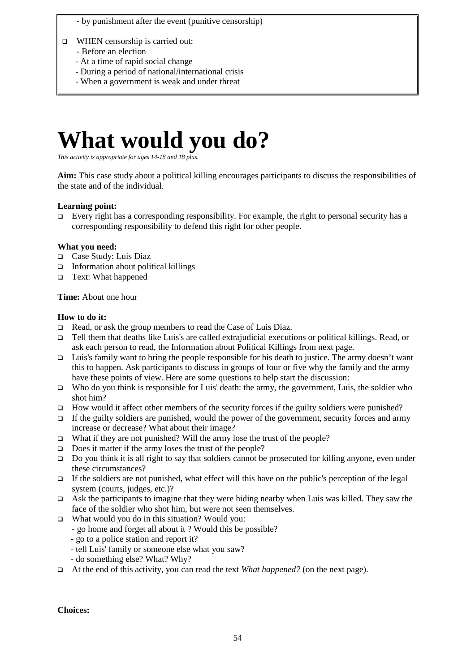- by punishment after the event (punitive censorship)
- $\Box$  WHEN censorship is carried out:
	- Before an election
	- At a time of rapid social change
	- During a period of national/international crisis
	- When a government is weak and under threat

### **What would you do?**

*This activity is appropriate for ages 14-18 and 18 plus.* 

**Aim:** This case study about a political killing encourages participants to discuss the responsibilities of the state and of the individual.

#### **Learning point:**

 $\Box$  Every right has a corresponding responsibility. For example, the right to personal security has a corresponding responsibility to defend this right for other people.

#### **What you need:**

- Case Study: Luis Diaz
- $\Box$  Information about political killings
- Text: What happened

**Time:** About one hour

#### **How to do it:**

- Read, or ask the group members to read the Case of Luis Diaz.
- Tell them that deaths like Luis's are called extrajudicial executions or political killings. Read, or ask each person to read, the Information about Political Killings from next page.
- **Luis's family want to bring the people responsible for his death to justice. The army doesn't want** this to happen. Ask participants to discuss in groups of four or five why the family and the army have these points of view. Here are some questions to help start the discussion:
- $\Box$  Who do you think is responsible for Luis' death: the army, the government, Luis, the soldier who shot him?
- How would it affect other members of the security forces if the guilty soldiers were punished?
- If the guilty soldiers are punished, would the power of the government, security forces and army increase or decrease? What about their image?
- $\Box$  What if they are not punished? Will the army lose the trust of the people?
- $\Box$  Does it matter if the army loses the trust of the people?
- Do you think it is all right to say that soldiers cannot be prosecuted for killing anyone, even under these circumstances?
- If the soldiers are not punished, what effect will this have on the public's perception of the legal system (courts, judges, etc.)?
- Ask the participants to imagine that they were hiding nearby when Luis was killed. They saw the face of the soldier who shot him, but were not seen themselves.
- What would you do in this situation? Would you:
	- go home and forget all about it ? Would this be possible?
		- go to a police station and report it?
	- tell Luis' family or someone else what you saw?
	- do something else? What? Why?
- At the end of this activity, you can read the text *What happened?* (on the next page).

**Choices:**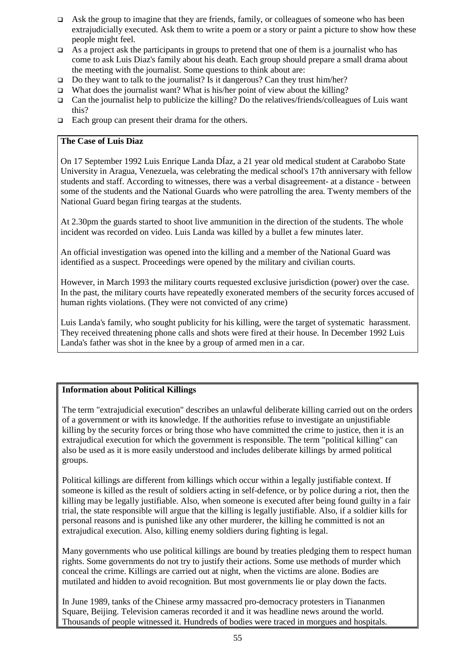- $\Box$  Ask the group to imagine that they are friends, family, or colleagues of someone who has been extrajudicially executed. Ask them to write a poem or a story or paint a picture to show how these people might feel.
- As a project ask the participants in groups to pretend that one of them is a journalist who has come to ask Luis Diaz's family about his death. Each group should prepare a small drama about the meeting with the journalist. Some questions to think about are:
- $\Box$  Do they want to talk to the journalist? Is it dangerous? Can they trust him/her?
- What does the journalist want? What is his/her point of view about the killing?
- Can the journalist help to publicize the killing? Do the relatives/friends/colleagues of Luis want this?
- $\Box$  Each group can present their drama for the others.

#### **The Case of Luis Diaz**

On 17 September 1992 Luis Enrique Landa DÍaz, a 21 year old medical student at Carabobo State University in Aragua, Venezuela, was celebrating the medical school's 17th anniversary with fellow students and staff. According to witnesses, there was a verbal disagreement- at a distance - between some of the students and the National Guards who were patrolling the area. Twenty members of the National Guard began firing teargas at the students.

At 2.30pm the guards started to shoot live ammunition in the direction of the students. The whole incident was recorded on video. Luis Landa was killed by a bullet a few minutes later.

An official investigation was opened into the killing and a member of the National Guard was identified as a suspect. Proceedings were opened by the military and civilian courts.

However, in March 1993 the military courts requested exclusive jurisdiction (power) over the case. In the past, the military courts have repeatedly exonerated members of the security forces accused of human rights violations. (They were not convicted of any crime)

Luis Landa's family, who sought publicity for his killing, were the target of systematic harassment. They received threatening phone calls and shots were fired at their house. In December 1992 Luis Landa's father was shot in the knee by a group of armed men in a car.

#### **Information about Political Killings**

The term "extrajudicial execution" describes an unlawful deliberate killing carried out on the orders of a government or with its knowledge. If the authorities refuse to investigate an unjustifiable killing by the security forces or bring those who have committed the crime to justice, then it is an extrajudical execution for which the government is responsible. The term "political killing" can also be used as it is more easily understood and includes deliberate killings by armed political groups.

Political killings are different from killings which occur within a legally justifiable context. If someone is killed as the result of soldiers acting in self-defence, or by police during a riot, then the killing may be legally justifiable. Also, when someone is executed after being found guilty in a fair trial, the state responsible will argue that the killing is legally justifiable. Also, if a soldier kills for personal reasons and is punished like any other murderer, the killing he committed is not an extrajudical execution. Also, killing enemy soldiers during fighting is legal.

Many governments who use political killings are bound by treaties pledging them to respect human rights. Some governments do not try to justify their actions. Some use methods of murder which conceal the crime. Killings are carried out at night, when the victims are alone. Bodies are mutilated and hidden to avoid recognition. But most governments lie or play down the facts.

In June 1989, tanks of the Chinese army massacred pro-democracy protesters in Tiananmen Square, Beijing. Television cameras recorded it and it was headline news around the world. Thousands of people witnessed it. Hundreds of bodies were traced in morgues and hospitals.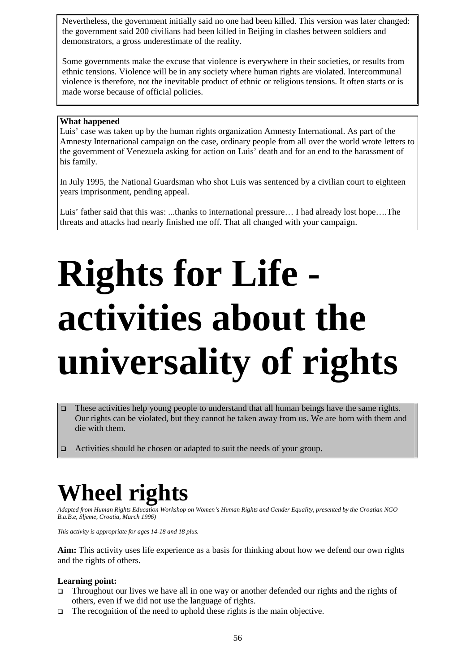Nevertheless, the government initially said no one had been killed. This version was later changed: the government said 200 civilians had been killed in Beijing in clashes between soldiers and demonstrators, a gross underestimate of the reality.

Some governments make the excuse that violence is everywhere in their societies, or results from ethnic tensions. Violence will be in any society where human rights are violated. Intercommunal violence is therefore, not the inevitable product of ethnic or religious tensions. It often starts or is made worse because of official policies.

#### **What happened**

Luis' case was taken up by the human rights organization Amnesty International. As part of the Amnesty International campaign on the case, ordinary people from all over the world wrote letters to the government of Venezuela asking for action on Luis' death and for an end to the harassment of his family.

In July 1995, the National Guardsman who shot Luis was sentenced by a civilian court to eighteen years imprisonment, pending appeal.

Luis' father said that this was: ...thanks to international pressure… I had already lost hope….The threats and attacks had nearly finished me off. That all changed with your campaign.

## **Rights for Life activities about the universality of rights**

- These activities help young people to understand that all human beings have the same rights. Our rights can be violated, but they cannot be taken away from us. We are born with them and die with them.
- Activities should be chosen or adapted to suit the needs of your group.

### **Wheel rights**

*Adapted from Human Rights Education Workshop on Women's Human Rights and Gender Equality, presented by the Croatian NGO B.a.B.e, Sljeme, Croatia, March 1996)* 

*This activity is appropriate for ages 14-18 and 18 plus.* 

**Aim:** This activity uses life experience as a basis for thinking about how we defend our own rights and the rights of others.

#### **Learning point:**

- Throughout our lives we have all in one way or another defended our rights and the rights of others, even if we did not use the language of rights.
- $\Box$  The recognition of the need to uphold these rights is the main objective.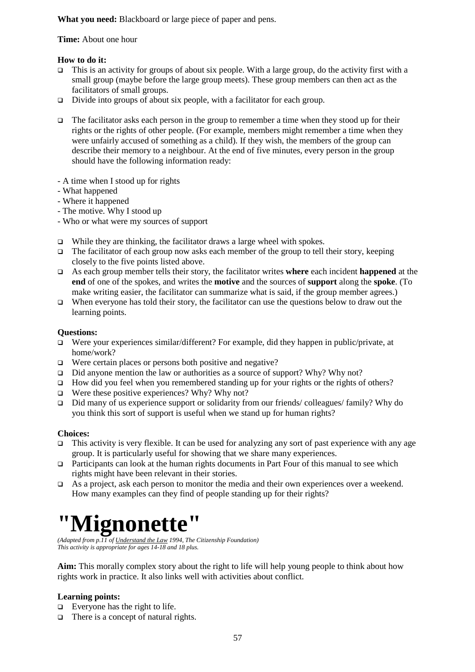**What you need:** Blackboard or large piece of paper and pens.

**Time:** About one hour

#### **How to do it:**

- This is an activity for groups of about six people. With a large group, do the activity first with a small group (maybe before the large group meets). These group members can then act as the facilitators of small groups.
- □ Divide into groups of about six people, with a facilitator for each group.
- The facilitator asks each person in the group to remember a time when they stood up for their rights or the rights of other people. (For example, members might remember a time when they were unfairly accused of something as a child). If they wish, the members of the group can describe their memory to a neighbour. At the end of five minutes, every person in the group should have the following information ready:
- A time when I stood up for rights
- What happened
- Where it happened
- The motive. Why I stood up
- Who or what were my sources of support
- $\Box$  While they are thinking, the facilitator draws a large wheel with spokes.
- The facilitator of each group now asks each member of the group to tell their story, keeping closely to the five points listed above.
- As each group member tells their story, the facilitator writes **where** each incident **happened** at the **end** of one of the spokes, and writes the **motive** and the sources of **support** along the **spoke**. (To make writing easier, the facilitator can summarize what is said, if the group member agrees.)
- When everyone has told their story, the facilitator can use the questions below to draw out the learning points.

#### **Questions:**

- Were your experiences similar/different? For example, did they happen in public/private, at home/work?
- $\Box$  Were certain places or persons both positive and negative?
- $\Box$  Did anyone mention the law or authorities as a source of support? Why? Why not?
- $\Box$  How did you feel when you remembered standing up for your rights or the rights of others?
- $\Box$  Were these positive experiences? Why? Why not?
- □ Did many of us experience support or solidarity from our friends/ colleagues/ family? Why do you think this sort of support is useful when we stand up for human rights?

#### **Choices:**

- $\Box$  This activity is very flexible. It can be used for analyzing any sort of past experience with any age group. It is particularly useful for showing that we share many experiences.
- Participants can look at the human rights documents in Part Four of this manual to see which rights might have been relevant in their stories.
- As a project, ask each person to monitor the media and their own experiences over a weekend. How many examples can they find of people standing up for their rights?

### **"Mignonette"**

*(Adapted from p.11 of Understand the Law 1994, The Citizenship Foundation) This activity is appropriate for ages 14-18 and 18 plus.*

**Aim:** This morally complex story about the right to life will help young people to think about how rights work in practice. It also links well with activities about conflict.

#### **Learning points:**

- $\Box$  Everyone has the right to life.
- $\Box$  There is a concept of natural rights.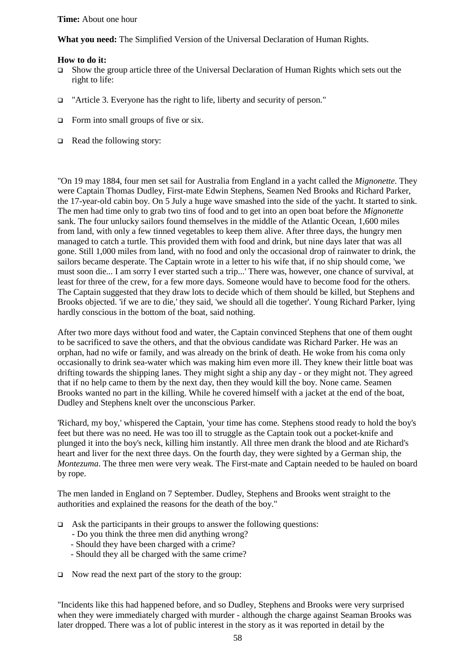#### **Time:** About one hour

**What you need:** The Simplified Version of the Universal Declaration of Human Rights.

#### **How to do it:**

- Show the group article three of the Universal Declaration of Human Rights which sets out the right to life:
- "Article 3. Everyone has the right to life, liberty and security of person."
- $\Box$  Form into small groups of five or six.
- Read the following story:

"On 19 may 1884, four men set sail for Australia from England in a yacht called the *Mignonette*. They were Captain Thomas Dudley, First-mate Edwin Stephens, Seamen Ned Brooks and Richard Parker, the 17-year-old cabin boy. On 5 July a huge wave smashed into the side of the yacht. It started to sink. The men had time only to grab two tins of food and to get into an open boat before the *Mignonette* sank. The four unlucky sailors found themselves in the middle of the Atlantic Ocean, 1,600 miles from land, with only a few tinned vegetables to keep them alive. After three days, the hungry men managed to catch a turtle. This provided them with food and drink, but nine days later that was all gone. Still 1,000 miles from land, with no food and only the occasional drop of rainwater to drink, the sailors became desperate. The Captain wrote in a letter to his wife that, if no ship should come, 'we must soon die... I am sorry I ever started such a trip...' There was, however, one chance of survival, at least for three of the crew, for a few more days. Someone would have to become food for the others. The Captain suggested that they draw lots to decide which of them should be killed, but Stephens and Brooks objected. 'if we are to die,' they said, 'we should all die together'. Young Richard Parker, lying hardly conscious in the bottom of the boat, said nothing.

After two more days without food and water, the Captain convinced Stephens that one of them ought to be sacrificed to save the others, and that the obvious candidate was Richard Parker. He was an orphan, had no wife or family, and was already on the brink of death. He woke from his coma only occasionally to drink sea-water which was making him even more ill. They knew their little boat was drifting towards the shipping lanes. They might sight a ship any day - or they might not. They agreed that if no help came to them by the next day, then they would kill the boy. None came. Seamen Brooks wanted no part in the killing. While he covered himself with a jacket at the end of the boat, Dudley and Stephens knelt over the unconscious Parker.

'Richard, my boy,' whispered the Captain, 'your time has come. Stephens stood ready to hold the boy's feet but there was no need. He was too ill to struggle as the Captain took out a pocket-knife and plunged it into the boy's neck, killing him instantly. All three men drank the blood and ate Richard's heart and liver for the next three days. On the fourth day, they were sighted by a German ship, the *Montezuma*. The three men were very weak. The First-mate and Captain needed to be hauled on board by rope.

The men landed in England on 7 September. Dudley, Stephens and Brooks went straight to the authorities and explained the reasons for the death of the boy."

- $\Box$  Ask the participants in their groups to answer the following questions:
	- Do you think the three men did anything wrong?
	- Should they have been charged with a crime?
	- Should they all be charged with the same crime?
- $\Box$  Now read the next part of the story to the group:

"Incidents like this had happened before, and so Dudley, Stephens and Brooks were very surprised when they were immediately charged with murder - although the charge against Seaman Brooks was later dropped. There was a lot of public interest in the story as it was reported in detail by the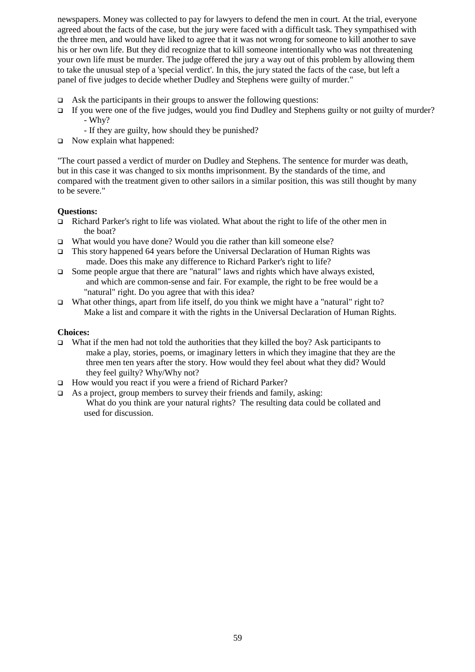newspapers. Money was collected to pay for lawyers to defend the men in court. At the trial, everyone agreed about the facts of the case, but the jury were faced with a difficult task. They sympathised with the three men, and would have liked to agree that it was not wrong for someone to kill another to save his or her own life. But they did recognize that to kill someone intentionally who was not threatening your own life must be murder. The judge offered the jury a way out of this problem by allowing them to take the unusual step of a 'special verdict'. In this, the jury stated the facts of the case, but left a panel of five judges to decide whether Dudley and Stephens were guilty of murder."

- $\Box$  Ask the participants in their groups to answer the following questions:
- If you were one of the five judges, would you find Dudley and Stephens guilty or not guilty of murder? - Why?
	- If they are guilty, how should they be punished?
- Now explain what happened:

"The court passed a verdict of murder on Dudley and Stephens. The sentence for murder was death, but in this case it was changed to six months imprisonment. By the standards of the time, and compared with the treatment given to other sailors in a similar position, this was still thought by many to be severe."

#### **Questions:**

- Richard Parker's right to life was violated. What about the right to life of the other men in the boat?
- What would you have done? Would you die rather than kill someone else?
- This story happened 64 years before the Universal Declaration of Human Rights was made. Does this make any difference to Richard Parker's right to life?
- $\Box$  Some people argue that there are "natural" laws and rights which have always existed, and which are common-sense and fair. For example, the right to be free would be a "natural" right. Do you agree that with this idea?
- What other things, apart from life itself, do you think we might have a "natural" right to? Make a list and compare it with the rights in the Universal Declaration of Human Rights.

#### **Choices:**

- What if the men had not told the authorities that they killed the boy? Ask participants to make a play, stories, poems, or imaginary letters in which they imagine that they are the three men ten years after the story. How would they feel about what they did? Would they feel guilty? Why/Why not?
- □ How would you react if you were a friend of Richard Parker?
- $\Box$  As a project, group members to survey their friends and family, asking:

 What do you think are your natural rights? The resulting data could be collated and used for discussion.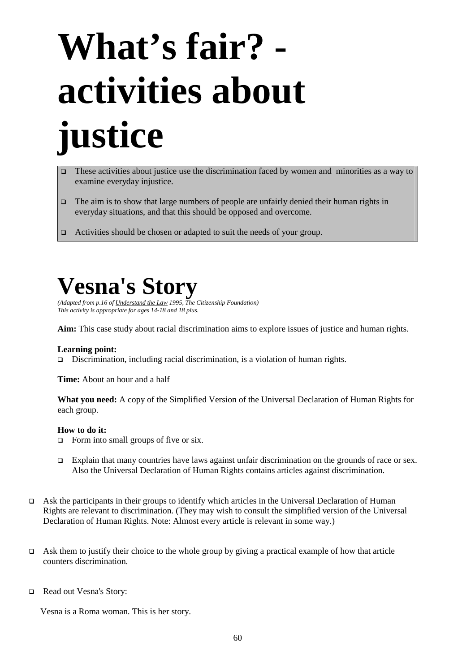## **What's fair? activities about justice**

- These activities about justice use the discrimination faced by women and minorities as a way to examine everyday injustice.
- The aim is to show that large numbers of people are unfairly denied their human rights in everyday situations, and that this should be opposed and overcome.
- □ Activities should be chosen or adapted to suit the needs of your group.

### **Vesna's Story**

*(Adapted from p.16 of Understand the Law 1995, The Citizenship Foundation) This activity is appropriate for ages 14-18 and 18 plus.*

**Aim:** This case study about racial discrimination aims to explore issues of justice and human rights.

#### **Learning point:**

Discrimination, including racial discrimination, is a violation of human rights.

**Time:** About an hour and a half

**What you need:** A copy of the Simplified Version of the Universal Declaration of Human Rights for each group.

#### **How to do it:**

- $\Box$  Form into small groups of five or six.
- □ Explain that many countries have laws against unfair discrimination on the grounds of race or sex. Also the Universal Declaration of Human Rights contains articles against discrimination.
- Ask the participants in their groups to identify which articles in the Universal Declaration of Human Rights are relevant to discrimination. (They may wish to consult the simplified version of the Universal Declaration of Human Rights. Note: Almost every article is relevant in some way.)
- Ask them to justify their choice to the whole group by giving a practical example of how that article counters discrimination.
- Read out Vesna's Story:

Vesna is a Roma woman. This is her story.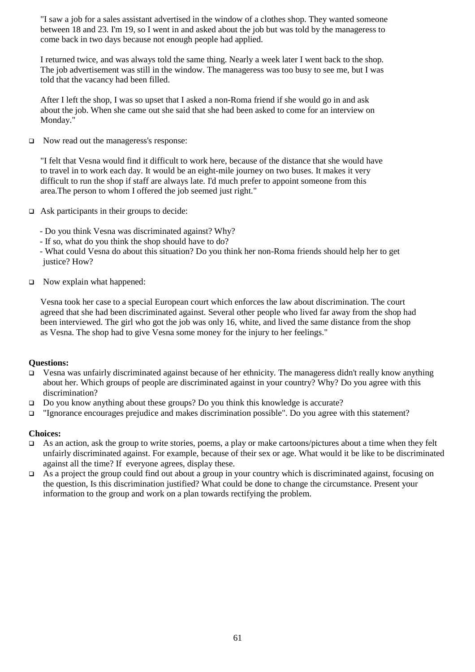"I saw a job for a sales assistant advertised in the window of a clothes shop. They wanted someone between 18 and 23. I'm 19, so I went in and asked about the job but was told by the manageress to come back in two days because not enough people had applied.

I returned twice, and was always told the same thing. Nearly a week later I went back to the shop. The job advertisement was still in the window. The manageress was too busy to see me, but I was told that the vacancy had been filled.

After I left the shop, I was so upset that I asked a non-Roma friend if she would go in and ask about the job. When she came out she said that she had been asked to come for an interview on Monday."

□ Now read out the manageress's response:

"I felt that Vesna would find it difficult to work here, because of the distance that she would have to travel in to work each day. It would be an eight-mile journey on two buses. It makes it very difficult to run the shop if staff are always late. I'd much prefer to appoint someone from this area.The person to whom I offered the job seemed just right."

- $\Box$  Ask participants in their groups to decide:
	- Do you think Vesna was discriminated against? Why?
	- If so, what do you think the shop should have to do?

 - What could Vesna do about this situation? Do you think her non-Roma friends should help her to get justice? How?

Now explain what happened:

Vesna took her case to a special European court which enforces the law about discrimination. The court agreed that she had been discriminated against. Several other people who lived far away from the shop had been interviewed. The girl who got the job was only 16, white, and lived the same distance from the shop as Vesna. The shop had to give Vesna some money for the injury to her feelings."

#### **Questions:**

- Vesna was unfairly discriminated against because of her ethnicity. The manageress didn't really know anything about her. Which groups of people are discriminated against in your country? Why? Do you agree with this discrimination?
- Do you know anything about these groups? Do you think this knowledge is accurate?
- □ "Ignorance encourages prejudice and makes discrimination possible". Do you agree with this statement?

#### **Choices:**

- As an action, ask the group to write stories, poems, a play or make cartoons/pictures about a time when they felt unfairly discriminated against. For example, because of their sex or age. What would it be like to be discriminated against all the time? If everyone agrees, display these.
- $\Box$  As a project the group could find out about a group in your country which is discriminated against, focusing on the question, Is this discrimination justified? What could be done to change the circumstance. Present your information to the group and work on a plan towards rectifying the problem.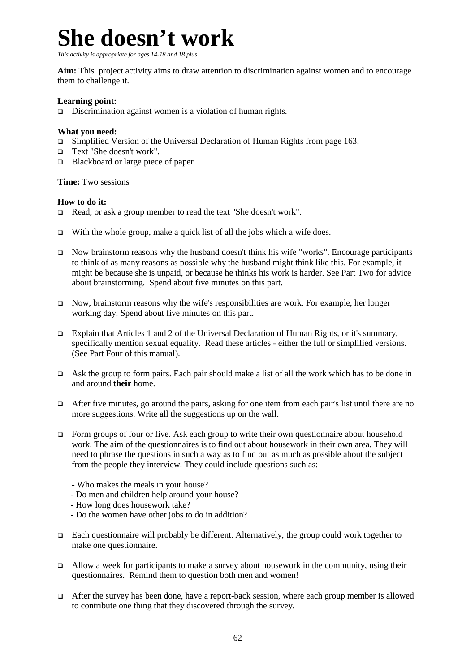### **She doesn't work**

*This activity is appropriate for ages 14-18 and 18 plus* 

**Aim:** This project activity aims to draw attention to discrimination against women and to encourage them to challenge it.

#### **Learning point:**

 $\Box$  Discrimination against women is a violation of human rights.

#### **What you need:**

- □ Simplified Version of the Universal Declaration of Human Rights from page 163.
- Text "She doesn't work".
- □ Blackboard or large piece of paper

**Time:** Two sessions

#### **How to do it:**

- Read, or ask a group member to read the text "She doesn't work".
- $\Box$  With the whole group, make a quick list of all the jobs which a wife does.
- Now brainstorm reasons why the husband doesn't think his wife "works". Encourage participants to think of as many reasons as possible why the husband might think like this. For example, it might be because she is unpaid, or because he thinks his work is harder. See Part Two for advice about brainstorming. Spend about five minutes on this part.
- Now, brainstorm reasons why the wife's responsibilities are work. For example, her longer working day. Spend about five minutes on this part.
- Explain that Articles 1 and 2 of the Universal Declaration of Human Rights, or it's summary, specifically mention sexual equality. Read these articles - either the full or simplified versions. (See Part Four of this manual).
- Ask the group to form pairs. Each pair should make a list of all the work which has to be done in and around **their** home.
- After five minutes, go around the pairs, asking for one item from each pair's list until there are no more suggestions. Write all the suggestions up on the wall.
- Form groups of four or five. Ask each group to write their own questionnaire about household work. The aim of the questionnaires is to find out about housework in their own area. They will need to phrase the questions in such a way as to find out as much as possible about the subject from the people they interview. They could include questions such as:
	- Who makes the meals in your house?
	- Do men and children help around your house?
	- How long does housework take?
	- Do the women have other jobs to do in addition?
- $\Box$  Each questionnaire will probably be different. Alternatively, the group could work together to make one questionnaire.
- $\Box$  Allow a week for participants to make a survey about housework in the community, using their questionnaires. Remind them to question both men and women!
- $\Box$  After the survey has been done, have a report-back session, where each group member is allowed to contribute one thing that they discovered through the survey.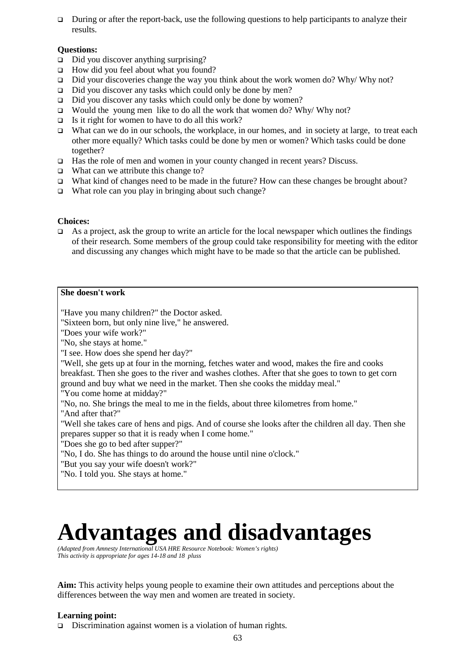$\Box$  During or after the report-back, use the following questions to help participants to analyze their results.

#### **Questions:**

- $\Box$  Did you discover anything surprising?
- □ How did you feel about what you found?
- $\Box$  Did your discoveries change the way you think about the work women do? Why/ Why not?
- $\Box$  Did you discover any tasks which could only be done by men?
- □ Did you discover any tasks which could only be done by women?
- Would the young men like to do all the work that women do? Why Why not?
- $\Box$  Is it right for women to have to do all this work?
- What can we do in our schools, the workplace, in our homes, and in society at large, to treat each other more equally? Which tasks could be done by men or women? Which tasks could be done together?
- Has the role of men and women in your county changed in recent years? Discuss.
- $\Box$  What can we attribute this change to?
- What kind of changes need to be made in the future? How can these changes be brought about?
- $\Box$  What role can you play in bringing about such change?

#### **Choices:**

 $\Box$  As a project, ask the group to write an article for the local newspaper which outlines the findings of their research. Some members of the group could take responsibility for meeting with the editor and discussing any changes which might have to be made so that the article can be published.

#### **She doesn't work**

"Have you many children?" the Doctor asked.

"Sixteen born, but only nine live," he answered.

"Does your wife work?"

"No, she stays at home."

"I see. How does she spend her day?"

"Well, she gets up at four in the morning, fetches water and wood, makes the fire and cooks breakfast. Then she goes to the river and washes clothes. After that she goes to town to get corn ground and buy what we need in the market. Then she cooks the midday meal."

"You come home at midday?"

"No, no. She brings the meal to me in the fields, about three kilometres from home."

"And after that?"

"Well she takes care of hens and pigs. And of course she looks after the children all day. Then she prepares supper so that it is ready when I come home."

"Does she go to bed after supper?"

"No, I do. She has things to do around the house until nine o'clock."

"But you say your wife doesn't work?"

"No. I told you. She stays at home."

### **Advantages and disadvantages**

*(Adapted from Amnesty International USA HRE Resource Notebook: Women's rights) This activity is appropriate for ages 14-18 and 18 pluss* 

**Aim:** This activity helps young people to examine their own attitudes and perceptions about the differences between the way men and women are treated in society.

#### **Learning point:**

□ Discrimination against women is a violation of human rights.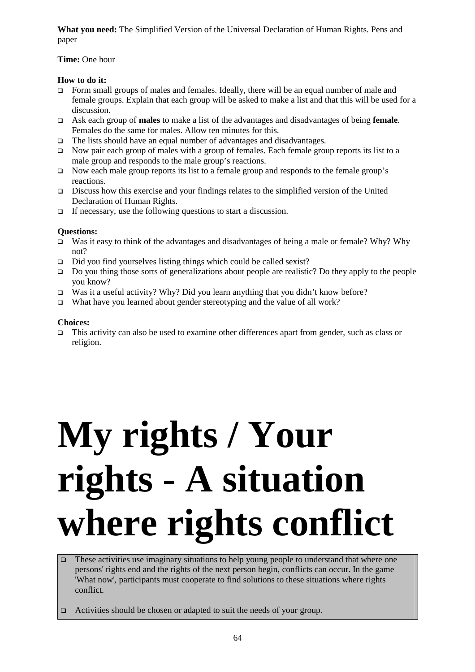**What you need:** The Simplified Version of the Universal Declaration of Human Rights. Pens and paper

#### **Time:** One hour

#### **How to do it:**

- Form small groups of males and females. Ideally, there will be an equal number of male and female groups. Explain that each group will be asked to make a list and that this will be used for a discussion.
- Ask each group of **males** to make a list of the advantages and disadvantages of being **female**. Females do the same for males. Allow ten minutes for this.
- The lists should have an equal number of advantages and disadvantages.
- Now pair each group of males with a group of females. Each female group reports its list to a male group and responds to the male group's reactions.
- Now each male group reports its list to a female group and responds to the female group's reactions.
- Discuss how this exercise and your findings relates to the simplified version of the United Declaration of Human Rights.
- $\Box$  If necessary, use the following questions to start a discussion.

#### **Questions:**

- Was it easy to think of the advantages and disadvantages of being a male or female? Why? Why not?
- $\Box$  Did you find yourselves listing things which could be called sexist?
- □ Do you thing those sorts of generalizations about people are realistic? Do they apply to the people you know?
- Was it a useful activity? Why? Did you learn anything that you didn't know before?
- What have you learned about gender stereotyping and the value of all work?

#### **Choices:**

 This activity can also be used to examine other differences apart from gender, such as class or religion.

## **My rights / Your rights - A situation where rights conflict**

- $\Box$  These activities use imaginary situations to help young people to understand that where one persons' rights end and the rights of the next person begin, conflicts can occur. In the game 'What now', participants must cooperate to find solutions to these situations where rights conflict.
- □ Activities should be chosen or adapted to suit the needs of your group.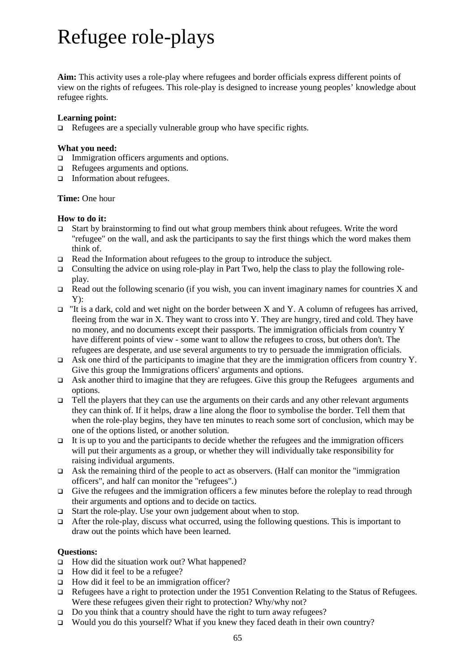### Refugee role-plays

**Aim:** This activity uses a role-play where refugees and border officials express different points of view on the rights of refugees. This role-play is designed to increase young peoples' knowledge about refugee rights.

#### **Learning point:**

 $\Box$  Refugees are a specially vulnerable group who have specific rights.

#### **What you need:**

- □ Immigration officers arguments and options.
- □ Refugees arguments and options.
- Information about refugees.

#### **Time:** One hour

#### **How to do it:**

- Start by brainstorming to find out what group members think about refugees. Write the word "refugee" on the wall, and ask the participants to say the first things which the word makes them think of.
- Read the Information about refugees to the group to introduce the subject.
- Consulting the advice on using role-play in Part Two, help the class to play the following roleplay.
- Read out the following scenario (if you wish, you can invent imaginary names for countries X and Y):
- $\Box$  "It is a dark, cold and wet night on the border between X and Y. A column of refugees has arrived, fleeing from the war in X. They want to cross into Y. They are hungry, tired and cold. They have no money, and no documents except their passports. The immigration officials from country Y have different points of view - some want to allow the refugees to cross, but others don't. The refugees are desperate, and use several arguments to try to persuade the immigration officials.
- Ask one third of the participants to imagine that they are the immigration officers from country Y. Give this group the Immigrations officers' arguments and options.
- Ask another third to imagine that they are refugees. Give this group the Refugees arguments and options.
- $\Box$  Tell the players that they can use the arguments on their cards and any other relevant arguments they can think of. If it helps, draw a line along the floor to symbolise the border. Tell them that when the role-play begins, they have ten minutes to reach some sort of conclusion, which may be one of the options listed, or another solution.
- $\Box$  It is up to you and the participants to decide whether the refugees and the immigration officers will put their arguments as a group, or whether they will individually take responsibility for raising individual arguments.
- $\Box$  Ask the remaining third of the people to act as observers. (Half can monitor the "immigration" officers", and half can monitor the "refugees".)
- Give the refugees and the immigration officers a few minutes before the roleplay to read through their arguments and options and to decide on tactics.
- $\Box$  Start the role-play. Use your own judgement about when to stop.
- After the role-play, discuss what occurred, using the following questions. This is important to draw out the points which have been learned.

#### **Questions:**

- $\Box$  How did the situation work out? What happened?
- $\Box$  How did it feel to be a refugee?
- $\Box$  How did it feel to be an immigration officer?
- □ Refugees have a right to protection under the 1951 Convention Relating to the Status of Refugees. Were these refugees given their right to protection? Why/why not?
- □ Do you think that a country should have the right to turn away refugees?
- □ Would you do this yourself? What if you knew they faced death in their own country?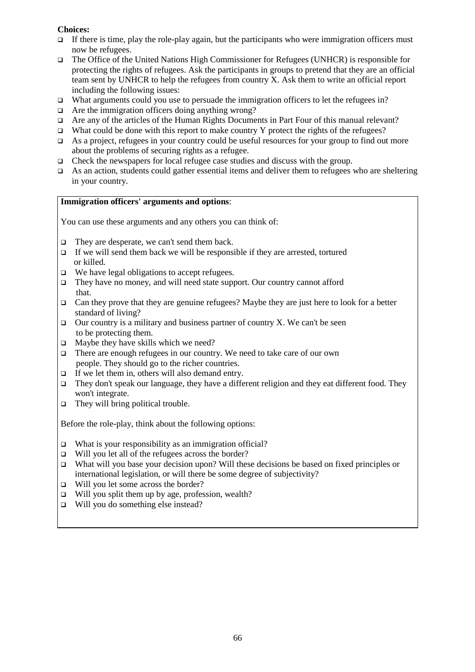#### **Choices:**

- $\Box$  If there is time, play the role-play again, but the participants who were immigration officers must now be refugees.
- The Office of the United Nations High Commissioner for Refugees (UNHCR) is responsible for protecting the rights of refugees. Ask the participants in groups to pretend that they are an official team sent by UNHCR to help the refugees from country X. Ask them to write an official report including the following issues:
- □ What arguments could you use to persuade the immigration officers to let the refugees in?
- $\Box$  Are the immigration officers doing anything wrong?
- Are any of the articles of the Human Rights Documents in Part Four of this manual relevant?
- What could be done with this report to make country Y protect the rights of the refugees?
- As a project, refugees in your country could be useful resources for your group to find out more about the problems of securing rights as a refugee.
- $\Box$  Check the newspapers for local refugee case studies and discuss with the group.
- As an action, students could gather essential items and deliver them to refugees who are sheltering in your country.

#### **Immigration officers' arguments and options**:

You can use these arguments and any others you can think of:

- $\Box$  They are desperate, we can't send them back.
- $\Box$  If we will send them back we will be responsible if they are arrested, tortured or killed.
- □ We have legal obligations to accept refugees.
- They have no money, and will need state support. Our country cannot afford that.
- $\Box$  Can they prove that they are genuine refugees? Maybe they are just here to look for a better standard of living?
- Our country is a military and business partner of country X. We can't be seen to be protecting them.
- $\Box$  Maybe they have skills which we need?
- There are enough refugees in our country. We need to take care of our own people. They should go to the richer countries.
- $\Box$  If we let them in, others will also demand entry.
- They don't speak our language, they have a different religion and they eat different food. They won't integrate.
- $\Box$  They will bring political trouble.

Before the role-play, think about the following options:

- $\Box$  What is your responsibility as an immigration official?
- □ Will you let all of the refugees across the border?
- What will you base your decision upon? Will these decisions be based on fixed principles or international legislation, or will there be some degree of subjectivity?
- □ Will you let some across the border?
- $\Box$  Will you split them up by age, profession, wealth?
- $\Box$  Will you do something else instead?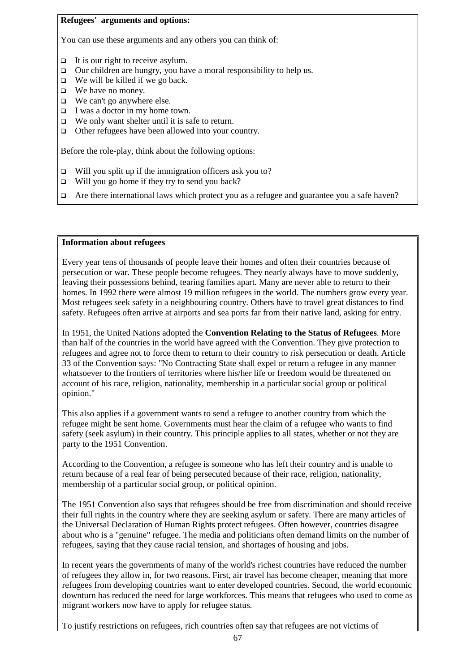#### **Refugees' arguments and options:**

You can use these arguments and any others you can think of:

- $\Box$  It is our right to receive asylum.
- $\Box$  Our children are hungry, you have a moral responsibility to help us.
- $\Box$  We will be killed if we go back.
- We have no money.
- We can't go anywhere else.
- $\Box$  I was a doctor in my home town.
- $\Box$  We only want shelter until it is safe to return.
- □ Other refugees have been allowed into your country.

Before the role-play, think about the following options:

- $\Box$  Will you split up if the immigration officers ask you to?
- $\Box$  Will you go home if they try to send you back?
- Are there international laws which protect you as a refugee and guarantee you a safe haven?

#### **Information about refugees**

Every year tens of thousands of people leave their homes and often their countries because of persecution or war. These people become refugees. They nearly always have to move suddenly, leaving their possessions behind, tearing families apart. Many are never able to return to their homes. In 1992 there were almost 19 million refugees in the world. The numbers grow every year. Most refugees seek safety in a neighbouring country. Others have to travel great distances to find safety. Refugees often arrive at airports and sea ports far from their native land, asking for entry.

In 1951, the United Nations adopted the **Convention Relating to the Status of Refugees**. More than half of the countries in the world have agreed with the Convention. They give protection to refugees and agree not to force them to return to their country to risk persecution or death. Article 33 of the Convention says: "No Contracting State shall expel or return a refugee in any manner whatsoever to the frontiers of territories where his/her life or freedom would be threatened on account of his race, religion, nationality, membership in a particular social group or political opinion."

This also applies if a government wants to send a refugee to another country from which the refugee might be sent home. Governments must hear the claim of a refugee who wants to find safety (seek asylum) in their country. This principle applies to all states, whether or not they are party to the 1951 Convention.

According to the Convention, a refugee is someone who has left their country and is unable to return because of a real fear of being persecuted because of their race, religion, nationality, membership of a particular social group, or political opinion.

The 1951 Convention also says that refugees should be free from discrimination and should receive their full rights in the country where they are seeking asylum or safety. There are many articles of the Universal Declaration of Human Rights protect refugees. Often however, countries disagree about who is a "genuine" refugee. The media and politicians often demand limits on the number of refugees, saying that they cause racial tension, and shortages of housing and jobs.

In recent years the governments of many of the world's richest countries have reduced the number of refugees they allow in, for two reasons. First, air travel has become cheaper, meaning that more refugees from developing countries want to enter developed countries. Second, the world economic downturn has reduced the need for large workforces. This means that refugees who used to come as migrant workers now have to apply for refugee status.

To justify restrictions on refugees, rich countries often say that refugees are not victims of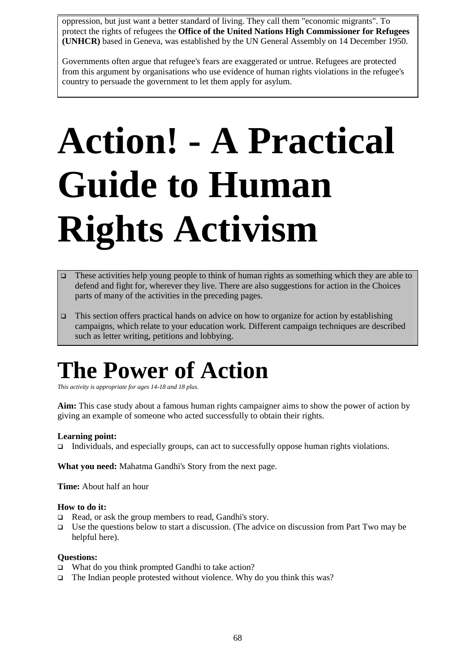oppression, but just want a better standard of living. They call them "economic migrants". To protect the rights of refugees the **Office of the United Nations High Commissioner for Refugees (UNHCR)** based in Geneva, was established by the UN General Assembly on 14 December 1950.

Governments often argue that refugee's fears are exaggerated or untrue. Refugees are protected from this argument by organisations who use evidence of human rights violations in the refugee's country to persuade the government to let them apply for asylum.

## **Action! - A Practical Guide to Human Rights Activism**

- These activities help young people to think of human rights as something which they are able to defend and fight for, wherever they live. There are also suggestions for action in the Choices parts of many of the activities in the preceding pages.
- This section offers practical hands on advice on how to organize for action by establishing campaigns, which relate to your education work. Different campaign techniques are described such as letter writing, petitions and lobbying.

### **The Power of Action**

*This activity is appropriate for ages 14-18 and 18 plus.* 

**Aim:** This case study about a famous human rights campaigner aims to show the power of action by giving an example of someone who acted successfully to obtain their rights.

#### **Learning point:**

Individuals, and especially groups, can act to successfully oppose human rights violations.

**What you need:** Mahatma Gandhi's Story from the next page.

**Time:** About half an hour

#### **How to do it:**

- $\Box$  Read, or ask the group members to read, Gandhi's story.
- Use the questions below to start a discussion. (The advice on discussion from Part Two may be helpful here).

#### **Questions:**

- □ What do you think prompted Gandhi to take action?
- $\Box$  The Indian people protested without violence. Why do you think this was?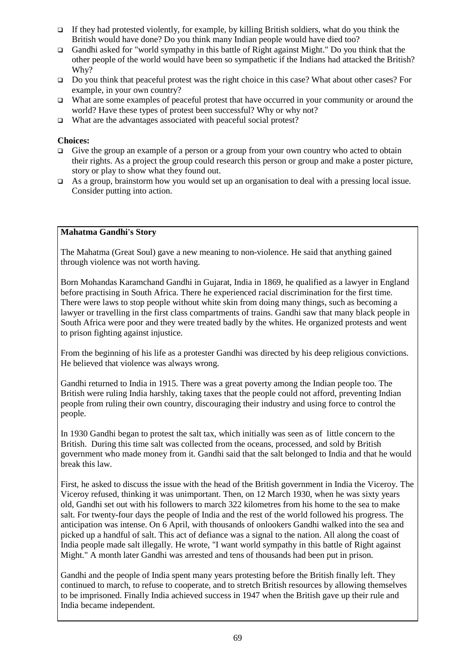- If they had protested violently, for example, by killing British soldiers, what do you think the British would have done? Do you think many Indian people would have died too?
- Gandhi asked for "world sympathy in this battle of Right against Might." Do you think that the other people of the world would have been so sympathetic if the Indians had attacked the British? Why?
- Do you think that peaceful protest was the right choice in this case? What about other cases? For example, in your own country?
- □ What are some examples of peaceful protest that have occurred in your community or around the world? Have these types of protest been successful? Why or why not?
- $\Box$  What are the advantages associated with peaceful social protest?

#### **Choices:**

- Give the group an example of a person or a group from your own country who acted to obtain their rights. As a project the group could research this person or group and make a poster picture, story or play to show what they found out.
- As a group, brainstorm how you would set up an organisation to deal with a pressing local issue. Consider putting into action.

#### **Mahatma Gandhi's Story**

The Mahatma (Great Soul) gave a new meaning to non-violence. He said that anything gained through violence was not worth having.

Born Mohandas Karamchand Gandhi in Gujarat, India in 1869, he qualified as a lawyer in England before practising in South Africa. There he experienced racial discrimination for the first time. There were laws to stop people without white skin from doing many things, such as becoming a lawyer or travelling in the first class compartments of trains. Gandhi saw that many black people in South Africa were poor and they were treated badly by the whites. He organized protests and went to prison fighting against injustice.

From the beginning of his life as a protester Gandhi was directed by his deep religious convictions. He believed that violence was always wrong.

Gandhi returned to India in 1915. There was a great poverty among the Indian people too. The British were ruling India harshly, taking taxes that the people could not afford, preventing Indian people from ruling their own country, discouraging their industry and using force to control the people.

In 1930 Gandhi began to protest the salt tax, which initially was seen as of little concern to the British. During this time salt was collected from the oceans, processed, and sold by British government who made money from it. Gandhi said that the salt belonged to India and that he would break this law.

First, he asked to discuss the issue with the head of the British government in India the Viceroy. The Viceroy refused, thinking it was unimportant. Then, on 12 March 1930, when he was sixty years old, Gandhi set out with his followers to march 322 kilometres from his home to the sea to make salt. For twenty-four days the people of India and the rest of the world followed his progress. The anticipation was intense. On 6 April, with thousands of onlookers Gandhi walked into the sea and picked up a handful of salt. This act of defiance was a signal to the nation. All along the coast of India people made salt illegally. He wrote, "I want world sympathy in this battle of Right against Might." A month later Gandhi was arrested and tens of thousands had been put in prison.

Gandhi and the people of India spent many years protesting before the British finally left. They continued to march, to refuse to cooperate, and to stretch British resources by allowing themselves to be imprisoned. Finally India achieved success in 1947 when the British gave up their rule and India became independent.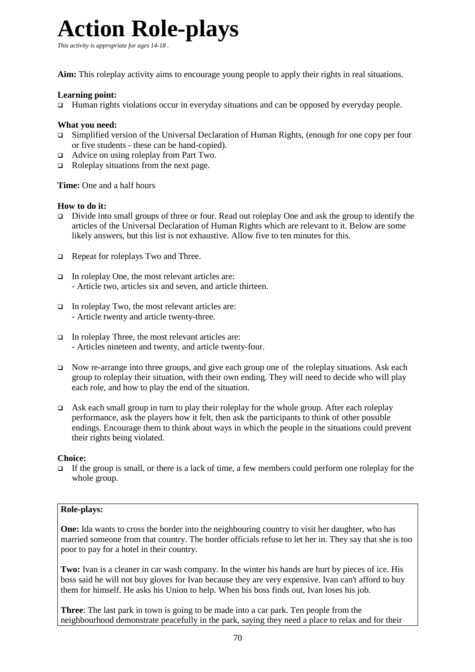### **Action Role-plays**

*This activity is appropriate for ages 14-18 .* 

**Aim:** This roleplay activity aims to encourage young people to apply their rights in real situations.

#### **Learning point:**

Human rights violations occur in everyday situations and can be opposed by everyday people.

#### **What you need:**

- $\Box$  Simplified version of the Universal Declaration of Human Rights, (enough for one copy per four or five students - these can be hand-copied).
- □ Advice on using roleplay from Part Two.
- $\Box$  Roleplay situations from the next page.

**Time:** One and a half hours

#### **How to do it:**

- Divide into small groups of three or four. Read out roleplay One and ask the group to identify the articles of the Universal Declaration of Human Rights which are relevant to it. Below are some likely answers, but this list is not exhaustive. Allow five to ten minutes for this.
- Repeat for roleplays Two and Three.
- $\Box$  In roleplay One, the most relevant articles are: - Article two, articles six and seven, and article thirteen.
- $\Box$  In roleplay Two, the most relevant articles are: - Article twenty and article twenty-three.
- $\Box$  In roleplay Three, the most relevant articles are: - Articles nineteen and twenty, and article twenty-four.
- Now re-arrange into three groups, and give each group one of the roleplay situations. Ask each group to roleplay their situation, with their own ending. They will need to decide who will play each role, and how to play the end of the situation.
- Ask each small group in turn to play their roleplay for the whole group. After each roleplay performance, ask the players how it felt, then ask the participants to think of other possible endings. Encourage them to think about ways in which the people in the situations could prevent their rights being violated.

#### **Choice:**

 $\Box$  If the group is small, or there is a lack of time, a few members could perform one roleplay for the whole group.

#### **Role-plays:**

**One:** Ida wants to cross the border into the neighbouring country to visit her daughter, who has married someone from that country. The border officials refuse to let her in. They say that she is too poor to pay for a hotel in their country.

**Two:** Ivan is a cleaner in car wash company. In the winter his hands are hurt by pieces of ice. His boss said he will not buy gloves for Ivan because they are very expensive. Ivan can't afford to buy them for himself. He asks his Union to help. When his boss finds out, Ivan loses his job.

**Three**: The last park in town is going to be made into a car park. Ten people from the neighbourhood demonstrate peacefully in the park, saying they need a place to relax and for their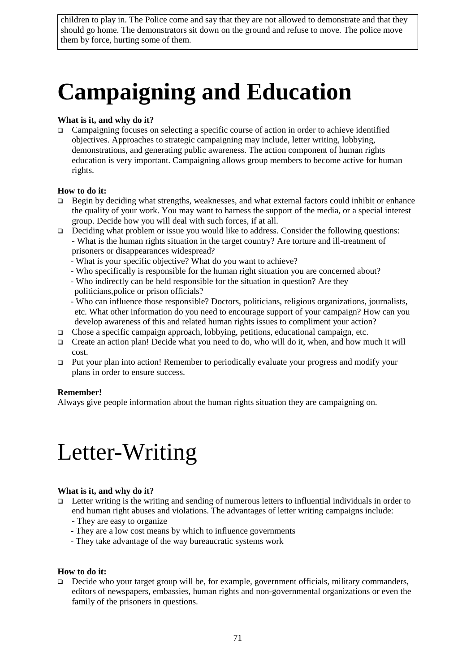children to play in. The Police come and say that they are not allowed to demonstrate and that they should go home. The demonstrators sit down on the ground and refuse to move. The police move them by force, hurting some of them.

### **Campaigning and Education**

#### **What is it, and why do it?**

Campaigning focuses on selecting a specific course of action in order to achieve identified objectives. Approaches to strategic campaigning may include, letter writing, lobbying, demonstrations, and generating public awareness. The action component of human rights education is very important. Campaigning allows group members to become active for human rights.

#### **How to do it:**

- □ Begin by deciding what strengths, weaknesses, and what external factors could inhibit or enhance the quality of your work. You may want to harness the support of the media, or a special interest group. Decide how you will deal with such forces, if at all.
- Deciding what problem or issue you would like to address. Consider the following questions: - What is the human rights situation in the target country? Are torture and ill-treatment of prisoners or disappearances widespread?
	- What is your specific objective? What do you want to achieve?
	- Who specifically is responsible for the human right situation you are concerned about?
	- Who indirectly can be held responsible for the situation in question? Are they
	- politicians,police or prison officials?
	- Who can influence those responsible? Doctors, politicians, religious organizations, journalists, etc. What other information do you need to encourage support of your campaign? How can you develop awareness of this and related human rights issues to compliment your action?
- Chose a specific campaign approach, lobbying, petitions, educational campaign, etc.
- □ Create an action plan! Decide what you need to do, who will do it, when, and how much it will cost.
- Put your plan into action! Remember to periodically evaluate your progress and modify your plans in order to ensure success.

#### **Remember!**

Always give people information about the human rights situation they are campaigning on.

### Letter-Writing

#### **What is it, and why do it?**

- Letter writing is the writing and sending of numerous letters to influential individuals in order to end human right abuses and violations. The advantages of letter writing campaigns include:
	- They are easy to organize
	- They are a low cost means by which to influence governments
	- They take advantage of the way bureaucratic systems work

#### **How to do it:**

Decide who your target group will be, for example, government officials, military commanders, editors of newspapers, embassies, human rights and non-governmental organizations or even the family of the prisoners in questions.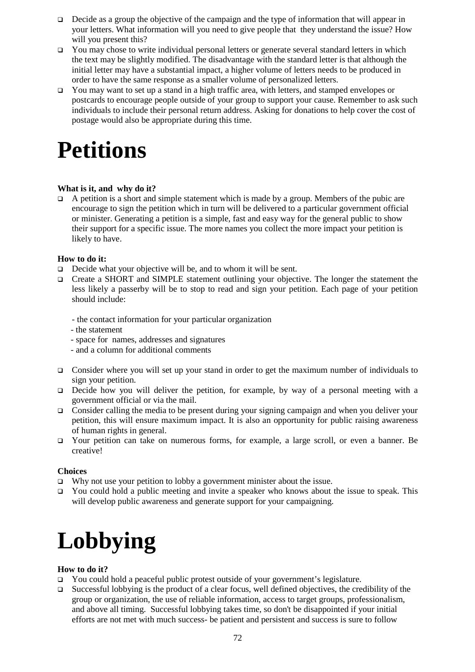- $\Box$  Decide as a group the objective of the campaign and the type of information that will appear in your letters. What information will you need to give people that they understand the issue? How will you present this?
- $\Box$  You may chose to write individual personal letters or generate several standard letters in which the text may be slightly modified. The disadvantage with the standard letter is that although the initial letter may have a substantial impact, a higher volume of letters needs to be produced in order to have the same response as a smaller volume of personalized letters.
- You may want to set up a stand in a high traffic area, with letters, and stamped envelopes or postcards to encourage people outside of your group to support your cause. Remember to ask such individuals to include their personal return address. Asking for donations to help cover the cost of postage would also be appropriate during this time.

### **Petitions**

#### **What is it, and why do it?**

 $\Box$  A petition is a short and simple statement which is made by a group. Members of the pubic are encourage to sign the petition which in turn will be delivered to a particular government official or minister. Generating a petition is a simple, fast and easy way for the general public to show their support for a specific issue. The more names you collect the more impact your petition is likely to have.

#### **How to do it:**

- Decide what your objective will be, and to whom it will be sent.
- Create a SHORT and SIMPLE statement outlining your objective. The longer the statement the less likely a passerby will be to stop to read and sign your petition. Each page of your petition should include:
	- the contact information for your particular organization
	- the statement
	- space for names, addresses and signatures
	- and a column for additional comments
- Consider where you will set up your stand in order to get the maximum number of individuals to sign your petition.
- Decide how you will deliver the petition, for example, by way of a personal meeting with a government official or via the mail.
- $\Box$  Consider calling the media to be present during your signing campaign and when you deliver your petition, this will ensure maximum impact. It is also an opportunity for public raising awareness of human rights in general.
- Your petition can take on numerous forms, for example, a large scroll, or even a banner. Be creative!

#### **Choices**

- $\Box$  Why not use your petition to lobby a government minister about the issue.
- $\Box$  You could hold a public meeting and invite a speaker who knows about the issue to speak. This will develop public awareness and generate support for your campaigning.

### **Lobbying**

#### **How to do it?**

- You could hold a peaceful public protest outside of your government's legislature.
- Successful lobbying is the product of a clear focus, well defined objectives, the credibility of the group or organization, the use of reliable information, access to target groups, professionalism, and above all timing. Successful lobbying takes time, so don't be disappointed if your initial efforts are not met with much success- be patient and persistent and success is sure to follow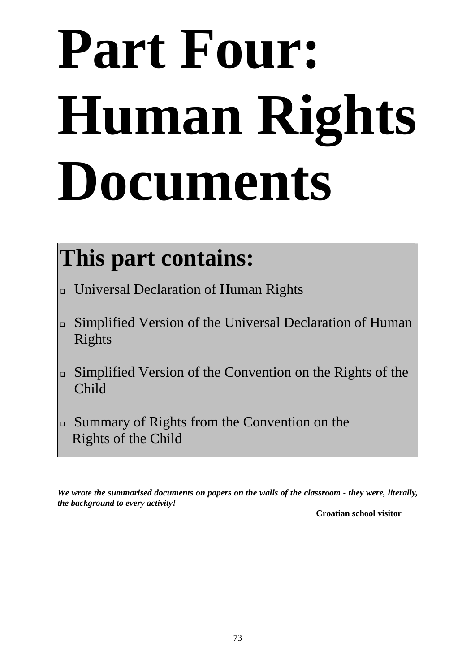# **Part Four: Human Rights Documents**

### **This part contains:**

- Universal Declaration of Human Rights
- Simplified Version of the Universal Declaration of Human Rights
- Simplified Version of the Convention on the Rights of the Child
- Summary of Rights from the Convention on the Rights of the Child

*We wrote the summarised documents on papers on the walls of the classroom - they were, literally, the background to every activity!* 

**Croatian school visitor**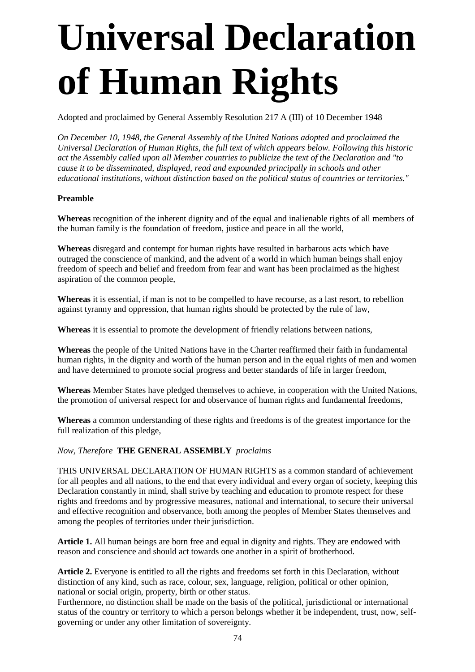## **Universal Declaration of Human Rights**

Adopted and proclaimed by General Assembly Resolution 217 A (III) of 10 December 1948

*On December 10, 1948, the General Assembly of the United Nations adopted and proclaimed the Universal Declaration of Human Rights, the full text of which appears below. Following this historic act the Assembly called upon all Member countries to publicize the text of the Declaration and "to cause it to be disseminated, displayed, read and expounded principally in schools and other educational institutions, without distinction based on the political status of countries or territories."* 

### **Preamble**

**Whereas** recognition of the inherent dignity and of the equal and inalienable rights of all members of the human family is the foundation of freedom, justice and peace in all the world,

**Whereas** disregard and contempt for human rights have resulted in barbarous acts which have outraged the conscience of mankind, and the advent of a world in which human beings shall enjoy freedom of speech and belief and freedom from fear and want has been proclaimed as the highest aspiration of the common people,

**Whereas** it is essential, if man is not to be compelled to have recourse, as a last resort, to rebellion against tyranny and oppression, that human rights should be protected by the rule of law,

**Whereas** it is essential to promote the development of friendly relations between nations,

**Whereas** the people of the United Nations have in the Charter reaffirmed their faith in fundamental human rights, in the dignity and worth of the human person and in the equal rights of men and women and have determined to promote social progress and better standards of life in larger freedom,

**Whereas** Member States have pledged themselves to achieve, in cooperation with the United Nations, the promotion of universal respect for and observance of human rights and fundamental freedoms,

**Whereas** a common understanding of these rights and freedoms is of the greatest importance for the full realization of this pledge,

### *Now, Therefore* **THE GENERAL ASSEMBLY** *proclaims*

THIS UNIVERSAL DECLARATION OF HUMAN RIGHTS as a common standard of achievement for all peoples and all nations, to the end that every individual and every organ of society, keeping this Declaration constantly in mind, shall strive by teaching and education to promote respect for these rights and freedoms and by progressive measures, national and international, to secure their universal and effective recognition and observance, both among the peoples of Member States themselves and among the peoples of territories under their jurisdiction.

**Article 1.** All human beings are born free and equal in dignity and rights. They are endowed with reason and conscience and should act towards one another in a spirit of brotherhood.

**Article 2.** Everyone is entitled to all the rights and freedoms set forth in this Declaration, without distinction of any kind, such as race, colour, sex, language, religion, political or other opinion, national or social origin, property, birth or other status.

Furthermore, no distinction shall be made on the basis of the political, jurisdictional or international status of the country or territory to which a person belongs whether it be independent, trust, now, selfgoverning or under any other limitation of sovereignty.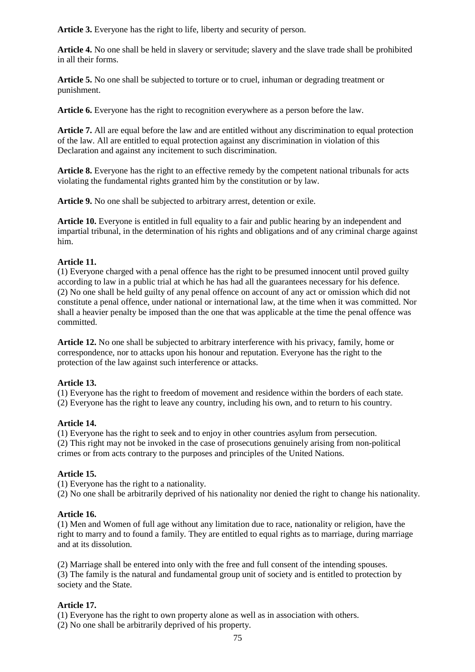**Article 3.** Everyone has the right to life, liberty and security of person.

**Article 4.** No one shall be held in slavery or servitude; slavery and the slave trade shall be prohibited in all their forms.

**Article 5.** No one shall be subjected to torture or to cruel, inhuman or degrading treatment or punishment.

**Article 6.** Everyone has the right to recognition everywhere as a person before the law.

**Article 7.** All are equal before the law and are entitled without any discrimination to equal protection of the law. All are entitled to equal protection against any discrimination in violation of this Declaration and against any incitement to such discrimination.

**Article 8.** Everyone has the right to an effective remedy by the competent national tribunals for acts violating the fundamental rights granted him by the constitution or by law.

**Article 9.** No one shall be subjected to arbitrary arrest, detention or exile.

**Article 10.** Everyone is entitled in full equality to a fair and public hearing by an independent and impartial tribunal, in the determination of his rights and obligations and of any criminal charge against him.

### **Article 11.**

(1) Everyone charged with a penal offence has the right to be presumed innocent until proved guilty according to law in a public trial at which he has had all the guarantees necessary for his defence. (2) No one shall be held guilty of any penal offence on account of any act or omission which did not constitute a penal offence, under national or international law, at the time when it was committed. Nor shall a heavier penalty be imposed than the one that was applicable at the time the penal offence was committed.

**Article 12.** No one shall be subjected to arbitrary interference with his privacy, family, home or correspondence, nor to attacks upon his honour and reputation. Everyone has the right to the protection of the law against such interference or attacks.

### **Article 13.**

(1) Everyone has the right to freedom of movement and residence within the borders of each state. (2) Everyone has the right to leave any country, including his own, and to return to his country.

### **Article 14.**

(1) Everyone has the right to seek and to enjoy in other countries asylum from persecution. (2) This right may not be invoked in the case of prosecutions genuinely arising from non-political crimes or from acts contrary to the purposes and principles of the United Nations.

### **Article 15.**

(1) Everyone has the right to a nationality.

(2) No one shall be arbitrarily deprived of his nationality nor denied the right to change his nationality.

### **Article 16.**

(1) Men and Women of full age without any limitation due to race, nationality or religion, have the right to marry and to found a family. They are entitled to equal rights as to marriage, during marriage and at its dissolution.

(2) Marriage shall be entered into only with the free and full consent of the intending spouses. (3) The family is the natural and fundamental group unit of society and is entitled to protection by society and the State.

### **Article 17.**

(1) Everyone has the right to own property alone as well as in association with others.

(2) No one shall be arbitrarily deprived of his property.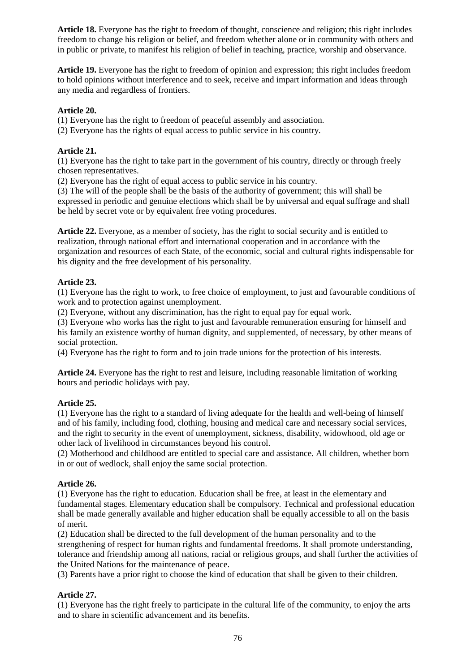**Article 18.** Everyone has the right to freedom of thought, conscience and religion; this right includes freedom to change his religion or belief, and freedom whether alone or in community with others and in public or private, to manifest his religion of belief in teaching, practice, worship and observance.

**Article 19.** Everyone has the right to freedom of opinion and expression; this right includes freedom to hold opinions without interference and to seek, receive and impart information and ideas through any media and regardless of frontiers.

### **Article 20.**

(1) Everyone has the right to freedom of peaceful assembly and association.

(2) Everyone has the rights of equal access to public service in his country.

### **Article 21.**

(1) Everyone has the right to take part in the government of his country, directly or through freely chosen representatives.

(2) Everyone has the right of equal access to public service in his country.

(3) The will of the people shall be the basis of the authority of government; this will shall be expressed in periodic and genuine elections which shall be by universal and equal suffrage and shall be held by secret vote or by equivalent free voting procedures.

**Article 22.** Everyone, as a member of society, has the right to social security and is entitled to realization, through national effort and international cooperation and in accordance with the organization and resources of each State, of the economic, social and cultural rights indispensable for his dignity and the free development of his personality.

### **Article 23.**

(1) Everyone has the right to work, to free choice of employment, to just and favourable conditions of work and to protection against unemployment.

(2) Everyone, without any discrimination, has the right to equal pay for equal work.

(3) Everyone who works has the right to just and favourable remuneration ensuring for himself and his family an existence worthy of human dignity, and supplemented, of necessary, by other means of social protection.

(4) Everyone has the right to form and to join trade unions for the protection of his interests.

Article 24. Everyone has the right to rest and leisure, including reasonable limitation of working hours and periodic holidays with pay.

### **Article 25.**

(1) Everyone has the right to a standard of living adequate for the health and well-being of himself and of his family, including food, clothing, housing and medical care and necessary social services, and the right to security in the event of unemployment, sickness, disability, widowhood, old age or other lack of livelihood in circumstances beyond his control.

(2) Motherhood and childhood are entitled to special care and assistance. All children, whether born in or out of wedlock, shall enjoy the same social protection.

### **Article 26.**

(1) Everyone has the right to education. Education shall be free, at least in the elementary and fundamental stages. Elementary education shall be compulsory. Technical and professional education shall be made generally available and higher education shall be equally accessible to all on the basis of merit.

(2) Education shall be directed to the full development of the human personality and to the strengthening of respect for human rights and fundamental freedoms. It shall promote understanding, tolerance and friendship among all nations, racial or religious groups, and shall further the activities of the United Nations for the maintenance of peace.

(3) Parents have a prior right to choose the kind of education that shall be given to their children.

### **Article 27.**

(1) Everyone has the right freely to participate in the cultural life of the community, to enjoy the arts and to share in scientific advancement and its benefits.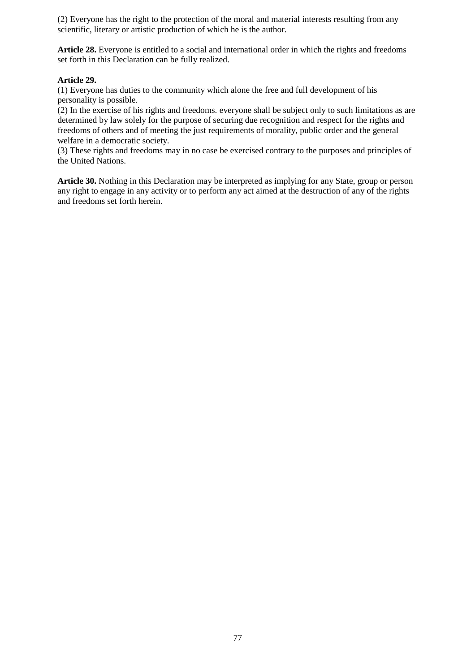(2) Everyone has the right to the protection of the moral and material interests resulting from any scientific, literary or artistic production of which he is the author.

**Article 28.** Everyone is entitled to a social and international order in which the rights and freedoms set forth in this Declaration can be fully realized.

### **Article 29.**

(1) Everyone has duties to the community which alone the free and full development of his personality is possible.

(2) In the exercise of his rights and freedoms. everyone shall be subject only to such limitations as are determined by law solely for the purpose of securing due recognition and respect for the rights and freedoms of others and of meeting the just requirements of morality, public order and the general welfare in a democratic society.

(3) These rights and freedoms may in no case be exercised contrary to the purposes and principles of the United Nations.

**Article 30.** Nothing in this Declaration may be interpreted as implying for any State, group or person any right to engage in any activity or to perform any act aimed at the destruction of any of the rights and freedoms set forth herein.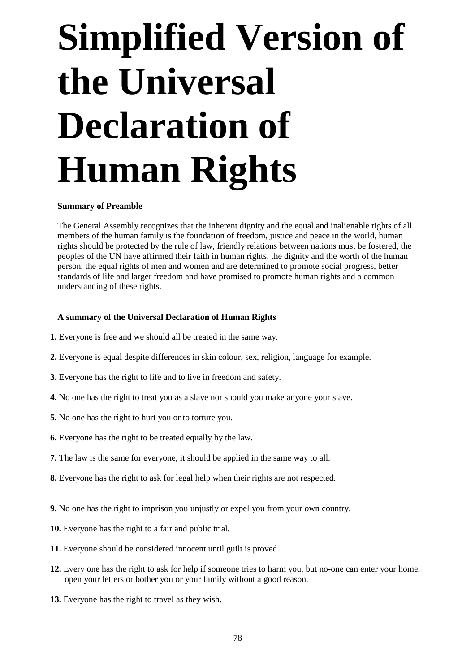## **Simplified Version of the Universal Declaration of Human Rights**

### **Summary of Preamble**

The General Assembly recognizes that the inherent dignity and the equal and inalienable rights of all members of the human family is the foundation of freedom, justice and peace in the world, human rights should be protected by the rule of law, friendly relations between nations must be fostered, the peoples of the UN have affirmed their faith in human rights, the dignity and the worth of the human person, the equal rights of men and women and are determined to promote social progress, better standards of life and larger freedom and have promised to promote human rights and a common understanding of these rights.

### **A summary of the Universal Declaration of Human Rights**

- **1.** Everyone is free and we should all be treated in the same way.
- **2.** Everyone is equal despite differences in skin colour, sex, religion, language for example.
- **3.** Everyone has the right to life and to live in freedom and safety.
- **4.** No one has the right to treat you as a slave nor should you make anyone your slave.
- **5.** No one has the right to hurt you or to torture you.
- **6.** Everyone has the right to be treated equally by the law.
- **7.** The law is the same for everyone, it should be applied in the same way to all.
- **8.** Everyone has the right to ask for legal help when their rights are not respected.
- **9.** No one has the right to imprison you unjustly or expel you from your own country.
- **10.** Everyone has the right to a fair and public trial.
- **11.** Everyone should be considered innocent until guilt is proved.
- **12.** Every one has the right to ask for help if someone tries to harm you, but no-one can enter your home, open your letters or bother you or your family without a good reason.
- **13.** Everyone has the right to travel as they wish.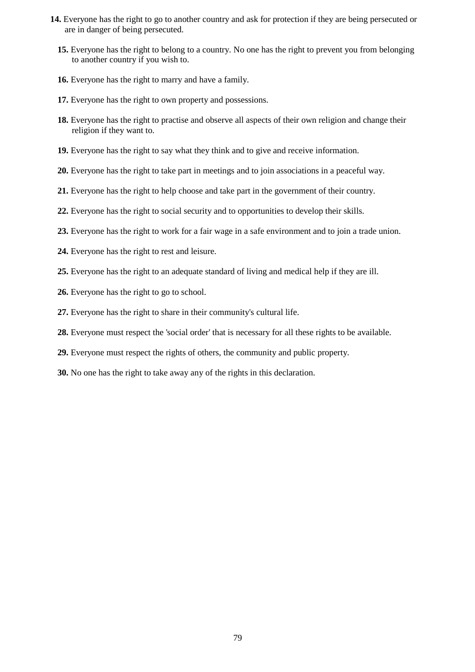- **14.** Everyone has the right to go to another country and ask for protection if they are being persecuted or are in danger of being persecuted.
	- **15.** Everyone has the right to belong to a country. No one has the right to prevent you from belonging to another country if you wish to.
	- **16.** Everyone has the right to marry and have a family.
	- **17.** Everyone has the right to own property and possessions.
	- **18.** Everyone has the right to practise and observe all aspects of their own religion and change their religion if they want to.
	- **19.** Everyone has the right to say what they think and to give and receive information.
	- **20.** Everyone has the right to take part in meetings and to join associations in a peaceful way.
	- **21.** Everyone has the right to help choose and take part in the government of their country.
	- **22.** Everyone has the right to social security and to opportunities to develop their skills.
	- **23.** Everyone has the right to work for a fair wage in a safe environment and to join a trade union.
	- **24.** Everyone has the right to rest and leisure.
	- **25.** Everyone has the right to an adequate standard of living and medical help if they are ill.
	- **26.** Everyone has the right to go to school.
	- **27.** Everyone has the right to share in their community's cultural life.
	- **28.** Everyone must respect the 'social order' that is necessary for all these rights to be available.
	- **29.** Everyone must respect the rights of others, the community and public property.
	- **30.** No one has the right to take away any of the rights in this declaration.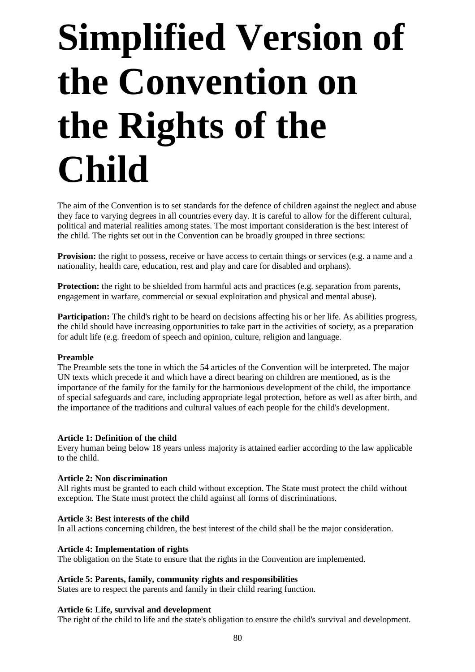## **Simplified Version of the Convention on the Rights of the Child**

The aim of the Convention is to set standards for the defence of children against the neglect and abuse they face to varying degrees in all countries every day. It is careful to allow for the different cultural, political and material realities among states. The most important consideration is the best interest of the child. The rights set out in the Convention can be broadly grouped in three sections:

**Provision:** the right to possess, receive or have access to certain things or services (e.g. a name and a nationality, health care, education, rest and play and care for disabled and orphans).

**Protection:** the right to be shielded from harmful acts and practices (e.g. separation from parents, engagement in warfare, commercial or sexual exploitation and physical and mental abuse).

**Participation:** The child's right to be heard on decisions affecting his or her life. As abilities progress, the child should have increasing opportunities to take part in the activities of society, as a preparation for adult life (e.g. freedom of speech and opinion, culture, religion and language.

### **Preamble**

The Preamble sets the tone in which the 54 articles of the Convention will be interpreted. The major UN texts which precede it and which have a direct bearing on children are mentioned, as is the importance of the family for the family for the harmonious development of the child, the importance of special safeguards and care, including appropriate legal protection, before as well as after birth, and the importance of the traditions and cultural values of each people for the child's development.

### **Article 1: Definition of the child**

Every human being below 18 years unless majority is attained earlier according to the law applicable to the child.

### **Article 2: Non discrimination**

All rights must be granted to each child without exception. The State must protect the child without exception. The State must protect the child against all forms of discriminations.

### **Article 3: Best interests of the child**

In all actions concerning children, the best interest of the child shall be the major consideration.

### **Article 4: Implementation of rights**

The obligation on the State to ensure that the rights in the Convention are implemented.

### **Article 5: Parents, family, community rights and responsibilities**

States are to respect the parents and family in their child rearing function.

### **Article 6: Life, survival and development**

The right of the child to life and the state's obligation to ensure the child's survival and development.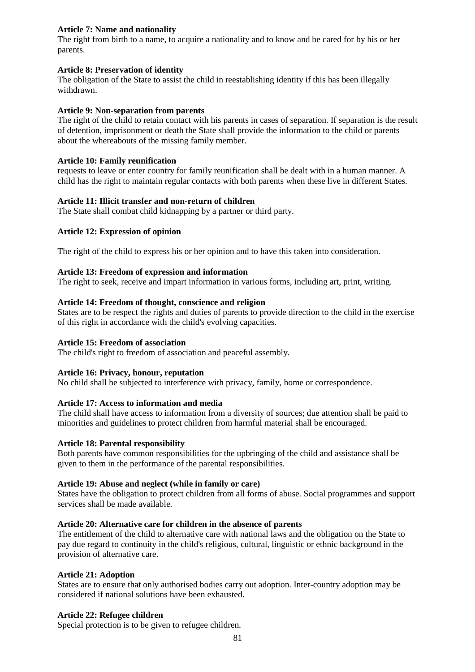### **Article 7: Name and nationality**

The right from birth to a name, to acquire a nationality and to know and be cared for by his or her parents.

### **Article 8: Preservation of identity**

The obligation of the State to assist the child in reestablishing identity if this has been illegally withdrawn.

### **Article 9: Non-separation from parents**

The right of the child to retain contact with his parents in cases of separation. If separation is the result of detention, imprisonment or death the State shall provide the information to the child or parents about the whereabouts of the missing family member.

### **Article 10: Family reunification**

requests to leave or enter country for family reunification shall be dealt with in a human manner. A child has the right to maintain regular contacts with both parents when these live in different States.

### **Article 11: Illicit transfer and non-return of children**

The State shall combat child kidnapping by a partner or third party.

### **Article 12: Expression of opinion**

The right of the child to express his or her opinion and to have this taken into consideration.

### **Article 13: Freedom of expression and information**

The right to seek, receive and impart information in various forms, including art, print, writing.

### **Article 14: Freedom of thought, conscience and religion**

States are to be respect the rights and duties of parents to provide direction to the child in the exercise of this right in accordance with the child's evolving capacities.

### **Article 15: Freedom of association**

The child's right to freedom of association and peaceful assembly.

### **Article 16: Privacy, honour, reputation**

No child shall be subjected to interference with privacy, family, home or correspondence.

### **Article 17: Access to information and media**

The child shall have access to information from a diversity of sources; due attention shall be paid to minorities and guidelines to protect children from harmful material shall be encouraged.

### **Article 18: Parental responsibility**

Both parents have common responsibilities for the upbringing of the child and assistance shall be given to them in the performance of the parental responsibilities.

### **Article 19: Abuse and neglect (while in family or care)**

States have the obligation to protect children from all forms of abuse. Social programmes and support services shall be made available.

### **Article 20: Alternative care for children in the absence of parents**

The entitlement of the child to alternative care with national laws and the obligation on the State to pay due regard to continuity in the child's religious, cultural, linguistic or ethnic background in the provision of alternative care.

### **Article 21: Adoption**

States are to ensure that only authorised bodies carry out adoption. Inter-country adoption may be considered if national solutions have been exhausted.

### **Article 22: Refugee children**

Special protection is to be given to refugee children.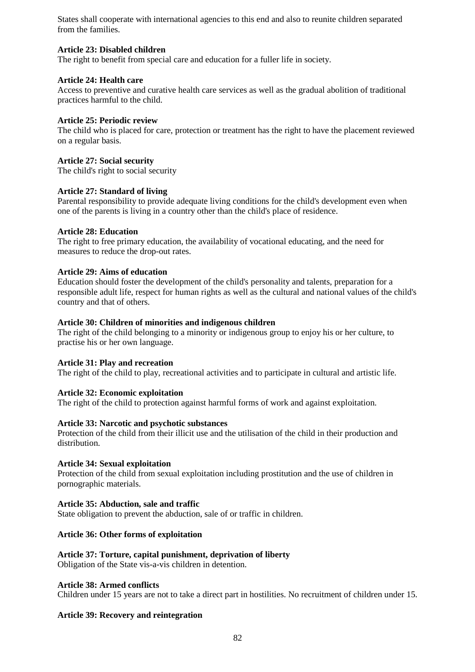States shall cooperate with international agencies to this end and also to reunite children separated from the families.

### **Article 23: Disabled children**

The right to benefit from special care and education for a fuller life in society.

### **Article 24: Health care**

Access to preventive and curative health care services as well as the gradual abolition of traditional practices harmful to the child.

### **Article 25: Periodic review**

The child who is placed for care, protection or treatment has the right to have the placement reviewed on a regular basis.

### **Article 27: Social security**

The child's right to social security

### **Article 27: Standard of living**

Parental responsibility to provide adequate living conditions for the child's development even when one of the parents is living in a country other than the child's place of residence.

### **Article 28: Education**

The right to free primary education, the availability of vocational educating, and the need for measures to reduce the drop-out rates.

### **Article 29: Aims of education**

Education should foster the development of the child's personality and talents, preparation for a responsible adult life, respect for human rights as well as the cultural and national values of the child's country and that of others.

### **Article 30: Children of minorities and indigenous children**

The right of the child belonging to a minority or indigenous group to enjoy his or her culture, to practise his or her own language.

### **Article 31: Play and recreation**

The right of the child to play, recreational activities and to participate in cultural and artistic life.

### **Article 32: Economic exploitation**

The right of the child to protection against harmful forms of work and against exploitation.

### **Article 33: Narcotic and psychotic substances**

Protection of the child from their illicit use and the utilisation of the child in their production and distribution.

### **Article 34: Sexual exploitation**

Protection of the child from sexual exploitation including prostitution and the use of children in pornographic materials.

### **Article 35: Abduction, sale and traffic**

State obligation to prevent the abduction, sale of or traffic in children.

### **Article 36: Other forms of exploitation**

### **Article 37: Torture, capital punishment, deprivation of liberty**

Obligation of the State vis-a-vis children in detention.

### **Article 38: Armed conflicts**

Children under 15 years are not to take a direct part in hostilities. No recruitment of children under 15.

### **Article 39: Recovery and reintegration**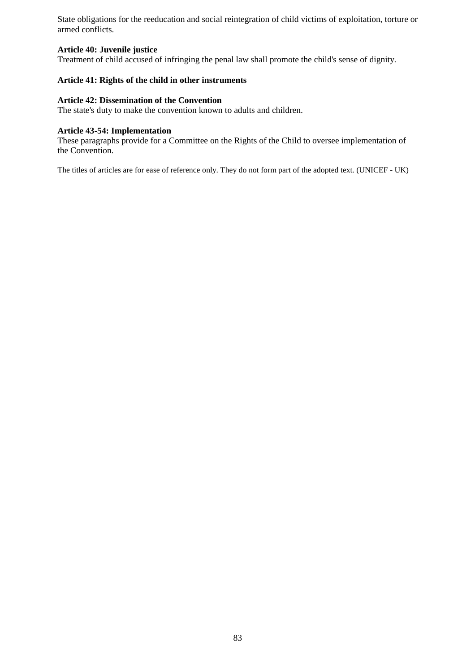State obligations for the reeducation and social reintegration of child victims of exploitation, torture or armed conflicts.

### **Article 40: Juvenile justice**

Treatment of child accused of infringing the penal law shall promote the child's sense of dignity.

### **Article 41: Rights of the child in other instruments**

### **Article 42: Dissemination of the Convention**

The state's duty to make the convention known to adults and children.

### **Article 43-54: Implementation**

These paragraphs provide for a Committee on the Rights of the Child to oversee implementation of the Convention.

The titles of articles are for ease of reference only. They do not form part of the adopted text. (UNICEF - UK)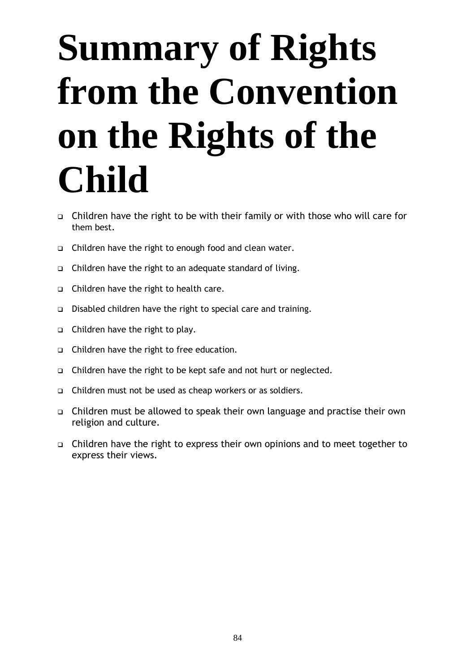## **Summary of Rights from the Convention on the Rights of the Child**

- Children have the right to be with their family or with those who will care for them best.
- Children have the right to enough food and clean water.
- Children have the right to an adequate standard of living.
- $\Box$  Children have the right to health care.
- Disabled children have the right to special care and training.
- □ Children have the right to play.
- Children have the right to free education.
- Children have the right to be kept safe and not hurt or neglected.
- □ Children must not be used as cheap workers or as soldiers.
- Children must be allowed to speak their own language and practise their own religion and culture.
- Children have the right to express their own opinions and to meet together to express their views.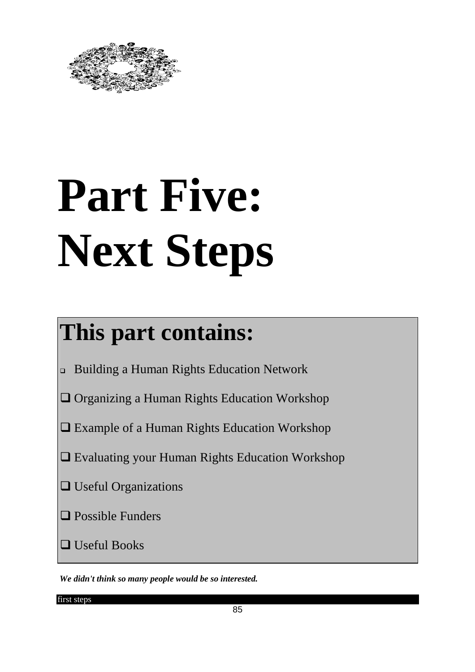

# **Part Five: Next Steps**

### **This part contains:**

- Building a Human Rights Education Network
- Organizing a Human Rights Education Workshop
- Example of a Human Rights Education Workshop
- Evaluating your Human Rights Education Workshop
- **Q** Useful Organizations
- **Q** Possible Funders
- Useful Books

 *We didn't think so many people would be so interested.*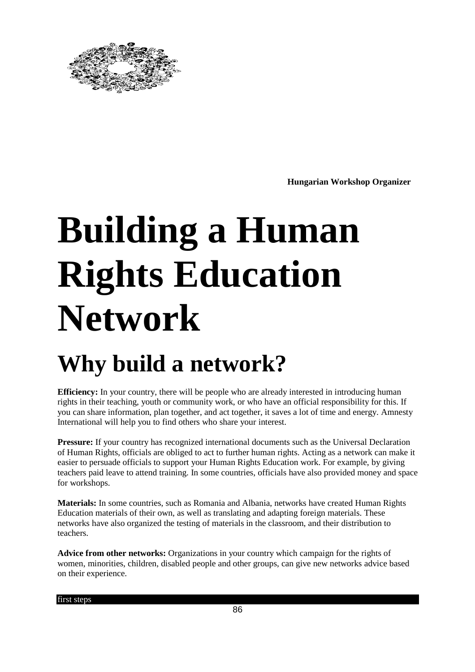

**Hungarian Workshop Organizer**

## **Building a Human Rights Education Network**

### **Why build a network?**

**Efficiency:** In your country, there will be people who are already interested in introducing human rights in their teaching, youth or community work, or who have an official responsibility for this. If you can share information, plan together, and act together, it saves a lot of time and energy. Amnesty International will help you to find others who share your interest.

**Pressure:** If your country has recognized international documents such as the Universal Declaration of Human Rights, officials are obliged to act to further human rights. Acting as a network can make it easier to persuade officials to support your Human Rights Education work. For example, by giving teachers paid leave to attend training. In some countries, officials have also provided money and space for workshops.

**Materials:** In some countries, such as Romania and Albania, networks have created Human Rights Education materials of their own, as well as translating and adapting foreign materials. These networks have also organized the testing of materials in the classroom, and their distribution to teachers.

**Advice from other networks:** Organizations in your country which campaign for the rights of women, minorities, children, disabled people and other groups, can give new networks advice based on their experience.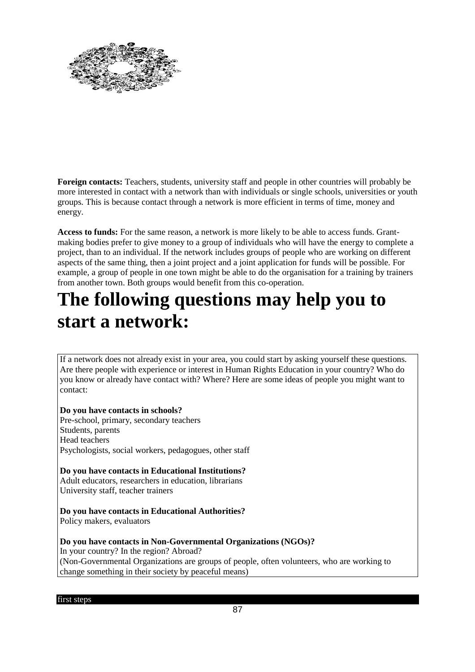

**Foreign contacts:** Teachers, students, university staff and people in other countries will probably be more interested in contact with a network than with individuals or single schools, universities or youth groups. This is because contact through a network is more efficient in terms of time, money and energy.

**Access to funds:** For the same reason, a network is more likely to be able to access funds. Grantmaking bodies prefer to give money to a group of individuals who will have the energy to complete a project, than to an individual. If the network includes groups of people who are working on different aspects of the same thing, then a joint project and a joint application for funds will be possible. For example, a group of people in one town might be able to do the organisation for a training by trainers from another town. Both groups would benefit from this co-operation.

### **The following questions may help you to start a network:**

If a network does not already exist in your area, you could start by asking yourself these questions. Are there people with experience or interest in Human Rights Education in your country? Who do you know or already have contact with? Where? Here are some ideas of people you might want to contact:

**Do you have contacts in schools?** Pre-school, primary, secondary teachers Students, parents Head teachers Psychologists, social workers, pedagogues, other staff

**Do you have contacts in Educational Institutions?** Adult educators, researchers in education, librarians University staff, teacher trainers

**Do you have contacts in Educational Authorities?** Policy makers, evaluators

**Do you have contacts in Non-Governmental Organizations (NGOs)?** In your country? In the region? Abroad? (Non-Governmental Organizations are groups of people, often volunteers, who are working to change something in their society by peaceful means)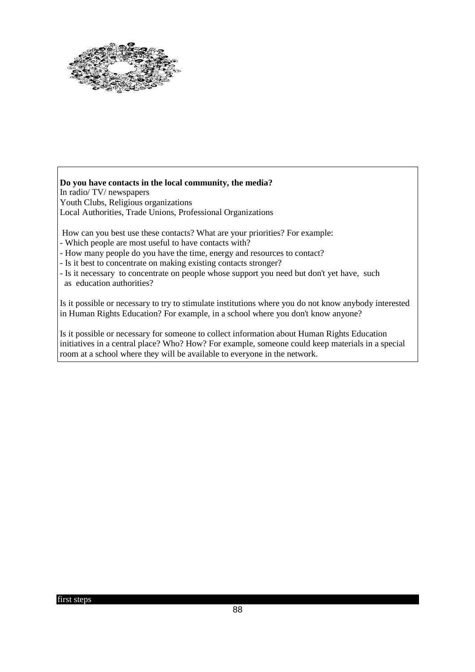

**Do you have contacts in the local community, the media?** In radio/ TV/ newspapers Youth Clubs, Religious organizations Local Authorities, Trade Unions, Professional Organizations

How can you best use these contacts? What are your priorities? For example:

- Which people are most useful to have contacts with?
- How many people do you have the time, energy and resources to contact?
- Is it best to concentrate on making existing contacts stronger?
- Is it necessary to concentrate on people whose support you need but don't yet have, such as education authorities?

Is it possible or necessary to try to stimulate institutions where you do not know anybody interested in Human Rights Education? For example, in a school where you don't know anyone?

Is it possible or necessary for someone to collect information about Human Rights Education initiatives in a central place? Who? How? For example, someone could keep materials in a special room at a school where they will be available to everyone in the network.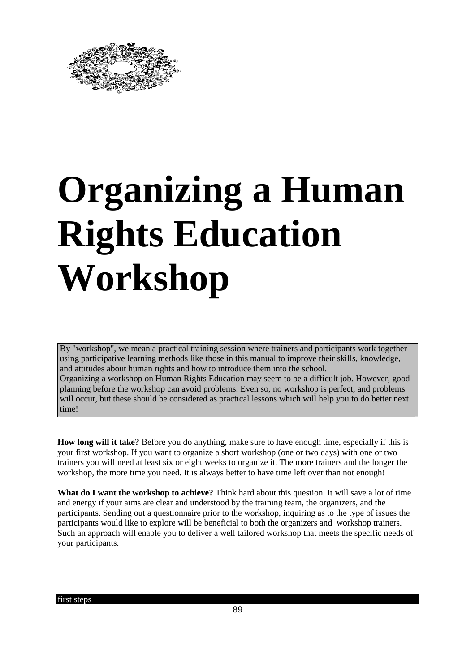

## **Organizing a Human Rights Education Workshop**

By "workshop", we mean a practical training session where trainers and participants work together using participative learning methods like those in this manual to improve their skills, knowledge, and attitudes about human rights and how to introduce them into the school. Organizing a workshop on Human Rights Education may seem to be a difficult job. However, good planning before the workshop can avoid problems. Even so, no workshop is perfect, and problems will occur, but these should be considered as practical lessons which will help you to do better next time!

**How long will it take?** Before you do anything, make sure to have enough time, especially if this is your first workshop. If you want to organize a short workshop (one or two days) with one or two trainers you will need at least six or eight weeks to organize it. The more trainers and the longer the workshop, the more time you need. It is always better to have time left over than not enough!

**What do I want the workshop to achieve?** Think hard about this question. It will save a lot of time and energy if your aims are clear and understood by the training team, the organizers, and the participants. Sending out a questionnaire prior to the workshop, inquiring as to the type of issues the participants would like to explore will be beneficial to both the organizers and workshop trainers. Such an approach will enable you to deliver a well tailored workshop that meets the specific needs of your participants.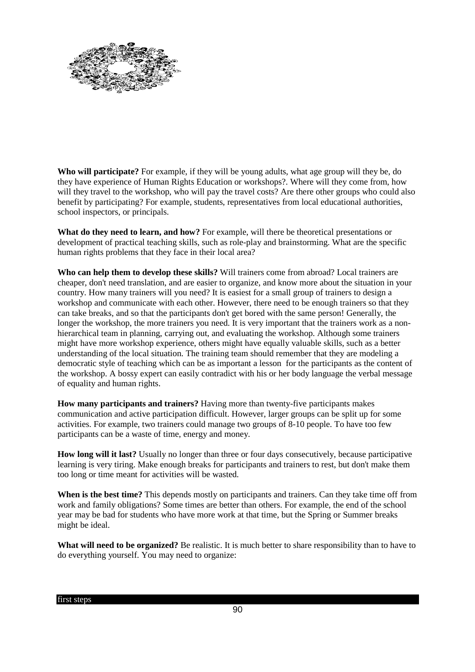

**Who will participate?** For example, if they will be young adults, what age group will they be, do they have experience of Human Rights Education or workshops?. Where will they come from, how will they travel to the workshop, who will pay the travel costs? Are there other groups who could also benefit by participating? For example, students, representatives from local educational authorities, school inspectors, or principals.

**What do they need to learn, and how?** For example, will there be theoretical presentations or development of practical teaching skills, such as role-play and brainstorming. What are the specific human rights problems that they face in their local area?

**Who can help them to develop these skills?** Will trainers come from abroad? Local trainers are cheaper, don't need translation, and are easier to organize, and know more about the situation in your country. How many trainers will you need? It is easiest for a small group of trainers to design a workshop and communicate with each other. However, there need to be enough trainers so that they can take breaks, and so that the participants don't get bored with the same person! Generally, the longer the workshop, the more trainers you need. It is very important that the trainers work as a nonhierarchical team in planning, carrying out, and evaluating the workshop. Although some trainers might have more workshop experience, others might have equally valuable skills, such as a better understanding of the local situation. The training team should remember that they are modeling a democratic style of teaching which can be as important a lesson for the participants as the content of the workshop. A bossy expert can easily contradict with his or her body language the verbal message of equality and human rights.

**How many participants and trainers?** Having more than twenty-five participants makes communication and active participation difficult. However, larger groups can be split up for some activities. For example, two trainers could manage two groups of 8-10 people. To have too few participants can be a waste of time, energy and money.

**How long will it last?** Usually no longer than three or four days consecutively, because participative learning is very tiring. Make enough breaks for participants and trainers to rest, but don't make them too long or time meant for activities will be wasted.

**When is the best time?** This depends mostly on participants and trainers. Can they take time off from work and family obligations? Some times are better than others. For example, the end of the school year may be bad for students who have more work at that time, but the Spring or Summer breaks might be ideal.

What will need to be organized? Be realistic. It is much better to share responsibility than to have to do everything yourself. You may need to organize: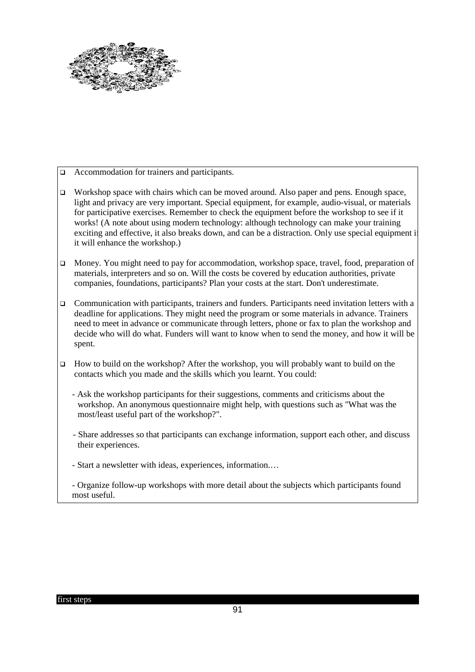

- □ Accommodation for trainers and participants.
- □ Workshop space with chairs which can be moved around. Also paper and pens. Enough space, light and privacy are very important. Special equipment, for example, audio-visual, or materials for participative exercises. Remember to check the equipment before the workshop to see if it works! (A note about using modern technology: although technology can make your training exciting and effective, it also breaks down, and can be a distraction. Only use special equipment if it will enhance the workshop.)
- Money. You might need to pay for accommodation, workshop space, travel, food, preparation of materials, interpreters and so on. Will the costs be covered by education authorities, private companies, foundations, participants? Plan your costs at the start. Don't underestimate.
- $\Box$  Communication with participants, trainers and funders. Participants need invitation letters with a deadline for applications. They might need the program or some materials in advance. Trainers need to meet in advance or communicate through letters, phone or fax to plan the workshop and decide who will do what. Funders will want to know when to send the money, and how it will be spent.
- $\Box$  How to build on the workshop? After the workshop, you will probably want to build on the contacts which you made and the skills which you learnt. You could:
	- Ask the workshop participants for their suggestions, comments and criticisms about the workshop. An anonymous questionnaire might help, with questions such as "What was the most/least useful part of the workshop?".
	- Share addresses so that participants can exchange information, support each other, and discuss their experiences.
	- Start a newsletter with ideas, experiences, information.…
	- Organize follow-up workshops with more detail about the subjects which participants found most useful.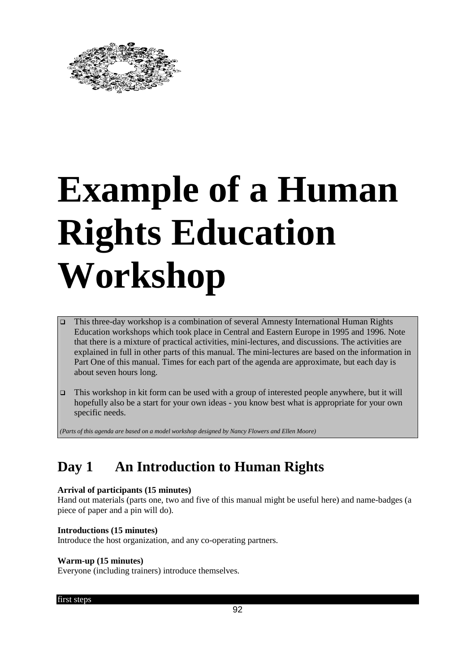

## **Example of a Human Rights Education Workshop**

- This three-day workshop is a combination of several Amnesty International Human Rights Education workshops which took place in Central and Eastern Europe in 1995 and 1996. Note that there is a mixture of practical activities, mini-lectures, and discussions. The activities are explained in full in other parts of this manual. The mini-lectures are based on the information in Part One of this manual. Times for each part of the agenda are approximate, but each day is about seven hours long.
- This workshop in kit form can be used with a group of interested people anywhere, but it will hopefully also be a start for your own ideas - you know best what is appropriate for your own specific needs.

*(Parts of this agenda are based on a model workshop designed by Nancy Flowers and Ellen Moore)*

### **Day 1 An Introduction to Human Rights**

### **Arrival of participants (15 minutes)**

Hand out materials (parts one, two and five of this manual might be useful here) and name-badges (a piece of paper and a pin will do).

### **Introductions (15 minutes)**

Introduce the host organization, and any co-operating partners.

### **Warm-up (15 minutes)**

Everyone (including trainers) introduce themselves.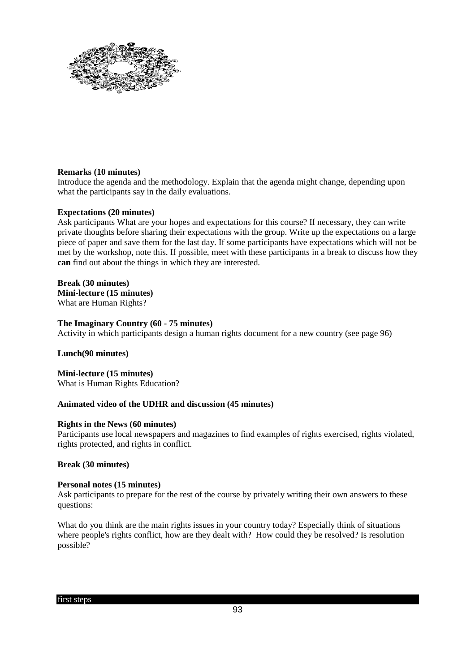

### **Remarks (10 minutes)**

Introduce the agenda and the methodology. Explain that the agenda might change, depending upon what the participants say in the daily evaluations.

### **Expectations (20 minutes)**

Ask participants What are your hopes and expectations for this course? If necessary, they can write private thoughts before sharing their expectations with the group. Write up the expectations on a large piece of paper and save them for the last day. If some participants have expectations which will not be met by the workshop, note this. If possible, meet with these participants in a break to discuss how they **can** find out about the things in which they are interested.

### **Break (30 minutes)**

**Mini-lecture (15 minutes)** What are Human Rights?

### **The Imaginary Country (60 - 75 minutes)**

Activity in which participants design a human rights document for a new country (see page 96)

### **Lunch(90 minutes)**

**Mini-lecture (15 minutes)**  What is Human Rights Education?

### **Animated video of the UDHR and discussion (45 minutes)**

### **Rights in the News (60 minutes)**

Participants use local newspapers and magazines to find examples of rights exercised, rights violated, rights protected, and rights in conflict.

### **Break (30 minutes)**

### **Personal notes (15 minutes)**

Ask participants to prepare for the rest of the course by privately writing their own answers to these questions:

What do you think are the main rights issues in your country today? Especially think of situations where people's rights conflict, how are they dealt with? How could they be resolved? Is resolution possible?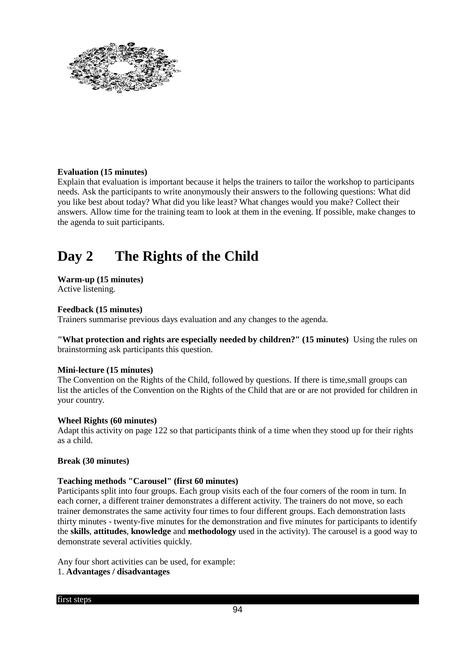

### **Evaluation (15 minutes)**

Explain that evaluation is important because it helps the trainers to tailor the workshop to participants needs. Ask the participants to write anonymously their answers to the following questions: What did you like best about today? What did you like least? What changes would you make? Collect their answers. Allow time for the training team to look at them in the evening. If possible, make changes to the agenda to suit participants.

### **Day 2 The Rights of the Child**

### **Warm-up (15 minutes)**

Active listening.

### **Feedback (15 minutes)**

Trainers summarise previous days evaluation and any changes to the agenda.

**"What protection and rights are especially needed by children?" (15 minutes)** Using the rules on brainstorming ask participants this question.

### **Mini-lecture (15 minutes)**

The Convention on the Rights of the Child, followed by questions. If there is time,small groups can list the articles of the Convention on the Rights of the Child that are or are not provided for children in your country.

### **Wheel Rights (60 minutes)**

Adapt this activity on page 122 so that participants think of a time when they stood up for their rights as a child.

### **Break (30 minutes)**

### **Teaching methods "Carousel" (first 60 minutes)**

Participants split into four groups. Each group visits each of the four corners of the room in turn. In each corner, a different trainer demonstrates a different activity. The trainers do not move, so each trainer demonstrates the same activity four times to four different groups. Each demonstration lasts thirty minutes - twenty-five minutes for the demonstration and five minutes for participants to identify the **skills**, **attitudes**, **knowledge** and **methodology** used in the activity). The carousel is a good way to demonstrate several activities quickly.

Any four short activities can be used, for example:

### 1. **Advantages / disadvantages**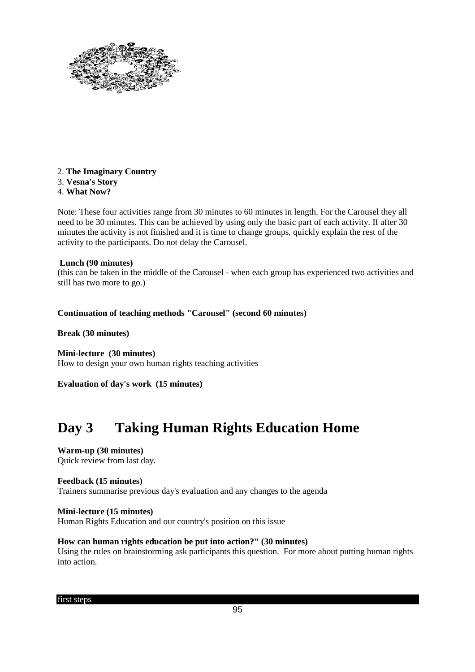

- 2. **The Imaginary Country**
- 3. **Vesna's Story**
- 4. **What Now?**

Note: These four activities range from 30 minutes to 60 minutes in length. For the Carousel they all need to be 30 minutes. This can be achieved by using only the basic part of each activity. If after 30 minutes the activity is not finished and it is time to change groups, quickly explain the rest of the activity to the participants. Do not delay the Carousel.

### **Lunch (90 minutes)**

(this can be taken in the middle of the Carousel - when each group has experienced two activities and still has two more to go.)

### **Continuation of teaching methods "Carousel" (second 60 minutes)**

**Break (30 minutes)** 

**Mini-lecture (30 minutes)** How to design your own human rights teaching activities

**Evaluation of day's work (15 minutes)**

### **Day 3 Taking Human Rights Education Home**

**Warm-up (30 minutes)**  Quick review from last day.

### **Feedback (15 minutes)**

Trainers summarise previous day's evaluation and any changes to the agenda

### **Mini-lecture (15 minutes)**

Human Rights Education and our country's position on this issue

### **How can human rights education be put into action?" (30 minutes)**

Using the rules on brainstorming ask participants this question. For more about putting human rights into action.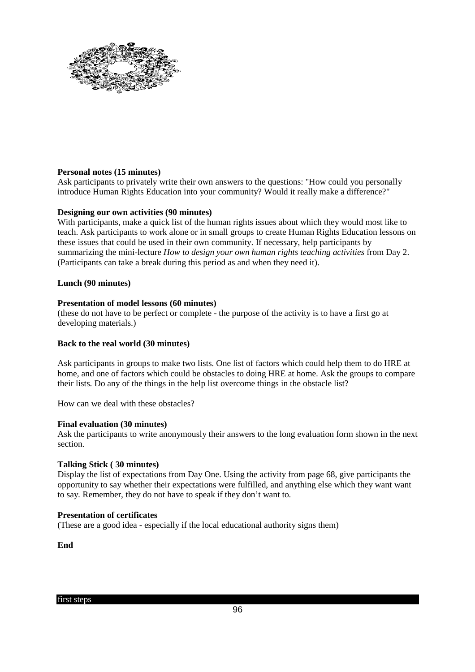

### **Personal notes (15 minutes)**

Ask participants to privately write their own answers to the questions: "How could you personally introduce Human Rights Education into your community? Would it really make a difference?"

### **Designing our own activities (90 minutes)**

With participants, make a quick list of the human rights issues about which they would most like to teach. Ask participants to work alone or in small groups to create Human Rights Education lessons on these issues that could be used in their own community. If necessary, help participants by summarizing the mini-lecture *How to design your own human rights teaching activities* from Day 2. (Participants can take a break during this period as and when they need it).

### **Lunch (90 minutes)**

### **Presentation of model lessons (60 minutes)**

(these do not have to be perfect or complete - the purpose of the activity is to have a first go at developing materials.)

### **Back to the real world (30 minutes)**

Ask participants in groups to make two lists. One list of factors which could help them to do HRE at home, and one of factors which could be obstacles to doing HRE at home. Ask the groups to compare their lists. Do any of the things in the help list overcome things in the obstacle list?

How can we deal with these obstacles?

### **Final evaluation (30 minutes)**

Ask the participants to write anonymously their answers to the long evaluation form shown in the next section.

### **Talking Stick ( 30 minutes)**

Display the list of expectations from Day One. Using the activity from page 68, give participants the opportunity to say whether their expectations were fulfilled, and anything else which they want want to say. Remember, they do not have to speak if they don't want to.

### **Presentation of certificates**

(These are a good idea - especially if the local educational authority signs them)

**End**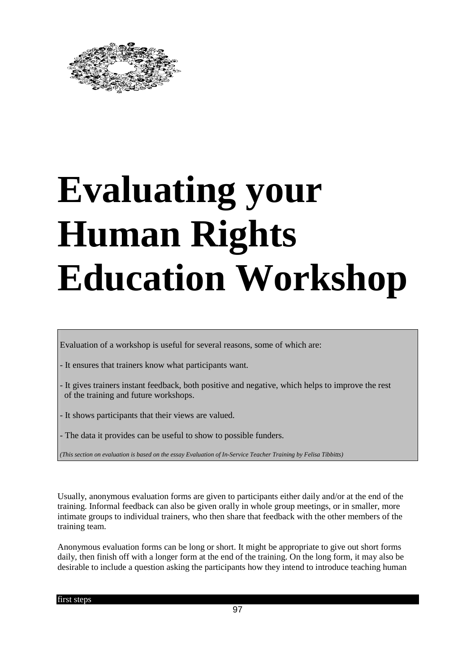

## **Evaluating your Human Rights Education Workshop**

Evaluation of a workshop is useful for several reasons, some of which are:

- It ensures that trainers know what participants want.
- It gives trainers instant feedback, both positive and negative, which helps to improve the rest of the training and future workshops.
- It shows participants that their views are valued.
- The data it provides can be useful to show to possible funders.
- *(This section on evaluation is based on the essay Evaluation of In-Service Teacher Training by Felisa Tibbitts)*

Usually, anonymous evaluation forms are given to participants either daily and/or at the end of the training. Informal feedback can also be given orally in whole group meetings, or in smaller, more intimate groups to individual trainers, who then share that feedback with the other members of the training team.

Anonymous evaluation forms can be long or short. It might be appropriate to give out short forms daily, then finish off with a longer form at the end of the training. On the long form, it may also be desirable to include a question asking the participants how they intend to introduce teaching human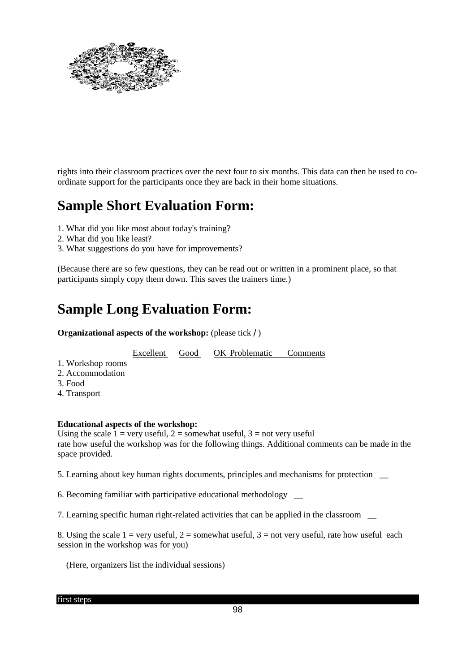

rights into their classroom practices over the next four to six months. This data can then be used to coordinate support for the participants once they are back in their home situations.

### **Sample Short Evaluation Form:**

- 1. What did you like most about today's training?
- 2. What did you like least?
- 3. What suggestions do you have for improvements?

(Because there are so few questions, they can be read out or written in a prominent place, so that participants simply copy them down. This saves the trainers time.)

### **Sample Long Evaluation Form:**

**Organizational aspects of the workshop:** (please tick / )

Excellent Good OK Problematic Comments

- 1. Workshop rooms
- 2. Accommodation
- 3. Food
- 4. Transport

### **Educational aspects of the workshop:**

Using the scale  $1 = \text{very useful}, 2 = \text{somewhat useful}, 3 = \text{not very useful}$ rate how useful the workshop was for the following things. Additional comments can be made in the space provided.

5. Learning about key human rights documents, principles and mechanisms for protection \_\_

6. Becoming familiar with participative educational methodology \_\_

7. Learning specific human right-related activities that can be applied in the classroom \_\_

8. Using the scale  $1 = \text{very useful}, 2 = \text{somewhat useful}, 3 = \text{not very useful}, \text{rate how useful each}$ session in the workshop was for you)

(Here, organizers list the individual sessions)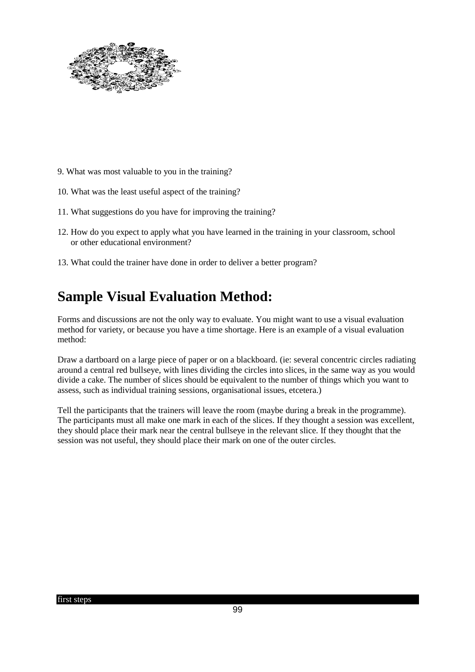

- 9. What was most valuable to you in the training?
- 10. What was the least useful aspect of the training?
- 11. What suggestions do you have for improving the training?
- 12. How do you expect to apply what you have learned in the training in your classroom, school or other educational environment?
- 13. What could the trainer have done in order to deliver a better program?

### **Sample Visual Evaluation Method:**

Forms and discussions are not the only way to evaluate. You might want to use a visual evaluation method for variety, or because you have a time shortage. Here is an example of a visual evaluation method:

Draw a dartboard on a large piece of paper or on a blackboard. (ie: several concentric circles radiating around a central red bullseye, with lines dividing the circles into slices, in the same way as you would divide a cake. The number of slices should be equivalent to the number of things which you want to assess, such as individual training sessions, organisational issues, etcetera.)

Tell the participants that the trainers will leave the room (maybe during a break in the programme). The participants must all make one mark in each of the slices. If they thought a session was excellent, they should place their mark near the central bullseye in the relevant slice. If they thought that the session was not useful, they should place their mark on one of the outer circles.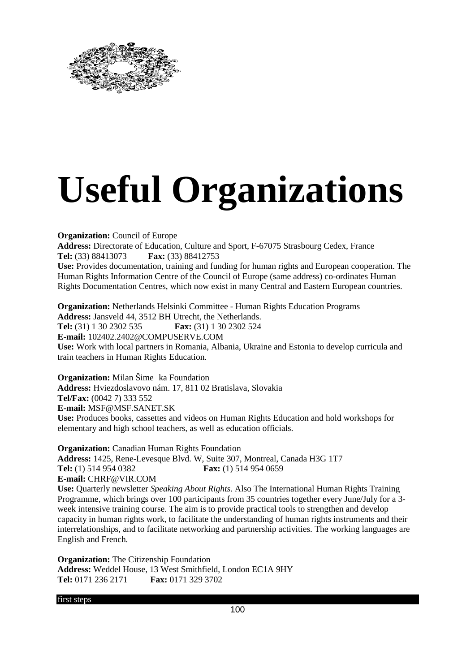

## **Useful Organizations**

**Organization:** Council of Europe **Address:** Directorate of Education, Culture and Sport, F-67075 Strasbourg Cedex, France **Tel:** (33) 88413073 **Fax:** (33) 88412753 **Use:** Provides documentation, training and funding for human rights and European cooperation. The Human Rights Information Centre of the Council of Europe (same address) co-ordinates Human Rights Documentation Centres, which now exist in many Central and Eastern European countries.

**Organization:** Netherlands Helsinki Committee - Human Rights Education Programs **Address:** Jansveld 44, 3512 BH Utrecht, the Netherlands. **Tel:** (31) 1 30 2302 535 **Fax:** (31) 1 30 2302 524 **E-mail:** 102402.2402@COMPUSERVE.COM **Use:** Work with local partners in Romania, Albania, Ukraine and Estonia to develop curricula and train teachers in Human Rights Education.

**Organization:** Milan Šime ka Foundation **Address:** Hviezdoslavovo nám. 17, 811 02 Bratislava, Slovakia

**Tel/Fax:** (0042 7) 333 552 **E-mail:** MSF@MSF.SANET.SK **Use:** Produces books, cassettes and videos on Human Rights Education and hold workshops for elementary and high school teachers, as well as education officials.

**Organization:** Canadian Human Rights Foundation **Address:** 1425, Rene-Levesque Blvd. W, Suite 307, Montreal, Canada H3G 1T7 **Tel:** (1) 514 954 0382 **Fax:** (1) 514 954 0659 **E-mail:** CHRF@VIR.COM **Use:** Quarterly newsletter *Speaking About Rights*. Also The International Human Rights Training Programme, which brings over 100 participants from 35 countries together every June/July for a 3 week intensive training course. The aim is to provide practical tools to strengthen and develop capacity in human rights work, to facilitate the understanding of human rights instruments and their interrelationships, and to facilitate networking and partnership activities. The working languages are English and French.

**Organization:** The Citizenship Foundation **Address:** Weddel House, 13 West Smithfield, London EC1A 9HY **Tel:** 0171 236 2171 **Fax:** 0171 329 3702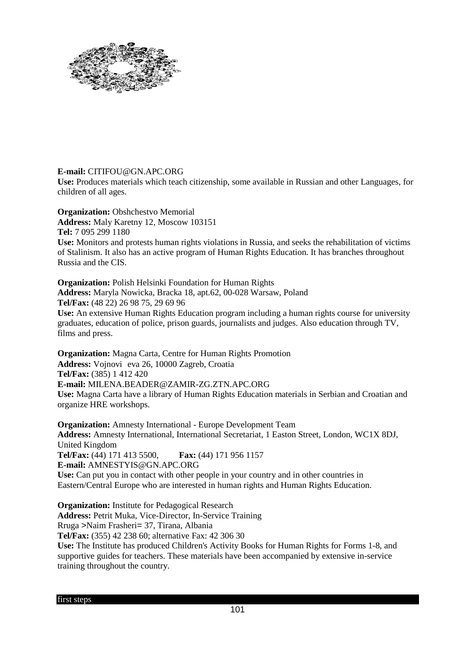

### **E-mail:** CITIFOU@GN.APC.ORG

**Use:** Produces materials which teach citizenship, some available in Russian and other Languages, for children of all ages.

**Organization:** Obshchestvo Memorial **Address:** Maly Karetny 12, Moscow 103151 **Tel:** 7 095 299 1180 **Use:** Monitors and protests human rights violations in Russia, and seeks the rehabilitation of victims of Stalinism. It also has an active program of Human Rights Education. It has branches throughout Russia and the CIS.

**Organization:** Polish Helsinki Foundation for Human Rights **Address:** Maryla Nowicka, Bracka 18, apt.62, 00-028 Warsaw, Poland **Tel/Fax:** (48 22) 26 98 75, 29 69 96 **Use:** An extensive Human Rights Education program including a human rights course for university graduates, education of police, prison guards, journalists and judges. Also education through TV, films and press.

**Organization:** Magna Carta, Centre for Human Rights Promotion **Address:** Vojnovi eva 26, 10000 Zagreb, Croatia **Tel/Fax:** (385) 1 412 420 **E-mail:** MILENA.BEADER@ZAMIR-ZG.ZTN.APC.ORG **Use:** Magna Carta have a library of Human Rights Education materials in Serbian and Croatian and organize HRE workshops.

**Organization:** Amnesty International - Europe Development Team **Address:** Amnesty International, International Secretariat, 1 Easton Street, London, WC1X 8DJ, United Kingdom **Tel/Fax:** (44) 171 413 5500, **Fax:** (44) 171 956 1157 **E-mail:** AMNESTYIS@GN.APC.ORG **Use:** Can put you in contact with other people in your country and in other countries in Eastern/Central Europe who are interested in human rights and Human Rights Education.

**Organization:** Institute for Pedagogical Research **Address:** Petrit Muka, Vice-Director, In-Service Training Rruga >Naim Frasheri= 37, Tirana, Albania

**Tel/Fax:** (355) 42 238 60; alternative Fax: 42 306 30

**Use:** The Institute has produced Children's Activity Books for Human Rights for Forms 1-8, and supportive guides for teachers. These materials have been accompanied by extensive in-service training throughout the country.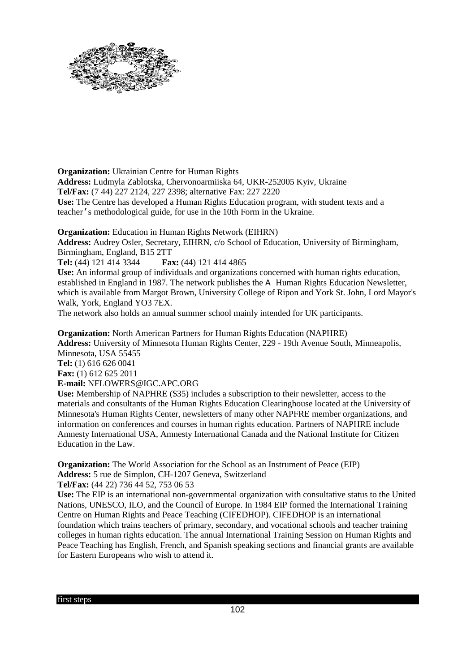

**Organization:** Ukrainian Centre for Human Rights

**Address:** Ludmyla Zablotska, Chervonoarmiiska 64, UKR-252005 Kyiv, Ukraine **Tel/Fax:** (7 44) 227 2124, 227 2398; alternative Fax: 227 2220

**Use:** The Centre has developed a Human Rights Education program, with student texts and a teacher's methodological guide, for use in the 10th Form in the Ukraine.

**Organization:** Education in Human Rights Network (EIHRN)

**Address:** Audrey Osler, Secretary, EIHRN, c/o School of Education, University of Birmingham, Birmingham, England, B15 2TT

**Tel:** (44) 121 414 3344 **Fax:** (44) 121 414 4865

**Use:** An informal group of individuals and organizations concerned with human rights education, established in England in 1987. The network publishes the A Human Rights Education Newsletter, which is available from Margot Brown, University College of Ripon and York St. John, Lord Mayor's Walk, York, England YO3 7EX.

The network also holds an annual summer school mainly intended for UK participants.

**Organization:** North American Partners for Human Rights Education (NAPHRE) **Address:** University of Minnesota Human Rights Center, 229 - 19th Avenue South, Minneapolis, Minnesota, USA 55455 **Tel:** (1) 616 626 0041 **Fax:** (1) 612 625 2011 **E-mail:** NFLOWERS@IGC.APC.ORG **Use:** Membership of NAPHRE (\$35) includes a subscription to their newsletter, access to the

materials and consultants of the Human Rights Education Clearinghouse located at the University of Minnesota's Human Rights Center, newsletters of many other NAPFRE member organizations, and information on conferences and courses in human rights education. Partners of NAPHRE include Amnesty International USA, Amnesty International Canada and the National Institute for Citizen Education in the Law.

**Organization:** The World Association for the School as an Instrument of Peace (EIP) **Address:** 5 rue de Simplon, CH-1207 Geneva, Switzerland

**Tel/Fax:** (44 22) 736 44 52, 753 06 53

**Use:** The EIP is an international non-governmental organization with consultative status to the United Nations, UNESCO, ILO, and the Council of Europe. In 1984 EIP formed the International Training Centre on Human Rights and Peace Teaching (CIFEDHOP). CIFEDHOP is an international foundation which trains teachers of primary, secondary, and vocational schools and teacher training colleges in human rights education. The annual International Training Session on Human Rights and Peace Teaching has English, French, and Spanish speaking sections and financial grants are available for Eastern Europeans who wish to attend it.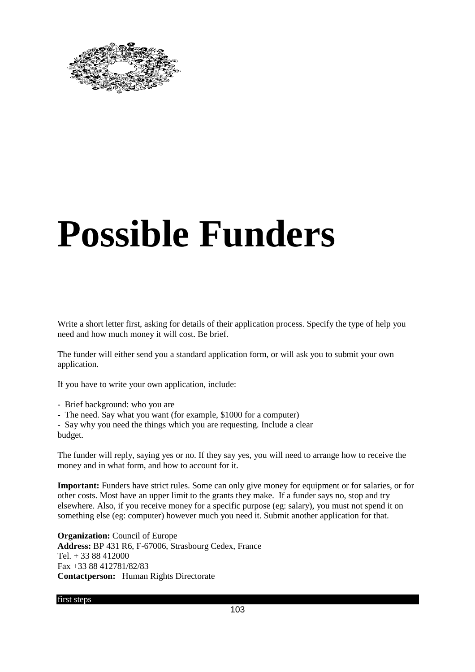

## **Possible Funders**

Write a short letter first, asking for details of their application process. Specify the type of help you need and how much money it will cost. Be brief.

The funder will either send you a standard application form, or will ask you to submit your own application.

If you have to write your own application, include:

- Brief background: who you are
- The need. Say what you want (for example, \$1000 for a computer)

- Say why you need the things which you are requesting. Include a clear budget.

The funder will reply, saying yes or no. If they say yes, you will need to arrange how to receive the money and in what form, and how to account for it.

**Important:** Funders have strict rules. Some can only give money for equipment or for salaries, or for other costs. Most have an upper limit to the grants they make. If a funder says no, stop and try elsewhere. Also, if you receive money for a specific purpose (eg: salary), you must not spend it on something else (eg: computer) however much you need it. Submit another application for that.

**Organization:** Council of Europe **Address:** BP 431 R6, F-67006, Strasbourg Cedex, France  $Tel + 3388412000$ Fax +33 88 412781/82/83 **Contactperson:** Human Rights Directorate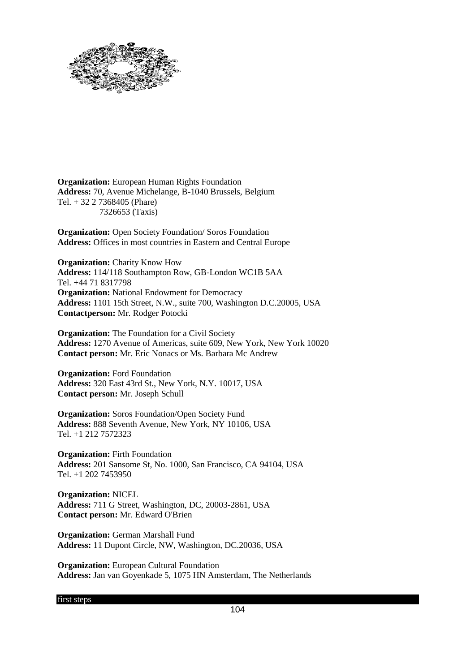

**Organization:** European Human Rights Foundation **Address:** 70, Avenue Michelange, B-1040 Brussels, Belgium Tel. + 32 2 7368405 (Phare) 7326653 (Taxis)

**Organization:** Open Society Foundation/ Soros Foundation **Address:** Offices in most countries in Eastern and Central Europe

**Organization:** Charity Know How **Address:** 114/118 Southampton Row, GB-London WC1B 5AA Tel. +44 71 8317798 **Organization:** National Endowment for Democracy **Address:** 1101 15th Street, N.W., suite 700, Washington D.C.20005, USA **Contactperson:** Mr. Rodger Potocki

**Organization:** The Foundation for a Civil Society **Address:** 1270 Avenue of Americas, suite 609, New York, New York 10020 **Contact person:** Mr. Eric Nonacs or Ms. Barbara Mc Andrew

**Organization:** Ford Foundation **Address:** 320 East 43rd St., New York, N.Y. 10017, USA **Contact person:** Mr. Joseph Schull

**Organization:** Soros Foundation/Open Society Fund **Address:** 888 Seventh Avenue, New York, NY 10106, USA Tel. +1 212 7572323

**Organization:** Firth Foundation **Address:** 201 Sansome St, No. 1000, San Francisco, CA 94104, USA Tel. +1 202 7453950

**Organization:** NICEL **Address:** 711 G Street, Washington, DC, 20003-2861, USA **Contact person:** Mr. Edward O'Brien

**Organization:** German Marshall Fund **Address:** 11 Dupont Circle, NW, Washington, DC.20036, USA

**Organization:** European Cultural Foundation **Address:** Jan van Goyenkade 5, 1075 HN Amsterdam, The Netherlands

first steps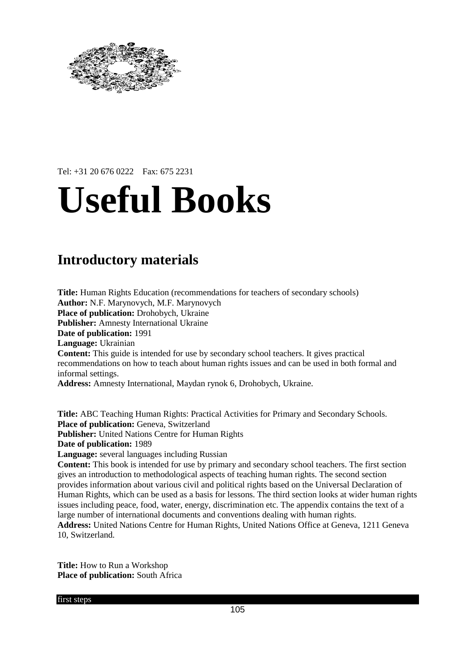

### Tel: +31 20 676 0222 Fax: 675 2231

## **Useful Books**

### **Introductory materials**

**Title:** Human Rights Education (recommendations for teachers of secondary schools) **Author:** N.F. Marynovych, M.F. Marynovych **Place of publication:** Drohobych, Ukraine **Publisher:** Amnesty International Ukraine **Date of publication:** 1991 **Language:** Ukrainian **Content:** This guide is intended for use by secondary school teachers. It gives practical recommendations on how to teach about human rights issues and can be used in both formal and informal settings.

**Address:** Amnesty International, Maydan rynok 6, Drohobych, Ukraine.

**Title:** ABC Teaching Human Rights: Practical Activities for Primary and Secondary Schools. Place of publication: Geneva, Switzerland **Publisher:** United Nations Centre for Human Rights **Date of publication:** 1989 **Language:** several languages including Russian **Content:** This book is intended for use by primary and secondary school teachers. The first section gives an introduction to methodological aspects of teaching human rights. The second section

provides information about various civil and political rights based on the Universal Declaration of Human Rights, which can be used as a basis for lessons. The third section looks at wider human rights issues including peace, food, water, energy, discrimination etc. The appendix contains the text of a large number of international documents and conventions dealing with human rights. **Address:** United Nations Centre for Human Rights, United Nations Office at Geneva, 1211 Geneva 10, Switzerland.

**Title:** How to Run a Workshop **Place of publication:** South Africa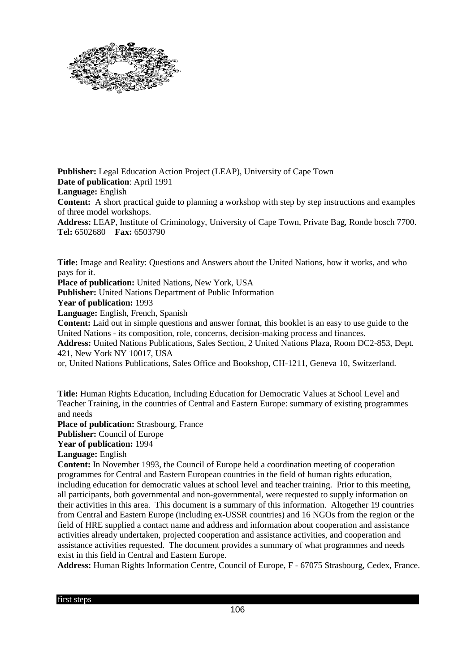

**Publisher:** Legal Education Action Project (LEAP), University of Cape Town **Date of publication**: April 1991 **Language:** English **Content:** A short practical guide to planning a workshop with step by step instructions and examples of three model workshops. **Address:** LEAP, Institute of Criminology, University of Cape Town, Private Bag, Ronde bosch 7700. **Tel:** 6502680 **Fax:** 6503790

**Title:** Image and Reality: Questions and Answers about the United Nations, how it works, and who pays for it. **Place of publication:** United Nations, New York, USA **Publisher:** United Nations Department of Public Information **Year of publication:** 1993 **Language:** English, French, Spanish **Content:** Laid out in simple questions and answer format, this booklet is an easy to use guide to the United Nations - its composition, role, concerns, decision-making process and finances. **Address:** United Nations Publications, Sales Section, 2 United Nations Plaza, Room DC2-853, Dept. 421, New York NY 10017, USA

or, United Nations Publications, Sales Office and Bookshop, CH-1211, Geneva 10, Switzerland.

**Title:** Human Rights Education, Including Education for Democratic Values at School Level and Teacher Training, in the countries of Central and Eastern Europe: summary of existing programmes and needs

**Place of publication:** Strasbourg, France

**Publisher:** Council of Europe

**Year of publication:** 1994

**Language:** English

**Content:** In November 1993, the Council of Europe held a coordination meeting of cooperation programmes for Central and Eastern European countries in the field of human rights education, including education for democratic values at school level and teacher training. Prior to this meeting, all participants, both governmental and non-governmental, were requested to supply information on their activities in this area. This document is a summary of this information. Altogether 19 countries from Central and Eastern Europe (including ex-USSR countries) and 16 NGOs from the region or the field of HRE supplied a contact name and address and information about cooperation and assistance activities already undertaken, projected cooperation and assistance activities, and cooperation and assistance activities requested. The document provides a summary of what programmes and needs exist in this field in Central and Eastern Europe.

**Address:** Human Rights Information Centre, Council of Europe, F - 67075 Strasbourg, Cedex, France.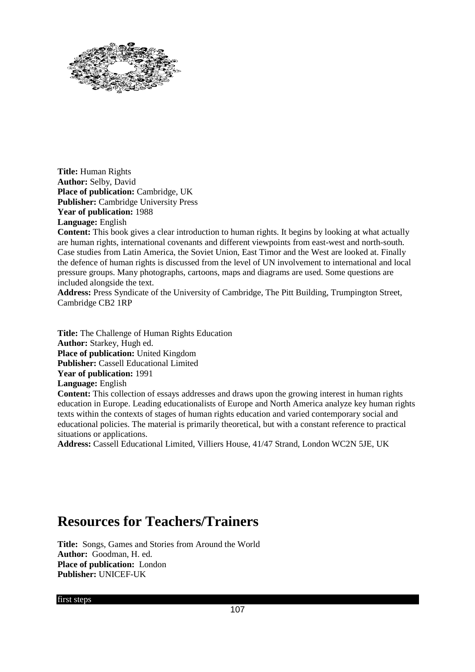

**Title:** Human Rights **Author:** Selby, David **Place of publication:** Cambridge, UK **Publisher:** Cambridge University Press **Year of publication:** 1988 **Language:** English

**Content:** This book gives a clear introduction to human rights. It begins by looking at what actually are human rights, international covenants and different viewpoints from east-west and north-south. Case studies from Latin America, the Soviet Union, East Timor and the West are looked at. Finally the defence of human rights is discussed from the level of UN involvement to international and local pressure groups. Many photographs, cartoons, maps and diagrams are used. Some questions are included alongside the text.

**Address:** Press Syndicate of the University of Cambridge, The Pitt Building, Trumpington Street, Cambridge CB2 1RP

**Title:** The Challenge of Human Rights Education **Author:** Starkey, Hugh ed. **Place of publication:** United Kingdom **Publisher:** Cassell Educational Limited **Year of publication:** 1991 **Language:** English **Content:** This collection of essays addresses and draws upon the growing interest in human rights education in Europe. Leading educationalists of Europe and North America analyze key human rights texts within the contexts of stages of human rights education and varied contemporary social and educational policies. The material is primarily theoretical, but with a constant reference to practical

situations or applications. **Address:** Cassell Educational Limited, Villiers House, 41/47 Strand, London WC2N 5JE, UK

### **Resources for Teachers/Trainers**

**Title:** Songs, Games and Stories from Around the World **Author:** Goodman, H. ed. **Place of publication:** London **Publisher:** UNICEF-UK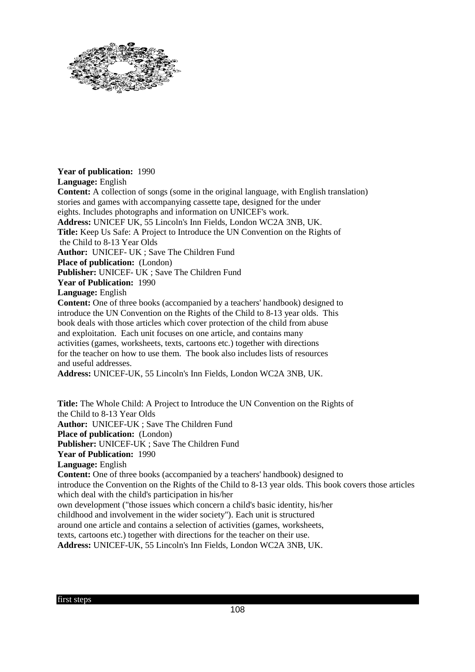

### **Year of publication:** 1990

**Language:** English

**Content:** A collection of songs (some in the original language, with English translation) stories and games with accompanying cassette tape, designed for the under eights. Includes photographs and information on UNICEF's work. **Address:** UNICEF UK, 55 Lincoln's Inn Fields, London WC2A 3NB, UK. **Title:** Keep Us Safe: A Project to Introduce the UN Convention on the Rights of the Child to 8-13 Year Olds **Author:** UNICEF- UK ; Save The Children Fund **Place of publication:** (London) **Publisher:** UNICEF- UK ; Save The Children Fund **Year of Publication:** 1990 **Language:** English **Content:** One of three books (accompanied by a teachers' handbook) designed to introduce the UN Convention on the Rights of the Child to 8-13 year olds. This book deals with those articles which cover protection of the child from abuse and exploitation. Each unit focuses on one article, and contains many activities (games, worksheets, texts, cartoons etc.) together with directions for the teacher on how to use them. The book also includes lists of resources and useful addresses. **Address:** UNICEF-UK, 55 Lincoln's Inn Fields, London WC2A 3NB, UK.

**Title:** The Whole Child: A Project to Introduce the UN Convention on the Rights of the Child to 8-13 Year Olds **Author:** UNICEF-UK ; Save The Children Fund **Place of publication:** (London) **Publisher:** UNICEF-UK ; Save The Children Fund **Year of Publication:** 1990 **Language:** English **Content:** One of three books (accompanied by a teachers' handbook) designed to introduce the Convention on the Rights of the Child to 8-13 year olds. This book covers those articles which deal with the child's participation in his/her own development ("those issues which concern a child's basic identity, his/her childhood and involvement in the wider society"). Each unit is structured around one article and contains a selection of activities (games, worksheets, texts, cartoons etc.) together with directions for the teacher on their use. **Address:** UNICEF-UK, 55 Lincoln's Inn Fields, London WC2A 3NB, UK.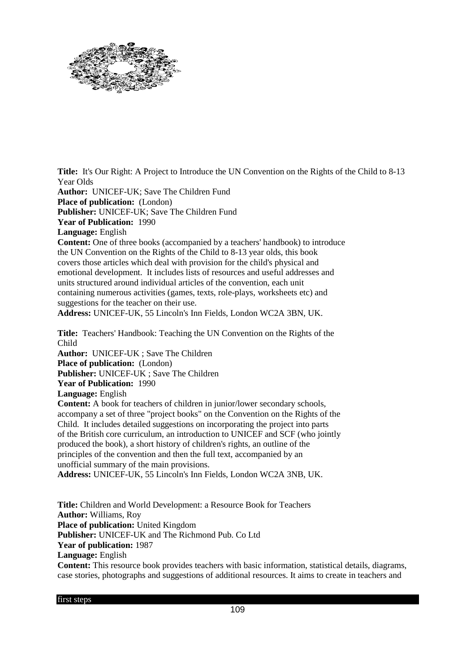

**Title:** It's Our Right: A Project to Introduce the UN Convention on the Rights of the Child to 8-13 Year Olds

**Author:** UNICEF-UK; Save The Children Fund

**Place of publication:** (London)

**Publisher:** UNICEF-UK; Save The Children Fund

**Year of Publication:** 1990

**Language:** English

**Content:** One of three books (accompanied by a teachers' handbook) to introduce the UN Convention on the Rights of the Child to 8-13 year olds, this book covers those articles which deal with provision for the child's physical and emotional development. It includes lists of resources and useful addresses and units structured around individual articles of the convention, each unit containing numerous activities (games, texts, role-plays, worksheets etc) and suggestions for the teacher on their use.

**Address:** UNICEF-UK, 55 Lincoln's Inn Fields, London WC2A 3BN, UK.

**Title:** Teachers' Handbook: Teaching the UN Convention on the Rights of the Child

**Author:** UNICEF-UK ; Save The Children **Place of publication:** (London) **Publisher:** UNICEF-UK ; Save The Children

**Year of Publication:** 1990

**Language:** English

**Content:** A book for teachers of children in junior/lower secondary schools, accompany a set of three "project books" on the Convention on the Rights of the Child. It includes detailed suggestions on incorporating the project into parts of the British core curriculum, an introduction to UNICEF and SCF (who jointly produced the book), a short history of children's rights, an outline of the principles of the convention and then the full text, accompanied by an unofficial summary of the main provisions.

**Address:** UNICEF-UK, 55 Lincoln's Inn Fields, London WC2A 3NB, UK.

**Title:** Children and World Development: a Resource Book for Teachers **Author:** Williams, Roy **Place of publication:** United Kingdom **Publisher:** UNICEF-UK and The Richmond Pub. Co Ltd **Year of publication:** 1987 **Language:** English **Content:** This resource book provides teachers with basic information, statistical details, diagrams,

case stories, photographs and suggestions of additional resources. It aims to create in teachers and

first steps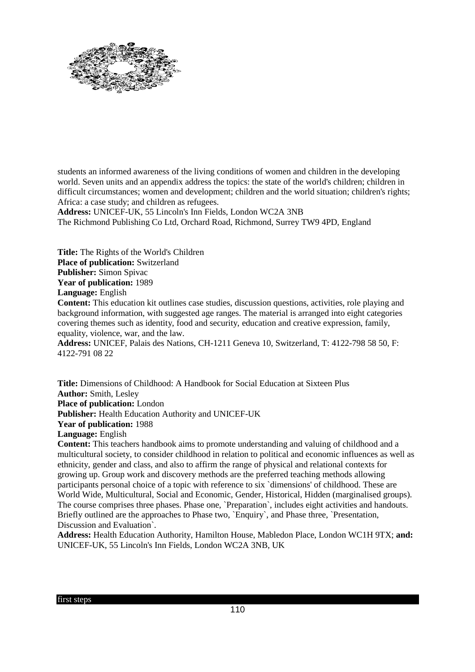

students an informed awareness of the living conditions of women and children in the developing world. Seven units and an appendix address the topics: the state of the world's children; children in difficult circumstances; women and development; children and the world situation; children's rights; Africa: a case study; and children as refugees.

**Address:** UNICEF-UK, 55 Lincoln's Inn Fields, London WC2A 3NB The Richmond Publishing Co Ltd, Orchard Road, Richmond, Surrey TW9 4PD, England

**Title:** The Rights of the World's Children **Place of publication:** Switzerland **Publisher:** Simon Spivac **Year of publication:** 1989 **Language:** English

**Content:** This education kit outlines case studies, discussion questions, activities, role playing and background information, with suggested age ranges. The material is arranged into eight categories covering themes such as identity, food and security, education and creative expression, family, equality, violence, war, and the law.

**Address:** UNICEF, Palais des Nations, CH-1211 Geneva 10, Switzerland, T: 4122-798 58 50, F: 4122-791 08 22

**Title:** Dimensions of Childhood: A Handbook for Social Education at Sixteen Plus **Author:** Smith, Lesley **Place of publication:** London **Publisher:** Health Education Authority and UNICEF-UK **Year of publication:** 1988 **Language:** English **Content:** This teachers handbook aims to promote understanding and valuing of childhood and a

multicultural society, to consider childhood in relation to political and economic influences as well as ethnicity, gender and class, and also to affirm the range of physical and relational contexts for growing up. Group work and discovery methods are the preferred teaching methods allowing participants personal choice of a topic with reference to six `dimensions' of childhood. These are World Wide, Multicultural, Social and Economic, Gender, Historical, Hidden (marginalised groups). The course comprises three phases. Phase one, `Preparation`, includes eight activities and handouts. Briefly outlined are the approaches to Phase two, `Enquiry`, and Phase three, `Presentation, Discussion and Evaluation`.

**Address:** Health Education Authority, Hamilton House, Mabledon Place, London WC1H 9TX; **and:** UNICEF-UK, 55 Lincoln's Inn Fields, London WC2A 3NB, UK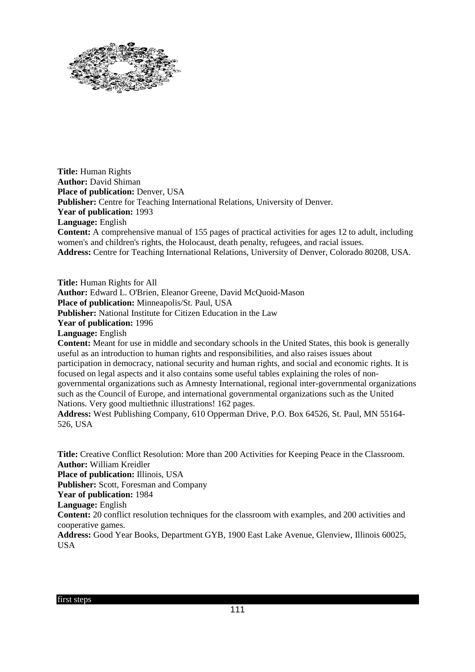

**Title:** Human Rights **Author:** David Shiman **Place of publication: Denver, USA Publisher:** Centre for Teaching International Relations, University of Denver. **Year of publication:** 1993 **Language:** English **Content:** A comprehensive manual of 155 pages of practical activities for ages 12 to adult, including women's and children's rights, the Holocaust, death penalty, refugees, and racial issues. **Address:** Centre for Teaching International Relations, University of Denver, Colorado 80208, USA.

**Title:** Human Rights for All **Author:** Edward L. O'Brien, Eleanor Greene, David McQuoid-Mason **Place of publication:** Minneapolis/St. Paul, USA **Publisher:** National Institute for Citizen Education in the Law **Year of publication:** 1996 **Language:** English **Content:** Meant for use in middle and secondary schools in the United States, this book is generally useful as an introduction to human rights and responsibilities, and also raises issues about participation in democracy, national security and human rights, and social and economic rights. It is focused on legal aspects and it also contains some useful tables explaining the roles of nongovernmental organizations such as Amnesty International, regional inter-governmental organizations such as the Council of Europe, and international governmental organizations such as the United Nations. Very good multiethnic illustrations! 162 pages.

**Address:** West Publishing Company, 610 Opperman Drive, P.O. Box 64526, St. Paul, MN 55164- 526, USA

**Title:** Creative Conflict Resolution: More than 200 Activities for Keeping Peace in the Classroom. **Author:** William Kreidler **Place of publication:** Illinois, USA **Publisher:** Scott, Foresman and Company **Year of publication:** 1984 **Language:** English **Content:** 20 conflict resolution techniques for the classroom with examples, and 200 activities and cooperative games. **Address:** Good Year Books, Department GYB, 1900 East Lake Avenue, Glenview, Illinois 60025, USA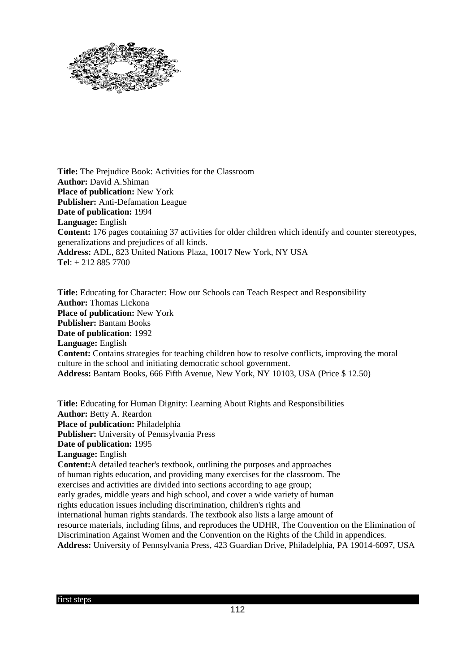

**Title:** The Prejudice Book: Activities for the Classroom **Author:** David A.Shiman **Place of publication:** New York **Publisher:** Anti-Defamation League **Date of publication:** 1994 **Language:** English **Content:** 176 pages containing 37 activities for older children which identify and counter stereotypes, generalizations and prejudices of all kinds. **Address:** ADL, 823 United Nations Plaza, 10017 New York, NY USA **Tel**: + 212 885 7700

**Title:** Educating for Character: How our Schools can Teach Respect and Responsibility **Author:** Thomas Lickona **Place of publication:** New York **Publisher:** Bantam Books **Date of publication:** 1992 **Language:** English **Content:** Contains strategies for teaching children how to resolve conflicts, improving the moral culture in the school and initiating democratic school government. **Address:** Bantam Books, 666 Fifth Avenue, New York, NY 10103, USA (Price \$ 12.50)

**Title:** Educating for Human Dignity: Learning About Rights and Responsibilities **Author:** Betty A. Reardon **Place of publication:** Philadelphia **Publisher:** University of Pennsylvania Press **Date of publication:** 1995 **Language:** English **Content:**A detailed teacher's textbook, outlining the purposes and approaches of human rights education, and providing many exercises for the classroom. The exercises and activities are divided into sections according to age group; early grades, middle years and high school, and cover a wide variety of human rights education issues including discrimination, children's rights and international human rights standards. The textbook also lists a large amount of resource materials, including films, and reproduces the UDHR, The Convention on the Elimination of Discrimination Against Women and the Convention on the Rights of the Child in appendices. **Address:** University of Pennsylvania Press, 423 Guardian Drive, Philadelphia, PA 19014-6097, USA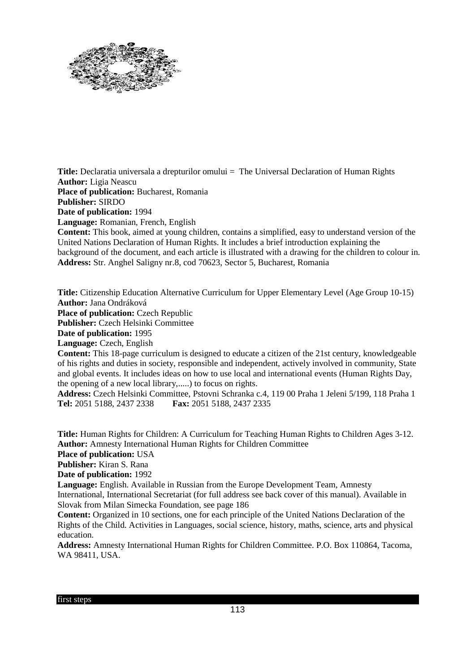

**Title:** Declaratia universala a drepturilor omului = The Universal Declaration of Human Rights **Author:** Ligia Neascu **Place of publication:** Bucharest, Romania **Publisher:** SIRDO **Date of publication:** 1994 **Language:** Romanian, French, English **Content:** This book, aimed at young children, contains a simplified, easy to understand version of the United Nations Declaration of Human Rights. It includes a brief introduction explaining the background of the document, and each article is illustrated with a drawing for the children to colour in. **Address:** Str. Anghel Saligny nr.8, cod 70623, Sector 5, Bucharest, Romania

**Title:** Citizenship Education Alternative Curriculum for Upper Elementary Level (Age Group 10-15) **Author:** Jana Ondráková **Place of publication:** Czech Republic **Publisher:** Czech Helsinki Committee **Date of publication:** 1995 **Language:** Czech, English **Content:** This 18-page curriculum is designed to educate a citizen of the 21st century, knowledgeable of his rights and duties in society, responsible and independent, actively involved in community, State

and global events. It includes ideas on how to use local and international events (Human Rights Day, the opening of a new local library,.....) to focus on rights.

**Address:** Czech Helsinki Committee, Pstovni Schranka c.4, 119 00 Praha 1 Jeleni 5/199, 118 Praha 1 **Tel:** 2051 5188, 2437 2338 **Fax:** 2051 5188, 2437 2335

**Title:** Human Rights for Children: A Curriculum for Teaching Human Rights to Children Ages 3-12. **Author:** Amnesty International Human Rights for Children Committee

**Place of publication:** USA

**Publisher:** Kiran S. Rana

**Date of publication:** 1992

**Language:** English. Available in Russian from the Europe Development Team, Amnesty International, International Secretariat (for full address see back cover of this manual). Available in Slovak from Milan Simecka Foundation, see page 186

**Content:** Organized in 10 sections, one for each principle of the United Nations Declaration of the Rights of the Child. Activities in Languages, social science, history, maths, science, arts and physical education.

**Address:** Amnesty International Human Rights for Children Committee. P.O. Box 110864, Tacoma, WA 98411, USA.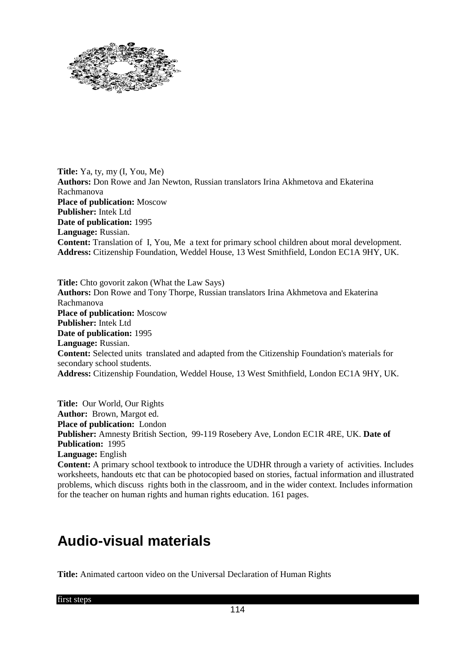

**Title:** Ya, ty, my (I, You, Me) **Authors:** Don Rowe and Jan Newton, Russian translators Irina Akhmetova and Ekaterina Rachmanova **Place of publication:** Moscow **Publisher:** Intek Ltd **Date of publication:** 1995 **Language:** Russian. **Content:** Translation of I, You, Me a text for primary school children about moral development. **Address:** Citizenship Foundation, Weddel House, 13 West Smithfield, London EC1A 9HY, UK.

**Title:** Chto govorit zakon (What the Law Says) **Authors:** Don Rowe and Tony Thorpe, Russian translators Irina Akhmetova and Ekaterina Rachmanova **Place of publication:** Moscow **Publisher:** Intek Ltd **Date of publication:** 1995 **Language:** Russian. **Content:** Selected units translated and adapted from the Citizenship Foundation's materials for secondary school students. **Address:** Citizenship Foundation, Weddel House, 13 West Smithfield, London EC1A 9HY, UK.

**Title:** Our World, Our Rights **Author:** Brown, Margot ed. **Place of publication:** London **Publisher:** Amnesty British Section, 99-119 Rosebery Ave, London EC1R 4RE, UK. **Date of Publication:** 1995 **Language:** English **Content:** A primary school textbook to introduce the UDHR through a variety of activities. Includes

worksheets, handouts etc that can be photocopied based on stories, factual information and illustrated problems, which discuss rights both in the classroom, and in the wider context. Includes information for the teacher on human rights and human rights education. 161 pages.

## **Audio-visual materials**

**Title:** Animated cartoon video on the Universal Declaration of Human Rights

first steps